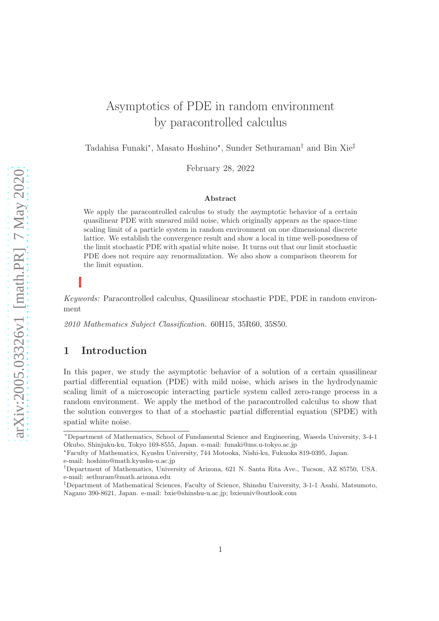# Asymptotics of PDE in random environment by paracontrolled calculus

Tadahisa Funaki<sup>\*</sup>, Masato Hoshino<sup>\*</sup>, Sunder Sethuraman<sup>†</sup> and Bin Xie<sup>‡</sup>

February 28, 2022

#### Abstract

We apply the paracontrolled calculus to study the asymptotic behavior of a certain quasilinear PDE with smeared mild noise, which originally appears as the space-time scaling limit of a particle system in random environment on one dimensional discrete lattice. We establish the convergence result and show a local in time well-posedness of the limit stochastic PDE with spatial white noise. It turns out that our limit stochastic PDE does not require any renormalization. We also show a comparison theorem for the limit equation.

Keywords: Paracontrolled calculus, Quasilinear stochastic PDE, PDE in random environment

2010 Mathematics Subject Classification. 60H15, 35R60, 35S50.

### 1 Introduction

In this paper, we study the asymptotic behavior of a solution of a certain quasilinear partial differential equation (PDE) with mild noise, which arises in the hydrodynamic scaling limit of a microscopic interacting particle system called zero-range process in a random environment. We apply the method of the paracontrolled calculus to show that the solution converges to that of a stochastic partial differential equation (SPDE) with spatial white noise.

<sup>∗</sup>Department of Mathematics, School of Fundamental Science and Engineering, Waseda University, 3-4-1 Okubo, Shinjuku-ku, Tokyo 169-8555, Japan. e-mail: funaki@ms.u-tokyo.ac.jp

<sup>⋆</sup>Faculty of Mathematics, Kyushu University, 744 Motooka, Nishi-ku, Fukuoka 819-0395, Japan. e-mail: hoshino@math.kyushu-u.ac.jp

<sup>†</sup>Department of Mathematics, University of Arizona, 621 N. Santa Rita Ave., Tucson, AZ 85750, USA. e-mail: sethuram@math.arizona.edu

<sup>‡</sup>Department of Mathematical Sciences, Faculty of Science, Shinshu University, 3-1-1 Asahi, Matsumoto, Nagano 390-8621, Japan. e-mail: bxie@shinshu-u.ac.jp; bxieuniv@outlook.com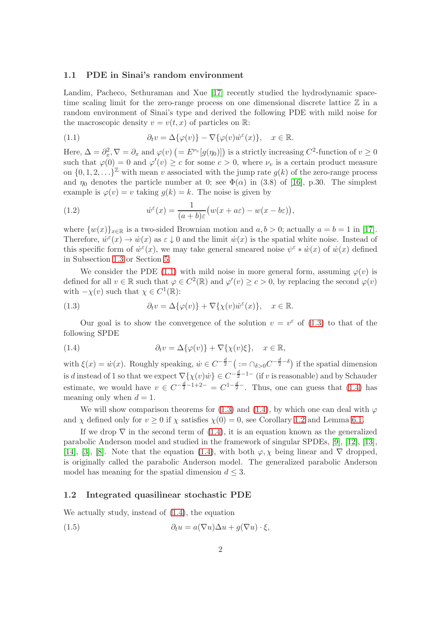#### 1.1 PDE in Sinai's random environment

Landim, Pacheco, Sethuraman and Xue [\[17\]](#page-38-0) recently studied the hydrodynamic spacetime scaling limit for the zero-range process on one dimensional discrete lattice  $\mathbb Z$  in a random environment of Sinai's type and derived the following PDE with mild noise for the macroscopic density  $v = v(t, x)$  of particles on R:

<span id="page-1-0"></span>(1.1) 
$$
\partial_t v = \Delta \{\varphi(v)\} - \nabla \{\varphi(v)\dot{w}^\varepsilon(x)\}, \quad x \in \mathbb{R}.
$$

Here,  $\Delta = \partial_x^2$ ,  $\nabla = \partial_x$  and  $\varphi(v)$   $\left( = E^{\nu_v}[g(\eta_0)] \right)$  is a strictly increasing  $C^2$ -function of  $v \ge 0$ such that  $\varphi(0) = 0$  and  $\varphi'(v) \geq c$  for some  $c > 0$ , where  $\nu_v$  is a certain product measure on  $\{0, 1, 2, \ldots\}^{\mathbb{Z}}$  with mean v associated with the jump rate  $g(k)$  of the zero-range process and  $\eta_0$  denotes the particle number at 0; see  $\Phi(\alpha)$  in (3.8) of [\[16\]](#page-38-1), p.30. The simplest example is  $\varphi(v) = v$  taking  $q(k) = k$ . The noise is given by

<span id="page-1-4"></span>(1.2) 
$$
\dot{w}^{\varepsilon}(x) = \frac{1}{(a+b)\varepsilon} \big( w(x+a\varepsilon) - w(x-b\varepsilon) \big),
$$

where  $\{w(x)\}_{x\in\mathbb{R}}$  is a two-sided Brownian motion and  $a, b > 0$ ; actually  $a = b = 1$  in [\[17\]](#page-38-0). Therefore,  $\dot{w}^{\varepsilon}(x) \to \dot{w}(x)$  as  $\varepsilon \downarrow 0$  and the limit  $\dot{w}(x)$  is the spatial white noise. Instead of this specific form of  $\dot{w}^{\varepsilon}(x)$ , we may take general smeared noise  $\psi^{\varepsilon} * \dot{w}(x)$  of  $\dot{w}(x)$  defined in Subsection [1.3](#page-3-0) or Section [5.](#page-31-0)

We consider the PDE [\(1.1\)](#page-1-0) with mild noise in more general form, assuming  $\varphi(v)$  is defined for all  $v \in \mathbb{R}$  such that  $\varphi \in C^2(\mathbb{R})$  and  $\varphi'(v) \ge c > 0$ , by replacing the second  $\varphi(v)$ with  $-\chi(v)$  such that  $\chi \in C^1(\mathbb{R})$ :

<span id="page-1-1"></span>(1.3) 
$$
\partial_t v = \Delta \{\varphi(v)\} + \nabla \{\chi(v)\dot{w}^\varepsilon(x)\}, \quad x \in \mathbb{R}.
$$

Our goal is to show the convergence of the solution  $v = v^{\varepsilon}$  of [\(1.3\)](#page-1-1) to that of the following SPDE

<span id="page-1-2"></span>(1.4) 
$$
\partial_t v = \Delta \{\varphi(v)\} + \nabla \{\chi(v)\xi\}, \quad x \in \mathbb{R},
$$

with  $\xi(x) = \dot{w}(x)$ . Roughly speaking,  $\dot{w} \in C^{-\frac{d}{2} - \left( x = 0 \delta > 0 \right)} \text{ if the spatial dimension}$ is d instead of 1 so that we expect  $\nabla \{\chi(v)\dot{w}\}\in C^{-\frac{d}{2}-1-}$  (if v is reasonable) and by Schauder estimate, we would have  $v \in C^{-\frac{d}{2}-1+2-} = C^{1-\frac{d}{2}-}$ . Thus, one can guess that [\(1.4\)](#page-1-2) has meaning only when  $d = 1$ .

We will show comparison theorems for [\(1.3\)](#page-1-1) and [\(1.4\)](#page-1-2), by which one can deal with  $\varphi$ and  $\chi$  defined only for  $v \ge 0$  if  $\chi$  satisfies  $\chi(0) = 0$ , see Corollary [1.2](#page-3-1) and Lemma [6.1.](#page-36-0)

If we drop  $\nabla$  in the second term of [\(1.4\)](#page-1-2), it is an equation known as the generalized parabolic Anderson model and studied in the framework of singular SPDEs, [\[9\]](#page-38-2), [\[12\]](#page-38-3), [\[13\]](#page-38-4), [\[14\]](#page-38-5), [\[3\]](#page-37-0), [\[8\]](#page-38-6). Note that the equation [\(1.4\)](#page-1-2), with both  $\varphi, \chi$  being linear and  $\nabla$  dropped, is originally called the parabolic Anderson model. The generalized parabolic Anderson model has meaning for the spatial dimension  $d \leq 3$ .

#### 1.2 Integrated quasilinear stochastic PDE

We actually study, instead of [\(1.4\)](#page-1-2), the equation

<span id="page-1-3"></span>(1.5) 
$$
\partial_t u = a(\nabla u)\Delta u + g(\nabla u) \cdot \xi,
$$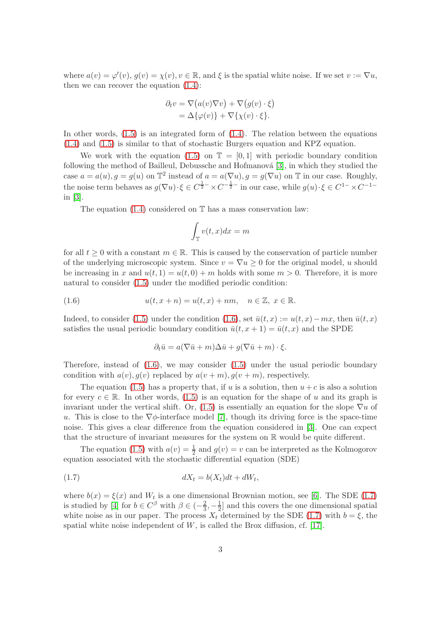where  $a(v) = \varphi'(v)$ ,  $g(v) = \chi(v)$ ,  $v \in \mathbb{R}$ , and  $\xi$  is the spatial white noise. If we set  $v := \nabla u$ , then we can recover the equation [\(1.4\)](#page-1-2):

$$
\partial_t v = \nabla (a(v)\nabla v) + \nabla (g(v) \cdot \xi)
$$
  
=  $\Delta {\varphi(v)} + \nabla {\chi(v) \cdot \xi}.$ 

In other words,  $(1.5)$  is an integrated form of  $(1.4)$ . The relation between the equations [\(1.4\)](#page-1-2) and [\(1.5\)](#page-1-3) is similar to that of stochastic Burgers equation and KPZ equation.

We work with the equation [\(1.5\)](#page-1-3) on  $\mathbb{T} = [0,1]$  with periodic boundary condition following the method of Bailleul, Debussche and Hofmanová [\[3\]](#page-37-0), in which they studied the case  $a = a(u)$ ,  $g = g(u)$  on  $\mathbb{T}^2$  instead of  $a = a(\nabla u)$ ,  $g = g(\nabla u)$  on  $\mathbb{T}$  in our case. Roughly, the noise term behaves as  $g(\nabla u) \cdot \xi \in C^{\frac{1}{2}-} \times C^{-\frac{1}{2}-}$  in our case, while  $g(u) \cdot \xi \in C^{1-} \times C^{-1-}$ in [\[3\]](#page-37-0).

The equation  $(1.4)$  considered on  $\mathbb T$  has a mass conservation law:

$$
\int_{\mathbb{T}} v(t, x) dx = m
$$

for all  $t \geq 0$  with a constant  $m \in \mathbb{R}$ . This is caused by the conservation of particle number of the underlying microscopic system. Since  $v = \nabla u > 0$  for the original model, u should be increasing in x and  $u(t, 1) = u(t, 0) + m$  holds with some  $m > 0$ . Therefore, it is more natural to consider [\(1.5\)](#page-1-3) under the modified periodic condition:

(1.6) 
$$
u(t, x + n) = u(t, x) + nm, \quad n \in \mathbb{Z}, \ x \in \mathbb{R}.
$$

Indeed, to consider [\(1.5\)](#page-1-3) under the condition [\(1.6\)](#page-2-0), set  $\bar{u}(t, x) := u(t, x) - mx$ , then  $\bar{u}(t, x)$ satisfies the usual periodic boundary condition  $\bar{u}(t, x + 1) = \bar{u}(t, x)$  and the SPDE

<span id="page-2-0"></span>
$$
\partial_t \bar{u} = a(\nabla \bar{u} + m)\Delta \bar{u} + g(\nabla \bar{u} + m) \cdot \xi.
$$

Therefore, instead of  $(1.6)$ , we may consider  $(1.5)$  under the usual periodic boundary condition with  $a(v)$ ,  $q(v)$  replaced by  $a(v+m)$ ,  $q(v+m)$ , respectively.

The equation [\(1.5\)](#page-1-3) has a property that, if u is a solution, then  $u + c$  is also a solution for every  $c \in \mathbb{R}$ . In other words, [\(1.5\)](#page-1-3) is an equation for the shape of u and its graph is invariant under the vertical shift. Or, [\(1.5\)](#page-1-3) is essentially an equation for the slope  $\nabla u$  of u. This is close to the  $\nabla \phi$ -interface model [\[7\]](#page-38-7), though its driving force is the space-time noise. This gives a clear difference from the equation considered in [\[3\]](#page-37-0). One can expect that the structure of invariant measures for the system on R would be quite different.

The equation [\(1.5\)](#page-1-3) with  $a(v) = \frac{1}{2}$  and  $g(v) = v$  can be interpreted as the Kolmogorov equation associated with the stochastic differential equation (SDE)

<span id="page-2-1"></span>
$$
(1.7) \t\t dX_t = b(X_t)dt + dW_t,
$$

where  $b(x) = \xi(x)$  and  $W_t$  is a one dimensional Brownian motion, see [\[6\]](#page-38-8). The SDE [\(1.7\)](#page-2-1) is studied by [\[4\]](#page-37-1) for  $b \in C^{\beta}$  with  $\beta \in \left(-\frac{2}{3}\right)$  $\frac{2}{3}, -\frac{1}{2}$  $\frac{1}{2}$  and this covers the one dimensional spatial white noise as in our paper. The process  $X_t$  determined by the SDE [\(1.7\)](#page-2-1) with  $b = \xi$ , the spatial white noise independent of  $W$ , is called the Brox diffusion, cf. [\[17\]](#page-38-0).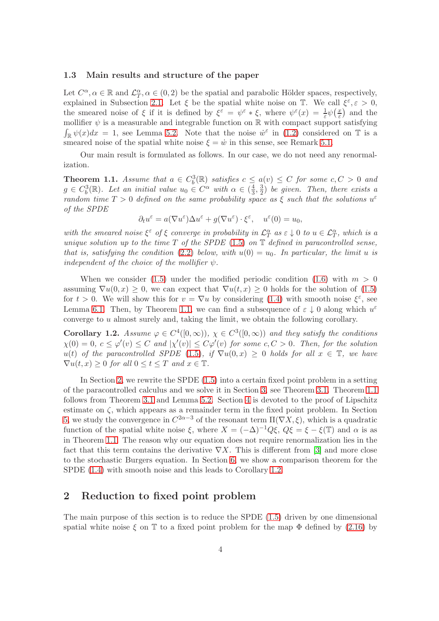#### <span id="page-3-0"></span>1.3 Main results and structure of the paper

Let  $C^{\alpha}, \alpha \in \mathbb{R}$  and  $\mathcal{L}_T^{\alpha}, \alpha \in (0, 2)$  be the spatial and parabolic Hölder spaces, respectively, explained in Subsection [2.1.](#page-4-0) Let  $\xi$  be the spatial white noise on  $\mathbb{T}$ . We call  $\xi^{\varepsilon}, \varepsilon > 0$ , the smeared noise of  $\xi$  if it is defined by  $\xi^{\bar{\varepsilon}} = \psi^{\varepsilon} * \xi$ , where  $\psi^{\varepsilon}(x) = \frac{1}{\varepsilon} \psi(\frac{x}{\varepsilon})$  $\frac{x}{\varepsilon}$  and the mollifier  $\psi$  is a measurable and integrable function on  $\mathbb R$  with compact support satisfying  $\int_{\mathbb{R}} \psi(x) dx = 1$ , see Lemma [5.2.](#page-32-0) Note that the noise  $\dot{w}^{\varepsilon}$  in [\(1.2\)](#page-1-4) considered on T is a smeared noise of the spatial white noise  $\xi = \dot{w}$  in this sense, see Remark [5.1.](#page-35-0)

Our main result is formulated as follows. In our case, we do not need any renormalization.

<span id="page-3-2"></span>**Theorem 1.1.** Assume that  $a \in C_b^3(\mathbb{R})$  satisfies  $c \leq a(v) \leq C$  for some  $c, C > 0$  and  $g \in C_b^3(\mathbb{R})$ . Let an initial value  $u_0 \in C^{\alpha}$  with  $\alpha \in (\frac{4}{3})$  $\frac{4}{3}, \frac{3}{2}$  $\frac{3}{2}$ ) be given. Then, there exists a random time  $T > 0$  defined on the same probability space as  $\xi$  such that the solutions  $u^{\varepsilon}$ of the SPDE

$$
\partial_t u^{\varepsilon} = a(\nabla u^{\varepsilon}) \Delta u^{\varepsilon} + g(\nabla u^{\varepsilon}) \cdot \xi^{\varepsilon}, \quad u^{\varepsilon}(0) = u_0,
$$

with the smeared noise  $\xi^{\varepsilon}$  of  $\xi$  converge in probability in  $\mathcal{L}_{T}^{\alpha}$  as  $\varepsilon \downarrow 0$  to  $u \in \mathcal{L}_{T}^{\alpha}$ , which is a unique solution up to the time  $T$  of the SPDE [\(1.5\)](#page-1-3) on  $\mathbb T$  defined in paracontrolled sense, that is, satisfying the condition [\(2.2\)](#page-4-1) below, with  $u(0) = u_0$ . In particular, the limit u is independent of the choice of the mollifier  $\psi$ .

When we consider [\(1.5\)](#page-1-3) under the modified periodic condition [\(1.6\)](#page-2-0) with  $m > 0$ assuming  $\nabla u(0, x) \geq 0$ , we can expect that  $\nabla u(t, x) \geq 0$  holds for the solution of [\(1.5\)](#page-1-3) for  $t > 0$ . We will show this for  $v = \nabla u$  by considering [\(1.4\)](#page-1-2) with smooth noise  $\xi^{\varepsilon}$ , see Lemma [6.1.](#page-36-0) Then, by Theorem [1.1,](#page-3-2) we can find a subsequence of  $\varepsilon \downarrow 0$  along which  $u^{\varepsilon}$ converge to u almost surely and, taking the limit, we obtain the following corollary.

<span id="page-3-1"></span>**Corollary 1.2.** Assume  $\varphi \in C^4([0,\infty))$ ,  $\chi \in C^3([0,\infty))$  and they satisfy the conditions  $\chi(0) = 0, c \leq \varphi'(v) \leq C$  and  $|\chi'(v)| \leq C\varphi'(v)$  for some  $c, C > 0$ . Then, for the solution u(t) of the paracontrolled SPDE [\(1.5\)](#page-1-3), if  $\nabla u(0, x) \geq 0$  holds for all  $x \in \mathbb{T}$ , we have  $\nabla u(t, x) \geq 0$  for all  $0 \leq t \leq T$  and  $x \in \mathbb{T}$ .

In Section [2,](#page-3-3) we rewrite the SPDE [\(1.5\)](#page-1-3) into a certain fixed point problem in a setting of the paracontrolled calculus and we solve it in Section [3,](#page-13-0) see Theorem [3.1.](#page-13-1) Theorem [1.1](#page-3-2) follows from Theorem [3.1](#page-13-1) and Lemma [5.2.](#page-32-0) Section [4](#page-27-0) is devoted to the proof of Lipschitz estimate on  $\zeta$ , which appears as a remainder term in the fixed point problem. In Section [5,](#page-31-0) we study the convergence in  $C^{2\alpha-3}$  of the resonant term  $\Pi(\nabla X,\xi)$ , which is a quadratic function of the spatial white noise  $\xi$ , where  $X = (-\Delta)^{-1}Q\xi$ ,  $Q\xi = \xi - \xi(\mathbb{T})$  and  $\alpha$  is as in Theorem [1.1.](#page-3-2) The reason why our equation does not require renormalization lies in the fact that this term contains the derivative  $\nabla X$ . This is different from [\[3\]](#page-37-0) and more close to the stochastic Burgers equation. In Section [6,](#page-36-1) we show a comparison theorem for the SPDE  $(1.4)$  with smooth noise and this leads to Corollary [1.2.](#page-3-1)

### <span id="page-3-3"></span>2 Reduction to fixed point problem

The main purpose of this section is to reduce the SPDE [\(1.5\)](#page-1-3) driven by one dimensional spatial white noise  $\xi$  on T to a fixed point problem for the map  $\Phi$  defined by [\(2.16\)](#page-9-0) by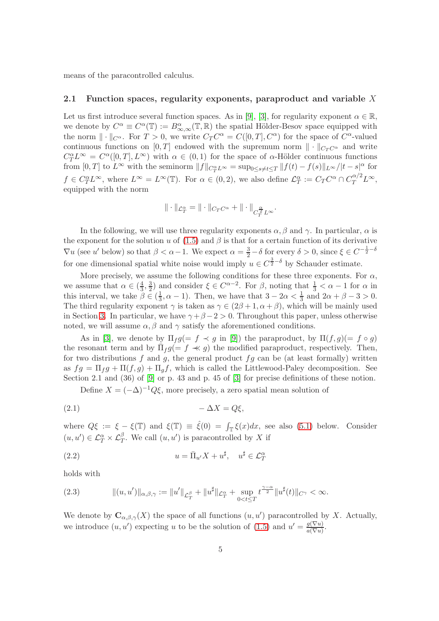<span id="page-4-0"></span>means of the paracontrolled calculus.

#### 2.1 Function spaces, regularity exponents, paraproduct and variable  $X$

Let us first introduce several function spaces. As in [\[9\]](#page-38-2), [\[3\]](#page-37-0), for regularity exponent  $\alpha \in \mathbb{R}$ , we denote by  $C^{\alpha} \equiv C^{\alpha}(\mathbb{T}) := B^{\alpha}_{\infty,\infty}(\mathbb{T},\mathbb{R})$  the spatial Hölder-Besov space equipped with the norm  $\|\cdot\|_{C^{\alpha}}$ . For  $T > 0$ , we write  $C_T C^{\alpha} = C([0, T], C^{\alpha})$  for the space of  $C^{\alpha}$ -valued continuous functions on [0, T] endowed with the supremum norm  $\|\cdot\|_{C_T C^{\alpha}}$  and write  $C_T^{\alpha}L^{\infty} = C^{\alpha}([0,T], L^{\infty})$  with  $\alpha \in (0,1)$  for the space of  $\alpha$ -Hölder continuous functions from  $[0,T]$  to  $L^{\infty}$  with the seminorm  $||f||_{C_T^{\alpha}L^{\infty}} = \sup_{0 \le s \neq t \le T} ||f(t) - f(s)||_{L^{\infty}}/|t - s|^{\alpha}$  for  $f \in C_T^{\alpha} L^{\infty}$ , where  $L^{\infty} = L^{\infty}(\mathbb{T})$ . For  $\alpha \in (0, 2)$ , we also define  $\mathcal{L}_T^{\alpha} := C_T C^{\alpha} \cap C_T^{\alpha/2} L^{\infty}$ , equipped with the norm

$$
\|\cdot\|_{\mathcal{L}^\alpha_T}=\|\cdot\|_{C_T C^\alpha}+\|\cdot\|_{C_T^{\frac{\alpha}{2}}L^\infty}.
$$

In the following, we will use three regularity exponents  $\alpha$ ,  $\beta$  and  $\gamma$ . In particular,  $\alpha$  is the exponent for the solution u of [\(1.5\)](#page-1-3) and  $\beta$  is that for a certain function of its derivative  $\nabla u$  (see u' below) so that  $\beta < \alpha - 1$ . We expect  $\alpha = \frac{3}{2} - \delta$  for every  $\delta > 0$ , since  $\xi \in C^{-\frac{1}{2} - \delta}$ for one dimensional spatial white noise would imply  $u \in C^{\frac{3}{2} - \delta}$  by Schauder estimate.

More precisely, we assume the following conditions for these three exponents. For  $\alpha$ , we assume that  $\alpha \in (\frac{4}{3})$  $\frac{4}{3}, \frac{3}{2}$  $\frac{3}{2}$  and consider  $\xi \in C^{\alpha-2}$ . For  $\beta$ , noting that  $\frac{1}{3} < \alpha - 1$  for  $\alpha$  in this interval, we take  $\beta \in (\frac{1}{3})$  $\frac{1}{3}$ ,  $\alpha - 1$ ). Then, we have that  $3 - 2\alpha < \frac{1}{3}$  and  $2\alpha + \beta - 3 > 0$ . The third regularity exponent  $\gamma$  is taken as  $\gamma \in (2\beta + 1, \alpha + \beta)$ , which will be mainly used in Section [3.](#page-13-0) In particular, we have  $\gamma + \beta - 2 > 0$ . Throughout this paper, unless otherwise noted, we will assume  $\alpha, \beta$  and  $\gamma$  satisfy the aforementioned conditions.

As in [\[3\]](#page-37-0), we denote by  $\Pi_f g (= f \prec g$  in [\[9\]](#page-38-2)) the paraproduct, by  $\Pi(f,g) (= f \circ g)$ the resonant term and by  $\bar{\Pi}_f g (= f \ll g)$  the modified paraproduct, respectively. Then, for two distributions  $f$  and  $g$ , the general product  $fg$  can be (at least formally) written as  $fg = \Pi_f g + \Pi(f, g) + \Pi_g f$ , which is called the Littlewood-Paley decomposition. See Section 2.1 and (36) of [\[9\]](#page-38-2) or p. 43 and p. 45 of [\[3\]](#page-37-0) for precise definitions of these notion.

<span id="page-4-3"></span>Define  $X = (-\Delta)^{-1} Q \xi$ , more precisely, a zero spatial mean solution of

$$
(2.1) \t-\Delta X = Q\xi,
$$

where  $Q\xi := \xi - \xi(\mathbb{T})$  and  $\xi(\mathbb{T}) \equiv \hat{\xi}(0) = \int_{\mathbb{T}} \xi(x) dx$ , see also [\(5.1\)](#page-31-1) below. Consider  $(u, u') \in \mathcal{L}_T^{\alpha} \times \mathcal{L}_T^{\beta}$ . We call  $(u, u')$  is paracontrolled by X if

<span id="page-4-1"></span>(2.2) 
$$
u = \bar{\Pi}_{u'} X + u^{\sharp}, \quad u^{\sharp} \in \mathcal{L}_T^{\alpha}
$$

holds with

<span id="page-4-2"></span>(2.3) 
$$
\|(u, u')\|_{\alpha, \beta, \gamma} := \|u'\|_{\mathcal{L}_T^{\beta}} + \|u^{\sharp}\|_{\mathcal{L}_T^{\alpha}} + \sup_{0 < t \leq T} t^{\frac{\gamma - \alpha}{2}} \|u^{\sharp}(t)\|_{C^{\gamma}} < \infty.
$$

We denote by  $\mathbf{C}_{\alpha,\beta,\gamma}(X)$  the space of all functions  $(u, u')$  paracontrolled by X. Actually, we introduce  $(u, u')$  expecting u to be the solution of  $(1.5)$  and  $u' = \frac{g(\nabla u)}{g(\nabla u)}$  $rac{g(\nabla u)}{a(\nabla u)}$ .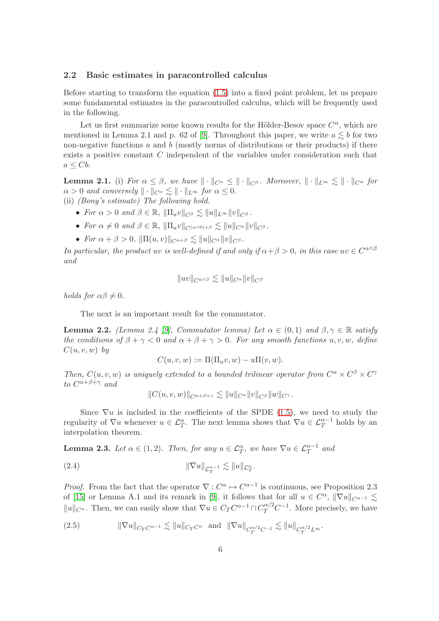#### 2.2 Basic estimates in paracontrolled calculus

Before starting to transform the equation [\(1.5\)](#page-1-3) into a fixed point problem, let us prepare some fundamental estimates in the paracontrolled calculus, which will be frequently used in the following.

Let us first summarize some known results for the Hölder-Besov space  $C^{\alpha}$ , which are mentioned in Lemma 2.1 and p. 62 of [\[9\]](#page-38-2). Throughout this paper, we write  $a \leq b$  for two non-negative functions  $a$  and  $b$  (mostly norms of distributions or their products) if there exists a positive constant C independent of the variables under consideration such that  $a \leq Cb$ .

<span id="page-5-0"></span>**Lemma 2.1.** (i) For  $\alpha \leq \beta$ , we have  $\|\cdot\|_{C^{\alpha}} \leq \|\cdot\|_{C^{\beta}}$ . Moreover,  $\|\cdot\|_{L^{\infty}} \leq \|\cdot\|_{C^{\alpha}}$  for  $\alpha > 0$  and conversely  $\| \cdot \|_{C^\alpha} \lesssim \| \cdot \|_{L^\infty}$  for  $\alpha \leq 0$ .

- (ii) (Bony's estimate) The following hold.
	- For  $\alpha > 0$  and  $\beta \in \mathbb{R}$ ,  $\|\Pi_u v\|_{C^\beta} \leq \|u\|_{L^\infty} \|v\|_{C^\beta}$ .
	- For  $\alpha \neq 0$  and  $\beta \in \mathbb{R}$ ,  $\|\Pi_u v\|_{C^{(\alpha \wedge 0)+\beta}} \lesssim \|u\|_{C^\alpha} \|v\|_{C^\beta}$ .
	- For  $\alpha + \beta > 0$ ,  $\|\Pi(u, v)\|_{C^{\alpha+\beta}} \leq \|u\|_{C^{\alpha}} \|v\|_{C^{\beta}}$ .

In particular, the product uv is well-defined if and only if  $\alpha + \beta > 0$ , in this case uv  $\in C^{\alpha \wedge \beta}$ and

$$
||uv||_{C^{\alpha \wedge \beta}} \lesssim ||u||_{C^{\alpha}} ||v||_{C^{\beta}}
$$

holds for  $\alpha\beta \neq 0$ .

The next is an important result for the commutator.

<span id="page-5-3"></span>**Lemma 2.2.** (Lemma 2.4 [\[9\]](#page-38-2), Commutator lemma) Let  $\alpha \in (0,1)$  and  $\beta, \gamma \in \mathbb{R}$  satisfy the conditions of  $\beta + \gamma < 0$  and  $\alpha + \beta + \gamma > 0$ . For any smooth functions u, v, w, define  $C(u, v, w)$  by

$$
C(u, v, w) := \Pi(\Pi_u v, w) - u\Pi(v, w).
$$

Then,  $C(u, v, w)$  is uniquely extended to a bounded trilinear operator from  $C^{\alpha} \times C^{\beta} \times C^{\gamma}$ to  $C^{\alpha+\beta+\gamma}$  and

$$
||C(u,v,w)||_{C^{\alpha+\beta+\gamma}} \lesssim ||u||_{C^{\alpha}} ||v||_{C^{\beta}} ||w||_{C^{\gamma}}.
$$

Since  $\nabla u$  is included in the coefficients of the SPDE [\(1.5\)](#page-1-3), we need to study the regularity of  $\nabla u$  whenever  $u \in \mathcal{L}_T^{\alpha}$ . The next lemma shows that  $\nabla u \in \mathcal{L}_T^{\alpha-1}$  holds by an interpolation theorem.

<span id="page-5-4"></span>**Lemma 2.3.** Let  $\alpha \in (1,2)$ . Then, for any  $u \in \mathcal{L}_T^{\alpha}$ , we have  $\nabla u \in \mathcal{L}_T^{\alpha-1}$  and

<span id="page-5-2"></span>
$$
||\nabla u||_{\mathcal{L}_T^{\alpha-1}} \lesssim ||u||_{\mathcal{L}_T^{\alpha}}.
$$

*Proof.* From the fact that the operator  $\nabla$  :  $C^{\alpha} \rightarrow C^{\alpha-1}$  is continuous, see Proposition 2.3 of [\[15\]](#page-38-9) or Lemma A.1 and its remark in [\[9\]](#page-38-2), it follows that for all  $u \in C^{\alpha}$ ,  $\|\nabla u\|_{C^{\alpha-1}} \lesssim$  $||u||_{C^{\alpha}}$ . Then, we can easily show that  $\nabla u \in C_T C^{\alpha-1} \cap C_T^{\alpha/2} C^{-1}$ . More precisely, we have

<span id="page-5-1"></span>(2.5) 
$$
\|\nabla u\|_{C_T C^{\alpha-1}} \lesssim \|u\|_{C_T C^{\alpha}} \text{ and } \|\nabla u\|_{C_T^{\alpha/2} C^{-1}} \lesssim \|u\|_{C_T^{\alpha/2} L^\infty}.
$$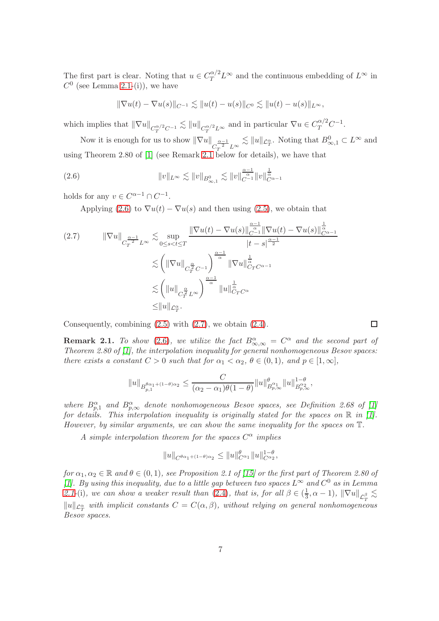The first part is clear. Noting that  $u \in C_T^{\alpha/2} L^\infty$  and the continuous embedding of  $L^\infty$  in  $C^0$  (see Lemma [2.1-](#page-5-0)(i)), we have

$$
\|\nabla u(t) - \nabla u(s)\|_{C^{-1}} \lesssim \|u(t) - u(s)\|_{C^0} \lesssim \|u(t) - u(s)\|_{L^\infty},
$$

which implies that  $\|\nabla u\|_{C_T^{\alpha/2}C^{-1}} \lesssim \|u\|_{C_T^{\alpha/2}L^\infty}$  and in particular  $\nabla u \in C_T^{\alpha/2}C^{-1}$ .

Now it is enough for us to show  $\|\nabla u\|_{C_T^{\frac{\alpha-1}{2}}L^\infty} \lesssim \|u\|_{\mathcal{L}_T^\alpha}$ . Noting that  $B^0_{\infty,1} \subset L^\infty$  and using Theorem 2.80 of [\[1\]](#page-37-2) (see Remark [2.1](#page-6-0) below for details), we have that

<span id="page-6-1"></span>(2.6) 
$$
||v||_{L^{\infty}} \lesssim ||v||_{B_{\infty,1}^0} \lesssim ||v||_{C^{-1}}^{\frac{\alpha-1}{\alpha}} ||v||_{C^{\alpha-1}}^{\frac{1}{\alpha}}
$$

holds for any  $v \in C^{\alpha-1} \cap C^{-1}$ .

Applying [\(2.6\)](#page-6-1) to  $\nabla u(t) - \nabla u(s)$  and then using [\(2.5\)](#page-5-1), we obtain that

<span id="page-6-2"></span>
$$
(2.7) \qquad \|\nabla u\|_{C_T^{\frac{\alpha-1}{2}}L^{\infty}} \lesssim \sup_{0 \le s < t \le T} \frac{\|\nabla u(t) - \nabla u(s)\|_{C^{\alpha-1}}^{\frac{\alpha-1}{\alpha}} \|\nabla u(t) - \nabla u(s)\|_{C^{\alpha-1}}^{\frac{1}{\alpha}}}{|t - s|^{\frac{\alpha-1}{2}}} \lesssim \left(\|\nabla u\|_{C_T^{\frac{\alpha}{2}}C^{-1}}\right)^{\frac{\alpha-1}{\alpha}} \|\nabla u\|_{C_T^{\alpha}}^{\frac{1}{\alpha}}.
$$

$$
\lesssim \left(\|u\|_{C_T^{\frac{\alpha}{2}}L^{\infty}}\right)^{\frac{\alpha-1}{\alpha}} \|u\|_{C_T^{\alpha}}^{\frac{1}{\alpha}}.
$$

$$
\le \|u\|_{\mathcal{L}_T^{\alpha}}.
$$

Consequently, combining [\(2.5\)](#page-5-1) with [\(2.7\)](#page-6-2), we obtain [\(2.4\)](#page-5-2).

<span id="page-6-0"></span>**Remark 2.1.** To show [\(2.6\)](#page-6-1), we utilize the fact  $B^{\alpha}_{\infty,\infty} = C^{\alpha}$  and the second part of Theorem 2.80 of [\[1\]](#page-37-2), the interpolation inequality for general nonhomogeneous Besov spaces: there exists a constant  $C > 0$  such that for  $\alpha_1 < \alpha_2, \theta \in (0,1)$ , and  $p \in [1,\infty]$ ,

$$
||u||_{B_{p,1}^{\theta\alpha_1+(1-\theta)\alpha_2}} \leq \frac{C}{(\alpha_2-\alpha_1)\theta(1-\theta)}||u||_{B_{p,\infty}^{\alpha_1}}^{\theta}||u||_{B_{p,\infty}^{\alpha_2}}^{1-\theta},
$$

where  $B_{p,1}^{\alpha}$  and  $B_{p,\infty}^{\alpha}$  denote nonhomogeneous Besov spaces, see Definition 2.68 of [\[1\]](#page-37-2) for details. This interpolation inequality is originally stated for the spaces on  $\mathbb R$  in [\[1\]](#page-37-2). However, by similar arguments, we can show the same inequality for the spaces on T.

A simple interpolation theorem for the spaces  $C^{\alpha}$  implies

$$
||u||_{C^{\theta\alpha_1+(1-\theta)\alpha_2}} \leq ||u||_{C^{\alpha_1}}^{\theta} ||u||_{C^{\alpha_2}}^{1-\theta},
$$

for  $\alpha_1, \alpha_2 \in \mathbb{R}$  and  $\theta \in (0,1)$ , see Proposition 2.1 of [\[15\]](#page-38-9) or the first part of Theorem 2.80 of [\[1\]](#page-37-2). By using this inequality, due to a little gap between two spaces  $L^{\infty}$  and  $C^0$  as in Lemma [2.1-](#page-5-0)(i), we can show a weaker result than [\(2.4\)](#page-5-2), that is, for all  $\beta \in (\frac{1}{3})$  $\frac{1}{3}, \alpha - 1$ ),  $\|\nabla u\|_{\mathcal{L}_T^{\beta}} \lesssim$  $||u||_{\mathcal{L}_T^{\alpha}}$  with implicit constants  $C = C(\alpha, \beta)$ , without relying on general nonhomogeneous Besov spaces.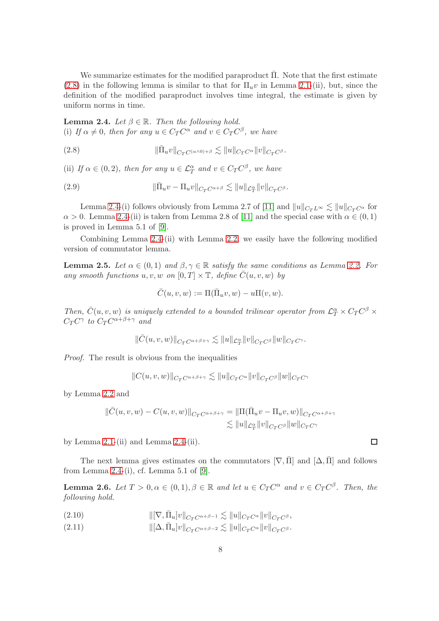We summarize estimates for the modified paraproduct  $\bar{\Pi}$ . Note that the first estimate [\(2.8\)](#page-7-0) in the following lemma is similar to that for  $\Pi_u v$  in Lemma [2.1-](#page-5-0)(ii), but, since the definition of the modified paraproduct involves time integral, the estimate is given by uniform norms in time.

<span id="page-7-1"></span>**Lemma 2.4.** Let  $\beta \in \mathbb{R}$ . Then the following hold. (i) If  $\alpha \neq 0$ , then for any  $u \in C_T C^{\alpha}$  and  $v \in C_T C^{\beta}$ , we have

<span id="page-7-0"></span>(2.8) 
$$
\|\bar{\Pi}_u v\|_{C_T C^{(\alpha \wedge 0) + \beta}} \lesssim \|u\|_{C_T C^{\alpha}} \|v\|_{C_T C^{\beta}}.
$$

(ii) If  $\alpha \in (0, 2)$ , then for any  $u \in \mathcal{L}_T^{\alpha}$  and  $v \in C_T C^{\beta}$ , we have

<span id="page-7-4"></span>(2.9) 
$$
\|\bar{\Pi}_u v - \Pi_u v\|_{C_T C^{\alpha+\beta}} \lesssim \|u\|_{\mathcal{L}_T^{\alpha}} \|v\|_{C_T C^{\beta}}.
$$

Lemma [2.4-](#page-7-1)(i) follows obviously from Lemma 2.7 of [\[11\]](#page-38-10) and  $||u||_{C_TL^{\infty}} \lesssim ||u||_{C_TC^{\alpha}}$  for  $\alpha > 0$ . Lemma [2.4-](#page-7-1)(ii) is taken from Lemma 2.8 of [\[11\]](#page-38-10) and the special case with  $\alpha \in (0,1)$ is proved in Lemma 5.1 of [\[9\]](#page-38-2).

Combining Lemma [2.4-](#page-7-1)(ii) with Lemma [2.2,](#page-5-3) we easily have the following modified version of commutator lemma.

<span id="page-7-6"></span>**Lemma 2.5.** Let  $\alpha \in (0,1)$  and  $\beta, \gamma \in \mathbb{R}$  satisfy the same conditions as Lemma [2.2.](#page-5-3) For any smooth functions  $u, v, w$  on  $[0, T] \times \mathbb{T}$ , define  $\overline{C}(u, v, w)$  by

$$
\overline{C}(u,v,w) := \Pi(\overline{\Pi}_uv,w) - u\Pi(v,w).
$$

Then,  $\bar{C}(u, v, w)$  is uniquely extended to a bounded trilinear operator from  $\mathcal{L}_T^{\alpha} \times C_T C^{\beta} \times$  $C_T C^{\gamma}$  to  $C_T C^{\alpha+\beta+\gamma}$  and

 $\|\bar C(u,v,w)\|_{C_T C^{\alpha+\beta+\gamma}} \lesssim \|u\|_{\mathcal{L}^\alpha_T} \|v\|_{C_T C^\beta}\|w\|_{C_T C^\gamma}.$ 

Proof. The result is obvious from the inequalities

 $||C(u, v, w)||_{C_T C^{\alpha+\beta+\gamma}} \lesssim ||u||_{C_T C^{\alpha}} ||v||_{C_T C^{\beta}} ||w||_{C_T C^{\gamma}}$ 

by Lemma [2.2](#page-5-3) and

$$
\begin{aligned} \|\bar{C}(u,v,w)-C(u,v,w)\|_{C_TC^{\alpha+\beta+\gamma}}&=\|\Pi(\bar{\Pi}_uv-\Pi_u v,w)\|_{C_TC^{\alpha+\beta+\gamma}}\\ &\lesssim \|u\|_{\mathcal{L}^\alpha_T}\|v\|_{C_TC^\beta}\|w\|_{C_TC^\gamma} \end{aligned}
$$

by Lemma  $2.1-(ii)$  and Lemma  $2.4-(ii)$ .

The next lemma gives estimates on the commutators  $[\nabla, \overline{I}]$  and  $[\Delta, \overline{I}]$  and follows from Lemma [2.4-](#page-7-1)(i), cf. Lemma 5.1 of  $[9]$ .

<span id="page-7-5"></span>**Lemma 2.6.** Let  $T > 0, \alpha \in (0, 1), \beta \in \mathbb{R}$  and let  $u \in C_T C^{\alpha}$  and  $v \in C_T C^{\beta}$ . Then, the following hold.

- <span id="page-7-2"></span> $\|[\nabla, \bar{\Pi}_u]v\|_{C_T C^{\alpha+\beta-1}} \lesssim \|u\|_{C_T C^{\alpha}} \|v\|_{C_T C^{\beta}},$
- <span id="page-7-3"></span>(2.11)  $\|\[\Delta, \bar{\Pi}_u]v\|_{C_{\mathcal{F}}C^{\alpha+\beta-2}} \lesssim \|u\|_{C_{\mathcal{F}}C^{\alpha}} \|v\|_{C_{\mathcal{F}}C^{\beta}}.$

 $\Box$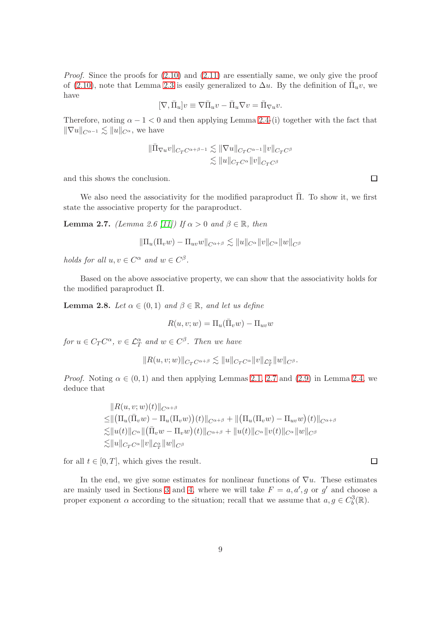Proof. Since the proofs for [\(2.10\)](#page-7-2) and [\(2.11\)](#page-7-3) are essentially same, we only give the proof of [\(2.10\)](#page-7-2), note that Lemma [2.3](#page-5-4) is easily generalized to  $\Delta u$ . By the definition of  $\bar{\Pi}_u v$ , we have

$$
[\nabla,\bar\Pi_u]v\equiv\nabla\bar\Pi_u v-\bar\Pi_u\nabla v=\bar\Pi_{\nabla u}v.
$$

Therefore, noting  $\alpha - 1 < 0$  and then applying Lemma [2.4-](#page-7-1)(i) together with the fact that  $\|\nabla u\|_{C^{\alpha-1}} \lesssim \|u\|_{C^{\alpha}},$  we have

$$
\begin{aligned}\|\bar{\Pi}_{\nabla u}v\|_{C_T C^{\alpha+\beta-1}} &\lesssim \|\nabla u\|_{C_T C^{\alpha-1}}\|v\|_{C_T C^\beta}\\ &\lesssim \|u\|_{C_T C^\alpha}\|v\|_{C_T C^\beta}\end{aligned}
$$

and this shows the conclusion.

We also need the associativity for the modified paraproduct  $\overline{\Pi}$ . To show it, we first state the associative property for the paraproduct.

<span id="page-8-0"></span>**Lemma 2.7.** (Lemma 2.6 [\[11\]](#page-38-10)) If  $\alpha > 0$  and  $\beta \in \mathbb{R}$ , then

$$
\|\Pi_u(\Pi_v w) - \Pi_{uv} w\|_{C^{\alpha+\beta}} \lesssim \|u\|_{C^{\alpha}} \|v\|_{C^{\alpha}} \|w\|_{C^{\beta}}
$$

holds for all  $u, v \in C^{\alpha}$  and  $w \in C^{\beta}$ .

Based on the above associative property, we can show that the associativity holds for the modified paraproduct  $\bar{\Pi}$ .

<span id="page-8-1"></span>**Lemma 2.8.** Let  $\alpha \in (0,1)$  and  $\beta \in \mathbb{R}$ , and let us define

$$
R(u, v; w) = \Pi_u(\bar{\Pi}_v w) - \Pi_{uv} w
$$

for  $u \in C_T C^{\alpha}$ ,  $v \in \mathcal{L}_T^{\alpha}$  and  $w \in C^{\beta}$ . Then we have

$$
||R(u, v; w)||_{C_T C^{\alpha + \beta}} \lesssim ||u||_{C_T C^{\alpha}} ||v||_{\mathcal{L}_T^{\alpha}} ||w||_{C^{\beta}}.
$$

*Proof.* Noting  $\alpha \in (0,1)$  and then applying Lemmas [2.1,](#page-5-0) [2.7](#page-8-0) and [\(2.9\)](#page-7-4) in Lemma [2.4,](#page-7-1) we deduce that

$$
||R(u, v; w)(t)||_{C^{\alpha+\beta}}\leq ||(\Pi_u(\bar{\Pi}_v w) - \Pi_u(\Pi_v w))(t)||_{C^{\alpha+\beta}} + ||(\Pi_u(\Pi_v w) - \Pi_{uv} w)(t)||_{C^{\alpha+\beta}}\leq ||u(t)||_{C^{\alpha}} ||(\bar{\Pi}_v w - \Pi_v w)(t)||_{C^{\alpha+\beta}} + ||u(t)||_{C^{\alpha}} ||v(t)||_{C^{\alpha}} ||w||_{C^{\beta}}\leq ||u||_{C_T C^{\alpha}} ||v||_{\mathcal{L}_T^{\alpha}} ||w||_{C^{\beta}}
$$

for all  $t \in [0, T]$ , which gives the result.

In the end, we give some estimates for nonlinear functions of  $\nabla u$ . These estimates are mainly used in Sections [3](#page-13-0) and [4,](#page-27-0) where we will take  $F = a, a', g$  or g' and choose a proper exponent  $\alpha$  according to the situation; recall that we assume that  $a, g \in C_b^3(\mathbb{R})$ .

 $\Box$ 

 $\Box$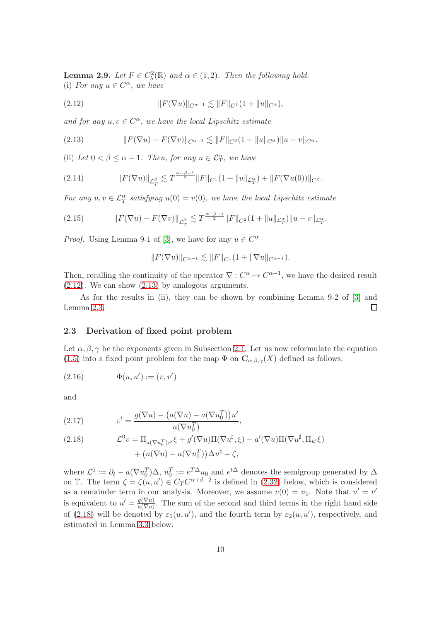<span id="page-9-4"></span>**Lemma 2.9.** Let  $F \in C_b^2(\mathbb{R})$  and  $\alpha \in (1, 2)$ . Then the following hold. (i) For any  $u \in C^{\alpha}$ , we have

<span id="page-9-1"></span>(2.12) 
$$
||F(\nabla u)||_{C^{\alpha-1}} \lesssim ||F||_{C^1} (1 + ||u||_{C^{\alpha}}),
$$

and for any  $u, v \in C^{\alpha}$ , we have the local Lipschitz estimate

<span id="page-9-2"></span>(2.13) 
$$
||F(\nabla u) - F(\nabla v)||_{C^{\alpha-1}} \lesssim ||F||_{C^2} (1 + ||u||_{C^{\alpha}}) ||u - v||_{C^{\alpha}}.
$$

(ii) Let  $0 < \beta \leq \alpha - 1$ . Then, for any  $u \in \mathcal{L}_T^{\alpha}$ , we have

<span id="page-9-7"></span>(2.14) 
$$
\|F(\nabla u)\|_{\mathcal{L}^{\beta}_{T}} \lesssim T^{\frac{\alpha-\beta-1}{2}} \|F\|_{C^{1}} (1 + \|u\|_{\mathcal{L}^{\alpha}_{T}}) + \|F(\nabla u(0))\|_{C^{\beta}}.
$$

For any  $u, v \in \mathcal{L}^{\alpha}_T$  satisfying  $u(0) = v(0)$ , we have the local Lipschitz estimate

<span id="page-9-6"></span>(2.15) 
$$
\|F(\nabla u) - F(\nabla v)\|_{\mathcal{L}^{\beta}_{T}} \lesssim T^{\frac{\alpha-\beta-1}{2}} \|F\|_{C^{2}} (1 + \|u\|_{\mathcal{L}^{\alpha}_{T}}) \|u - v\|_{\mathcal{L}^{\alpha}_{T}}.
$$

*Proof.* Using Lemma 9-1 of [\[3\]](#page-37-0), we have for any  $u \in C^{\alpha}$ 

$$
||F(\nabla u)||_{C^{\alpha-1}} \lesssim ||F||_{C^1}(1+||\nabla u||_{C^{\alpha-1}}).
$$

Then, recalling the continuity of the operator  $\nabla : C^{\alpha} \to C^{\alpha-1}$ , we have the desired result  $(2.12)$ . We can show  $(2.13)$  by analogous arguments.

As for the results in (ii), they can be shown by combining Lemma 9-2 of [\[3\]](#page-37-0) and Lemma [2.3.](#page-5-4)  $\Box$ 

### 2.3 Derivation of fixed point problem

Let  $\alpha, \beta, \gamma$  be the exponents given in Subsection [2.1.](#page-4-0) Let us now reformulate the equation [\(1.5\)](#page-1-3) into a fixed point problem for the map  $\Phi$  on  $\mathbf{C}_{\alpha,\beta,\gamma}(X)$  defined as follows:

<span id="page-9-0"></span>(2.16) 
$$
\Phi(u, u') := (v, v')
$$

and

<span id="page-9-5"></span>(2.17) 
$$
v' = \frac{g(\nabla u) - (a(\nabla u) - a(\nabla u_0^T))u'}{a(\nabla u_0^T)},
$$

<span id="page-9-3"></span>(2.18) 
$$
\mathcal{L}^0 v = \Pi_{a(\nabla u_0^T)v'} \xi + g'(\nabla u) \Pi(\nabla u^{\sharp}, \xi) - a'(\nabla u) \Pi(\nabla u^{\sharp}, \bar{\Pi}_{u'} \xi) + (a(\nabla u) - a(\nabla u_0^T)) \Delta u^{\sharp} + \zeta,
$$

where  $\mathcal{L}^0 := \partial_t - a(\nabla u_0^T) \Delta, u_0^T := e^{T\Delta} u_0$  and  $e^{t\Delta}$  denotes the semigroup generated by  $\Delta$ on T. The term  $\zeta = \zeta(u, u') \in C_T C^{\alpha + \beta - 2}$  is defined in [\(2.32\)](#page-12-0) below, which is considered as a remainder term in our analysis. Moreover, we assume  $v(0) = u_0$ . Note that  $u' = v'$ is equivalent to  $u' = \frac{g(\nabla u)}{g(\nabla u)}$  $\frac{g(\nabla u)}{a(\nabla u)}$ . The sum of the second and third terms in the right hand side of [\(2.18\)](#page-9-3) will be denoted by  $\varepsilon_1(u, u')$ , and the fourth term by  $\varepsilon_2(u, u')$ , respectively, and estimated in Lemma [3.3](#page-15-0) below.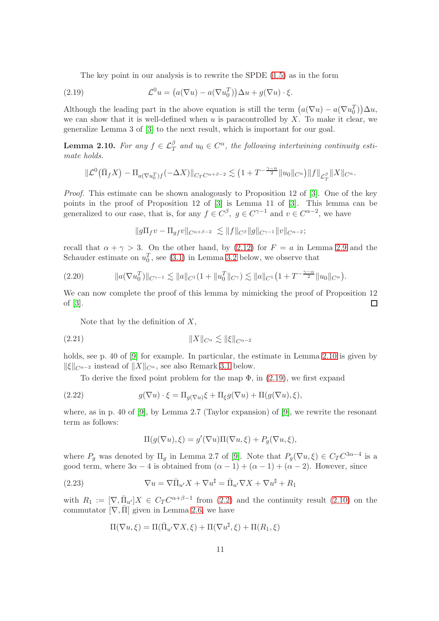The key point in our analysis is to rewrite the SPDE [\(1.5\)](#page-1-3) as in the form

<span id="page-10-1"></span>(2.19) 
$$
\mathcal{L}^0 u = \left( a(\nabla u) - a(\nabla u_0^T) \right) \Delta u + g(\nabla u) \cdot \xi.
$$

Although the leading part in the above equation is still the term  $(a(\nabla u) - a(\nabla u_0^T))\Delta u$ , we can show that it is well-defined when  $u$  is paracontrolled by  $X$ . To make it clear, we generalize Lemma 3 of [\[3\]](#page-37-0) to the next result, which is important for our goal.

<span id="page-10-0"></span>**Lemma 2.10.** For any  $f \in \mathcal{L}_T^{\beta}$  and  $u_0 \in C^{\alpha}$ , the following intertwining continuity estimate holds.

$$
\|\mathcal{L}^0(\bar{\Pi}_f X) - \Pi_{a(\nabla u_0^T)f}(-\Delta X)\|_{C_T C^{\alpha+\beta-2}} \lesssim (1+T^{-\frac{\gamma-\alpha}{2}}\|u_0\|_{C^\alpha})\|f\|_{\mathcal{L}_T^\beta}\|X\|_{C^\alpha}.
$$

Proof. This estimate can be shown analogously to Proposition 12 of [\[3\]](#page-37-0). One of the key points in the proof of Proposition 12 of [\[3\]](#page-37-0) is Lemma 11 of [\[3\]](#page-37-0). This lemma can be generalized to our case, that is, for any  $f \in C^{\beta}$ ,  $g \in C^{\gamma-1}$  and  $v \in C^{\alpha-2}$ , we have

 $||g\Pi_f v - \Pi_{af} v||_{C^{\alpha+\beta-2}} \leq ||f||_{C^{\beta}} ||g||_{C^{\gamma-1}} ||v||_{C^{\alpha-2}};$ 

recall that  $\alpha + \gamma > 3$ . On the other hand, by [\(2.12\)](#page-9-1) for  $F = a$  in Lemma [2.9](#page-9-4) and the Schauder estimate on  $u_0^T$ , see [\(3.1\)](#page-14-0) in Lemma [3.2](#page-14-1) below, we observe that

<span id="page-10-3"></span>
$$
(2.20) \t\t ||a(\nabla u_0^T)||_{C^{\gamma-1}} \lesssim ||a||_{C^1}(1+||u_0^T||_{C^{\gamma}}) \lesssim ||a||_{C^1}\big(1+T^{-\frac{\gamma-\alpha}{2}}||u_0||_{C^{\alpha}}\big).
$$

We can now complete the proof of this lemma by mimicking the proof of Proposition 12 of [\[3\]](#page-37-0).  $\Box$ 

Note that by the definition of  $X$ ,

<span id="page-10-5"></span>(2.21) kXkC<sup>α</sup> . kξkCα−<sup>2</sup>

holds, see p. 40 of [\[9\]](#page-38-2) for example. In particular, the estimate in Lemma [2.10](#page-10-0) is given by  $\|\xi\|_{C^{\alpha-2}}$  instead of  $\|X\|_{C^{\alpha}}$ , see also Remark [3.1](#page-15-1) below.

To derive the fixed point problem for the map  $\Phi$ , in [\(2.19\)](#page-10-1), we first expand

(2.22) 
$$
g(\nabla u) \cdot \xi = \Pi_{g(\nabla u)} \xi + \Pi_{\xi} g(\nabla u) + \Pi(g(\nabla u), \xi),
$$

where, as in p. 40 of [\[9\]](#page-38-2), by Lemma 2.7 (Taylor expansion) of [\[9\]](#page-38-2), we rewrite the resonant term as follows:

<span id="page-10-4"></span><span id="page-10-2"></span>
$$
\Pi(g(\nabla u), \xi) = g'(\nabla u) \Pi(\nabla u, \xi) + P_g(\nabla u, \xi),
$$

where  $P_g$  was denoted by  $\Pi_g$  in Lemma 2.7 of [\[9\]](#page-38-2). Note that  $P_g(\nabla u,\xi) \in C_T C^{3\alpha-4}$  is a good term, where  $3\alpha - 4$  is obtained from  $(\alpha - 1) + (\alpha - 1) + (\alpha - 2)$ . However, since

(2.23) 
$$
\nabla u = \nabla \bar{\Pi}_{u'} X + \nabla u^{\sharp} = \bar{\Pi}_{u'} \nabla X + \nabla u^{\sharp} + R_1
$$

with  $R_1 := [\nabla, \overline{\Pi}_{u'}]X \in C_T C^{\alpha+\beta-1}$  from [\(2.2\)](#page-4-1) and the continuity result [\(2.10\)](#page-7-2) on the commutator  $[\nabla, \overline{\Pi}]$  given in Lemma [2.6,](#page-7-5) we have

$$
\Pi(\nabla u,\xi) = \Pi(\bar{\Pi}_{u'}\nabla X,\xi) + \Pi(\nabla u^{\sharp},\xi) + \Pi(R_1,\xi)
$$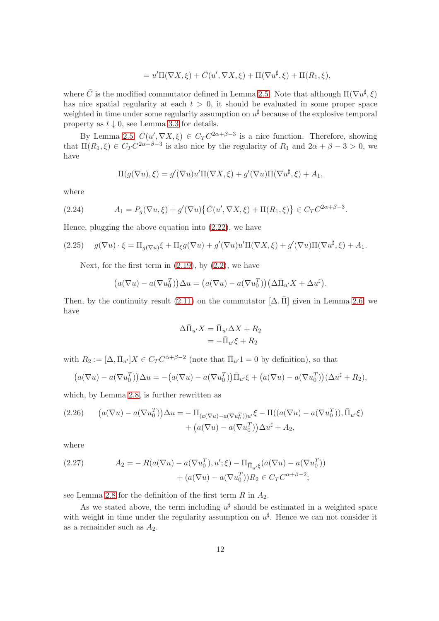$$
=u'\Pi(\nabla X,\xi)+\overline{C}(u',\nabla X,\xi)+\Pi(\nabla u^{\sharp},\xi)+\Pi(R_1,\xi),
$$

where  $\bar{C}$  is the modified commutator defined in Lemma [2.5.](#page-7-6) Note that although  $\Pi(\nabla u^{\sharp}, \xi)$ has nice spatial regularity at each  $t > 0$ , it should be evaluated in some proper space weighted in time under some regularity assumption on  $u^{\sharp}$  because of the explosive temporal property as  $t \downarrow 0$ , see Lemma [3.3](#page-15-0) for details.

By Lemma [2.5,](#page-7-6)  $\bar{C}(u', \nabla X, \xi) \in C_T C^{2\alpha+\beta-3}$  is a nice function. Therefore, showing that  $\Pi(R_1,\xi) \in C_T C^{2\alpha+\beta-3}$  is also nice by the regularity of  $R_1$  and  $2\alpha+\beta-3 > 0$ , we have

$$
\Pi(g(\nabla u), \xi) = g'(\nabla u)u'\Pi(\nabla X, \xi) + g'(\nabla u)\Pi(\nabla u^{\sharp}, \xi) + A_1,
$$

where

<span id="page-11-2"></span>(2.24) 
$$
A_1 = P_g(\nabla u, \xi) + g'(\nabla u) \{ \bar{C}(u', \nabla X, \xi) + \Pi(R_1, \xi) \} \in C_T C^{2\alpha + \beta - 3}.
$$

Hence, plugging the above equation into [\(2.22\)](#page-10-2), we have

<span id="page-11-1"></span>(2.25) 
$$
g(\nabla u) \cdot \xi = \Pi_{g(\nabla u)} \xi + \Pi_{\xi} g(\nabla u) + g'(\nabla u) u' \Pi(\nabla X, \xi) + g'(\nabla u) \Pi(\nabla u^{\sharp}, \xi) + A_1.
$$

Next, for the first term in  $(2.19)$ , by  $(2.2)$ , we have

$$
(a(\nabla u) - a(\nabla u_0^T))\Delta u = (a(\nabla u) - a(\nabla u_0^T))(\Delta \bar{\Pi}_{u'} X + \Delta u^{\sharp}).
$$

Then, by the continuity result [\(2.11\)](#page-7-3) on the commutator  $[\Delta, \overline{\Pi}]$  given in Lemma [2.6,](#page-7-5) we have

$$
\Delta \bar{\Pi}_{u'} X = \bar{\Pi}_{u'} \Delta X + R_2
$$
  
=  $-\bar{\Pi}_{u'} \xi + R_2$ 

with  $R_2 := [\Delta, \bar{\Pi}_{u'}]X \in C_T C^{\alpha+\beta-2}$  (note that  $\bar{\Pi}_{u'} 1 = 0$  by definition), so that

$$
(a(\nabla u) - a(\nabla u_0^T))\Delta u = -(a(\nabla u) - a(\nabla u_0^T))\overline{\Pi}_{u'}\xi + (a(\nabla u) - a(\nabla u_0^T))(\Delta u^{\sharp} + R_2),
$$

which, by Lemma [2.8,](#page-8-1) is further rewritten as

<span id="page-11-0"></span>(2.26) 
$$
(a(\nabla u) - a(\nabla u_0^T))\Delta u = -\Pi_{(a(\nabla u) - a(\nabla u_0^T))u'}\xi - \Pi((a(\nabla u) - a(\nabla u_0^T)), \overline{\Pi}_{u'}\xi) + (a(\nabla u) - a(\nabla u_0^T))\Delta u^{\sharp} + A_2,
$$

where

<span id="page-11-3"></span>(2.27) 
$$
A_2 = -R(a(\nabla u) - a(\nabla u_0^T), u'; \xi) - \Pi_{\bar{\Pi}_{u'}\xi}(a(\nabla u) - a(\nabla u_0^T)) + (a(\nabla u) - a(\nabla u_0^T))R_2 \in C_T C^{\alpha+\beta-2};
$$

see Lemma [2.8](#page-8-1) for the definition of the first term  $R$  in  $A_2$ .

As we stated above, the term including  $u^{\sharp}$  should be estimated in a weighted space with weight in time under the regularity assumption on  $u^{\sharp}$ . Hence we can not consider it as a remainder such as  $A_2$ .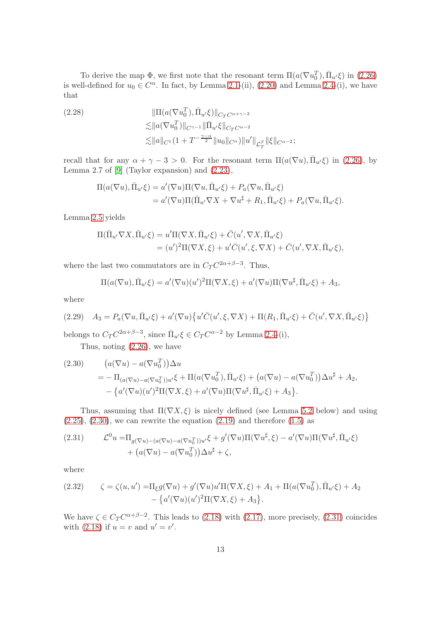To derive the map  $\Phi$ , we first note that the resonant term  $\Pi(a(\nabla u_0^T), \bar{\Pi}_{u'}\xi)$  in [\(2.26\)](#page-11-0) is well-defined for  $u_0 \in C^{\alpha}$ . In fact, by Lemma [2.1-](#page-5-0)(ii), [\(2.20\)](#page-10-3) and Lemma [2.4-](#page-7-1)(i), we have that

<span id="page-12-3"></span>(2.28)  
\n
$$
\|\Pi(a(\nabla u_0^T), \bar{\Pi}_{u'}\xi)\|_{C_T C^{\alpha+\gamma-3}}\n\lesssim ||a(\nabla u_0^T)||_{C^{\gamma-1}} \|\bar{\Pi}_{u'}\xi\|_{C_T C^{\alpha-2}}\n\lesssim ||a||_{C^1} (1+T^{-\frac{\gamma-\alpha}{2}}||u_0||_{C^{\alpha}})||u'||_{\mathcal{L}_T^{\beta}} ||\xi||_{C^{\alpha-2}};
$$

recall that for any  $\alpha + \gamma - 3 > 0$ . For the resonant term  $\Pi(a(\nabla u), \overline{\Pi}_{u'}\xi)$  in [\(2.26\)](#page-11-0), by Lemma 2.7 of  $[9]$  (Taylor expansion) and  $(2.23)$ ,

$$
\Pi(a(\nabla u), \overline{\Pi}_{u'}\xi) = a'(\nabla u)\Pi(\nabla u, \overline{\Pi}_{u'}\xi) + P_a(\nabla u, \overline{\Pi}_{u'}\xi)
$$
  
=  $a'(\nabla u)\Pi(\overline{\Pi}_{u'}\nabla X + \nabla u^{\sharp} + R_1, \overline{\Pi}_{u'}\xi) + P_a(\nabla u, \overline{\Pi}_{u'}\xi).$ 

Lemma [2.5](#page-7-6) yields

$$
\Pi(\bar{\Pi}_{u'}\nabla X, \bar{\Pi}_{u'}\xi) = u'\Pi(\nabla X, \bar{\Pi}_{u'}\xi) + \bar{C}(u', \nabla X, \bar{\Pi}_{u'}\xi)
$$
  
=  $(u')^2\Pi(\nabla X, \xi) + u'\bar{C}(u', \xi, \nabla X) + \bar{C}(u', \nabla X, \bar{\Pi}_{u'}\xi),$ 

where the last two commutators are in  $C_T C^{2\alpha+\beta-3}$ . Thus,

$$
\Pi(a(\nabla u), \overline{\Pi}_{u'}\xi) = a'(\nabla u)(u')^2\Pi(\nabla X, \xi) + a'(\nabla u)\Pi(\nabla u^{\sharp}, \overline{\Pi}_{u'}\xi) + A_3,
$$

where

<span id="page-12-4"></span>(2.29) 
$$
A_3 = P_a(\nabla u, \bar{\Pi}_{u'}\xi) + a'(\nabla u)\{u'\bar{C}(u', \xi, \nabla X) + \Pi(R_1, \bar{\Pi}_{u'}\xi) + \bar{C}(u', \nabla X, \bar{\Pi}_{u'}\xi)\}
$$

belongs to  $C_T C^{2\alpha+\beta-3}$ , since  $\bar{\Pi}_{u'}\xi \in C_T C^{\alpha-2}$  by Lemma [2.4-](#page-7-1)(i),

Thus, noting [\(2.26\)](#page-11-0), we have

<span id="page-12-1"></span>(2.30) 
$$
(a(\nabla u) - a(\nabla u_0^T))\Delta u
$$
  
=  $-\Pi_{(a(\nabla u) - a(\nabla u_0^T))u'}\xi + \Pi(a(\nabla u_0^T), \overline{\Pi}_{u'}\xi) + (a(\nabla u) - a(\nabla u_0^T))\Delta u^{\sharp} + A_2,$   
 $- \{a'(\nabla u)(u')^2\Pi(\nabla X, \xi) + a'(\nabla u)\Pi(\nabla u^{\sharp}, \overline{\Pi}_{u'}\xi) + A_3\}.$ 

Thus, assuming that  $\Pi(\nabla X,\xi)$  is nicely defined (see Lemma [5.2](#page-32-0) below) and using  $(2.25), (2.30),$  $(2.25), (2.30),$  $(2.25), (2.30),$  $(2.25), (2.30),$  we can rewrite the equation  $(2.19)$  and therefore  $(1.5)$  as

<span id="page-12-2"></span>(2.31) 
$$
\mathcal{L}^0 u = \Pi_{g(\nabla u) - (a(\nabla u) - a(\nabla u_0^T))u'} \xi + g'(\nabla u) \Pi(\nabla u^{\sharp}, \xi) - a'(\nabla u) \Pi(\nabla u^{\sharp}, \bar{\Pi}_{u'} \xi) + (a(\nabla u) - a(\nabla u_0^T)) \Delta u^{\sharp} + \zeta,
$$

where

<span id="page-12-0"></span>(2.32) 
$$
\zeta = \zeta(u, u') = \Pi_{\xi} g(\nabla u) + g'(\nabla u) u' \Pi(\nabla X, \xi) + A_1 + \Pi(a(\nabla u_0^T), \bar{\Pi}_{u'} \xi) + A_2 - \{a'(\nabla u)(u')^2 \Pi(\nabla X, \xi) + A_3\}.
$$

We have  $\zeta \in C_T C^{\alpha+\beta-2}$ . This leads to [\(2.18\)](#page-9-3) with [\(2.17\)](#page-9-5), more precisely, [\(2.31\)](#page-12-2) coincides with [\(2.18\)](#page-9-3) if  $u = v$  and  $u' = v'$ .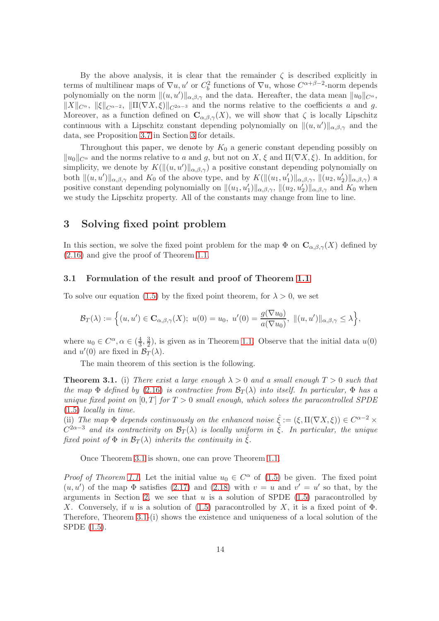By the above analysis, it is clear that the remainder  $\zeta$  is described explicitly in terms of multilinear maps of  $\nabla u$ ,  $u'$  or  $C_b^2$  functions of  $\nabla u$ , whose  $C^{\alpha+\beta-2}$ -norm depends polynomially on the norm  $\|(u, u')\|_{\alpha, \beta, \gamma}$  and the data. Hereafter, the data mean  $\|u_0\|_{C^{\alpha}}$ ,  $\|X\|_{C^{\alpha}}$ ,  $\|\xi\|_{C^{\alpha-2}}$ ,  $\|\Pi(\nabla X,\xi)\|_{C^{2\alpha-3}}$  and the norms relative to the coefficients a and g. Moreover, as a function defined on  $\mathbf{C}_{\alpha,\beta,\gamma}(X)$ , we will show that  $\zeta$  is locally Lipschitz continuous with a Lipschitz constant depending polynomially on  $||(u, u')||_{\alpha, \beta, \gamma}$  and the data, see Proposition [3.7](#page-24-0) in Section [3](#page-13-0) for details.

Throughout this paper, we denote by  $K_0$  a generic constant depending possibly on  $\|u_0\|_{C^\alpha}$  and the norms relative to a and g, but not on X,  $\xi$  and  $\Pi(\nabla X, \xi)$ . In addition, for simplicity, we denote by  $K(\|(u, u')\|_{\alpha, \beta, \gamma})$  a positive constant depending polynomially on both  $\|(u, u')\|_{\alpha, \beta, \gamma}$  and  $K_0$  of the above type, and by  $K(\|(u_1, u'_1)\|_{\alpha, \beta, \gamma}, \| (u_2, u'_2)\|_{\alpha, \beta, \gamma})$  a positive constant depending polynomially on  $\|(u_1, u'_1)\|_{\alpha,\beta,\gamma}$ ,  $\|(u_2, u'_2)\|_{\alpha,\beta,\gamma}$  and  $K_0$  when we study the Lipschitz property. All of the constants may change from line to line.

### <span id="page-13-0"></span>3 Solving fixed point problem

In this section, we solve the fixed point problem for the map  $\Phi$  on  $C_{\alpha,\beta,\gamma}(X)$  defined by [\(2.16\)](#page-9-0) and give the proof of Theorem [1.1.](#page-3-2)

#### 3.1 Formulation of the result and proof of Theorem [1.1](#page-3-2)

To solve our equation [\(1.5\)](#page-1-3) by the fixed point theorem, for  $\lambda > 0$ , we set

$$
\mathcal{B}_T(\lambda) := \Big\{ (u, u') \in \mathbf{C}_{\alpha, \beta, \gamma}(X); \ u(0) = u_0, \ u'(0) = \frac{g(\nabla u_0)}{a(\nabla u_0)}, \ \|(u, u')\|_{\alpha, \beta, \gamma} \le \lambda \Big\},\
$$

where  $u_0 \in C^{\alpha}, \alpha \in \left(\frac{4}{3}\right)$  $\frac{4}{3}, \frac{3}{2}$  $\frac{3}{2}$ , is given as in Theorem [1.1.](#page-3-2) Observe that the initial data  $u(0)$ and  $u'(0)$  are fixed in  $\mathcal{B}_T(\lambda)$ .

The main theorem of this section is the following.

<span id="page-13-1"></span>**Theorem 3.1.** (i) There exist a large enough  $\lambda > 0$  and a small enough  $T > 0$  such that the map  $\Phi$  defined by [\(2.16\)](#page-9-0) is contractive from  $\mathcal{B}_{T}(\lambda)$  into itself. In particular,  $\Phi$  has a unique fixed point on  $[0, T]$  for  $T > 0$  small enough, which solves the paracontrolled SPDE [\(1.5\)](#page-1-3) locally in time.

(ii) The map  $\Phi$  depends continuously on the enhanced noise  $\hat{\xi} := (\xi, \Pi(\nabla X, \xi)) \in C^{\alpha-2} \times$  $C^{2\alpha-3}$  and its contractivity on  $\mathcal{B}_T(\lambda)$  is locally uniform in  $\hat{\xi}$ . In particular, the unique fixed point of  $\Phi$  in  $\mathcal{B}_T(\lambda)$  inherits the continuity in  $\hat{\xi}$ .

Once Theorem [3.1](#page-13-1) is shown, one can prove Theorem [1.1.](#page-3-2)

*Proof of Theorem [1.1.](#page-3-2)* Let the initial value  $u_0 \in C^{\alpha}$  of [\(1.5\)](#page-1-3) be given. The fixed point  $(u, u')$  of the map  $\Phi$  satisfies [\(2.17\)](#page-9-5) and [\(2.18\)](#page-9-3) with  $v = u$  and  $v' = u'$  so that, by the arguments in Section [2,](#page-3-3) we see that  $u$  is a solution of SPDE  $(1.5)$  paracontrolled by X. Conversely, if u is a solution of [\(1.5\)](#page-1-3) paracontrolled by X, it is a fixed point of  $\Phi$ . Therefore, Theorem [3.1-](#page-13-1)(i) shows the existence and uniqueness of a local solution of the SPDE [\(1.5\)](#page-1-3).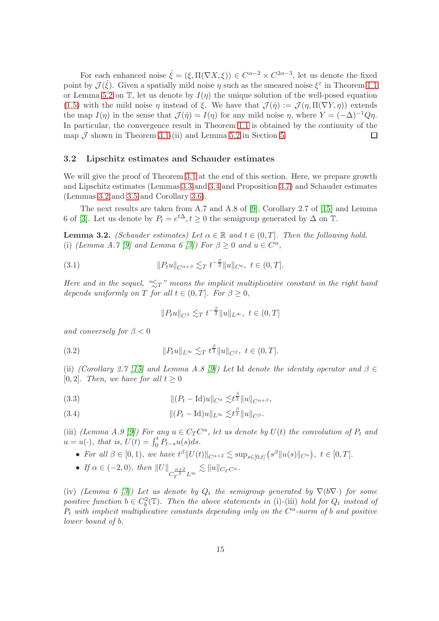For each enhanced noise  $\hat{\xi} = (\xi, \Pi(\nabla X, \xi)) \in C^{\alpha-2} \times C^{2\alpha-3}$ , let us denote the fixed point by  $\mathcal{J}(\hat{\xi})$ . Given a spatially mild noise  $\eta$  such as the smeared noise  $\xi^{\varepsilon}$  in Theorem [1.1](#page-3-2) or Lemma [5.2](#page-32-0) on T, let us denote by  $I(\eta)$  the unique solution of the well-posed equation [\(1.5\)](#page-1-3) with the mild noise  $\eta$  instead of  $\xi$ . We have that  $\mathcal{J}(\hat{\eta}) := \mathcal{J}(\eta, \Pi(\nabla Y, \eta))$  extends the map  $I(\eta)$  in the sense that  $\mathcal{J}(\hat{\eta}) = I(\eta)$  for any mild noise  $\eta$ , where  $Y = (-\Delta)^{-1}Q\eta$ . In particular, the convergence result in Theorem [1.1](#page-3-2) is obtained by the continuity of the map  $\mathcal J$  shown in Theorem [3.1-](#page-13-1)(ii) and Lemma [5.2](#page-32-0) in Section [5.](#page-31-0)  $\Box$ 

#### 3.2 Lipschitz estimates and Schauder estimates

We will give the proof of Theorem [3.1](#page-13-1) at the end of this section. Here, we prepare growth and Lipschitz estimates (Lemmas [3.3](#page-15-0) and [3.4](#page-18-0) and Proposition [3.7\)](#page-24-0) and Schauder estimates (Lemmas [3.2](#page-14-1) and [3.5](#page-19-0) and Corollary [3.6\)](#page-22-0).

The next results are taken from A.7 and A.8 of [\[9\]](#page-38-2), Corollary 2.7 of [\[15\]](#page-38-9) and Lemma 6 of [\[3\]](#page-37-0). Let us denote by  $P_t = e^{t\Delta}, t \ge 0$  the semigroup generated by  $\Delta$  on  $\mathbb{T}$ .

<span id="page-14-1"></span>**Lemma 3.2.** (Schauder estimates) Let  $\alpha \in \mathbb{R}$  and  $t \in (0,T]$ . Then the following hold. (i) (Lemma A.7 [\[9\]](#page-38-2) and Lemma 6 [\[3\]](#page-37-0)) For  $\beta \geq 0$  and  $u \in C^{\alpha}$ ,

<span id="page-14-0"></span>(3.1) 
$$
||P_t u||_{C^{\alpha+\beta}} \lesssim_T t^{-\frac{\beta}{2}} ||u||_{C^a}, \ t \in (0,T].
$$

Here and in the sequel, " $\leq_T$ " means the implicit multiplicative constant in the right hand depends uniformly on T for all  $t \in (0,T]$ . For  $\beta \geq 0$ ,

$$
||P_t u||_{C^\beta} \lesssim_T t^{-\frac{\beta}{2}} ||u||_{L^\infty}, \ t \in (0,T]
$$

and conversely for  $\beta < 0$ 

<span id="page-14-4"></span>(3.2) 
$$
||P_t u||_{L^{\infty}} \lesssim_T t^{\frac{\beta}{2}} ||u||_{C^{\beta}}, \ t \in (0,T].
$$

(ii) (Corollary 2.7 [\[15\]](#page-38-9) and Lemma A.8 [\[9\]](#page-38-2)) Let Id denote the identity operator and  $\beta \in$ [0, 2]. Then, we have for all  $t \geq 0$ 

<span id="page-14-2"></span>(3.3) 
$$
\| (P_t - \text{Id})u \|_{C^{\alpha}} \lesssim t^{\frac{\beta}{2}} \| u \|_{C^{\alpha+\beta}},
$$

<span id="page-14-3"></span>(3.4) 
$$
\| (P_t - \mathrm{Id}) u \|_{L^{\infty}} \lesssim t^{\frac{\beta}{2}} \| u \|_{C^{\beta}}.
$$

(iii) (Lemma A.9 [\[9\]](#page-38-2)) For any  $u \in C_T C^{\alpha}$ , let us denote by  $U(t)$  the convolution of  $P_t$  and  $u = u(\cdot)$ , that is,  $U(t) = \int_0^t P_{t-s}u(s)ds$ .

- For all  $\beta \in [0,1)$ , we have  $t^{\beta} ||U(t)||_{C^{\alpha+2}} \lesssim \sup_{s \in [0,t]} (s^{\beta} ||u(s)||_{C^{\alpha}})$ ,  $t \in [0,T]$ .
- If  $\alpha \in (-2,0)$ , then  $||U||_{C_T^{\alpha+2}L^{\infty}} \lesssim ||u||_{C_TC^{\alpha}}$ .

(iv) (Lemma 6 [\[3\]](#page-37-0)) Let us denote by  $Q_t$  the semigroup generated by  $\nabla(b\nabla\cdot)$  for some positive function  $b \in C_b^2(\mathbb{T})$ . Then the above statements in (i)-(iii) hold for  $Q_t$  instead of  $P_t$  with implicit multiplicative constants depending only on the  $C^{\alpha}$ -norm of b and positive lower bound of b.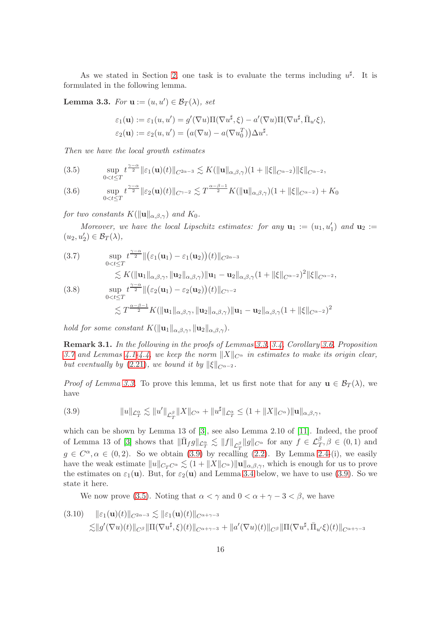As we stated in Section [2,](#page-3-3) one task is to evaluate the terms including  $u^{\sharp}$ . It is formulated in the following lemma.

<span id="page-15-0"></span>**Lemma 3.3.** For  $\mathbf{u} := (u, u') \in \mathcal{B}_T(\lambda)$ , set

$$
\varepsilon_1(\mathbf{u}) := \varepsilon_1(u, u') = g'(\nabla u) \Pi(\nabla u^{\sharp}, \xi) - a'(\nabla u) \Pi(\nabla u^{\sharp}, \overline{\Pi}_{u'} \xi),
$$
  

$$
\varepsilon_2(\mathbf{u}) := \varepsilon_2(u, u') = (a(\nabla u) - a(\nabla u_0^T)) \Delta u^{\sharp}.
$$

Then we have the local growth estimates

<span id="page-15-3"></span>(3.5) 
$$
\sup_{0 < t \leq T} t^{\frac{\gamma - \alpha}{2}} \|\varepsilon_1(\mathbf{u})(t)\|_{C^{2\alpha - 3}} \lesssim K(\|\mathbf{u}\|_{\alpha, \beta, \gamma})(1 + \|\xi\|_{C^{\alpha - 2}}) \|\xi\|_{C^{\alpha - 2}},
$$

<span id="page-15-6"></span>(3.6) 
$$
\sup_{0 < t \leq T} t^{\frac{\gamma - \alpha}{2}} \| \varepsilon_2(\mathbf{u})(t) \|_{C^{\gamma - 2}} \lesssim T^{\frac{\alpha - \beta - 1}{2}} K(\|\mathbf{u}\|_{\alpha, \beta, \gamma})(1 + \|\xi\|_{C^{\alpha - 2}}) + K_0
$$

for two constants  $K(\|\mathbf{u}\|_{\alpha,\beta,\gamma})$  and  $K_0$ .

Moreover, we have the local Lipschitz estimates: for any  $\mathbf{u}_1 := (u_1, u'_1)$  and  $\mathbf{u}_2 :=$  $(u_2, u'_2) \in \mathcal{B}_T(\lambda),$ 

<span id="page-15-5"></span>(3.7) 
$$
\sup_{0 < t \leq T} t^{\frac{\gamma - \alpha}{2}} \|(\varepsilon_1(\mathbf{u}_1) - \varepsilon_1(\mathbf{u}_2)) (t) \|_{C^{2\alpha - 3}} \n\lesssim K (\|\mathbf{u}_1\|_{\alpha, \beta, \gamma}, \|\mathbf{u}_2\|_{\alpha, \beta, \gamma}) \|\mathbf{u}_1 - \mathbf{u}_2\|_{\alpha, \beta, \gamma} (1 + \|\xi\|_{C^{\alpha - 2}})^2 \|\xi\|_{C^{\alpha - 2}},
$$
\n(3.8) 
$$
\sup_{0 < t \leq T} t^{\frac{\gamma - \alpha}{2}} \|(\varepsilon_2(\mathbf{u}_1) - \varepsilon_2(\mathbf{u}_2)) (t) \|_{C^{\gamma - 2}}
$$

<span id="page-15-7"></span>
$$
\lesssim T^{\frac{\alpha-\beta-1}{2}}K(\|\mathbf{u}_1\|_{\alpha,\beta,\gamma},\|\mathbf{u}_2\|_{\alpha,\beta,\gamma})\|\mathbf{u}_1-\mathbf{u}_2\|_{\alpha,\beta,\gamma}(1+\|\xi\|_{C^{\alpha-2}})^2
$$

hold for some constant  $K(\|\mathbf{u}_1\|_{\alpha,\beta,\gamma}, \|\mathbf{u}_2\|_{\alpha,\beta,\gamma}).$ 

<span id="page-15-1"></span>Remark 3.1. In the following in the proofs of Lemmas [3.3,](#page-15-0) [3.4,](#page-18-0) Corollary [3.6,](#page-22-0) Proposition [3.7](#page-24-0) and Lemmas [4.1-](#page-27-1)[4.4,](#page-30-0) we keep the norm  $||X||_{C^\alpha}$  in estimates to make its origin clear, but eventually by [\(2.21\)](#page-10-5), we bound it by  $\|\xi\|_{C^{\alpha-2}}$ .

*Proof of Lemma [3.3.](#page-15-0)* To prove this lemma, let us first note that for any  $\mathbf{u} \in \mathcal{B}_T(\lambda)$ , we have

<span id="page-15-2"></span>(3.9) 
$$
||u||_{\mathcal{L}_T^{\alpha}} \lesssim ||u'||_{\mathcal{L}_T^{\beta}} ||X||_{C^{\alpha}} + ||u^{\sharp}||_{\mathcal{L}_T^{\alpha}} \leq (1 + ||X||_{C^{\alpha}}) ||\mathbf{u}||_{\alpha,\beta,\gamma},
$$

which can be shown by Lemma 13 of [\[3\]](#page-37-0), see also Lemma 2.10 of [\[11\]](#page-38-10). Indeed, the proof of Lemma 13 of [\[3\]](#page-37-0) shows that  $\|\bar{\Pi}_f g\|_{\mathcal{L}^{\alpha}_T} \lesssim \|f\|_{\mathcal{L}^{\beta}_T} \|g\|_{C^{\alpha}}$  for any  $f \in \mathcal{L}^{\beta}_T, \beta \in (0,1)$  and  $g \in C^{\alpha}, \alpha \in (0, 2)$ . So we obtain [\(3.9\)](#page-15-2) by recalling [\(2.2\)](#page-4-1). By Lemma [2.4-](#page-7-1)(i), we easily have the weak estimate  $||u||_{C_T C^{\alpha}} \lesssim (1 + ||X||_{C^{\alpha}}) ||u||_{\alpha,\beta,\gamma}$ , which is enough for us to prove the estimates on  $\varepsilon_1(\mathbf{u})$ . But, for  $\varepsilon_2(\mathbf{u})$  and Lemma [3.4](#page-18-0) below, we have to use [\(3.9\)](#page-15-2). So we state it here.

We now prove [\(3.5\)](#page-15-3). Noting that  $\alpha < \gamma$  and  $0 < \alpha + \gamma - 3 < \beta$ , we have

<span id="page-15-4"></span>
$$
(3.10) \quad \|\varepsilon_1(\mathbf{u})(t)\|_{C^{2\alpha-3}} \lesssim \|\varepsilon_1(\mathbf{u})(t)\|_{C^{\alpha+\gamma-3}} \lesssim \|g'(\nabla u)(t)\|_{C^{\beta}} \|\Pi(\nabla u^{\sharp}, \xi)(t)\|_{C^{\alpha+\gamma-3}} + \|a'(\nabla u)(t)\|_{C^{\beta}} \|\Pi(\nabla u^{\sharp}, \bar{\Pi}_{u'}\xi)(t)\|_{C^{\alpha+\gamma-3}}
$$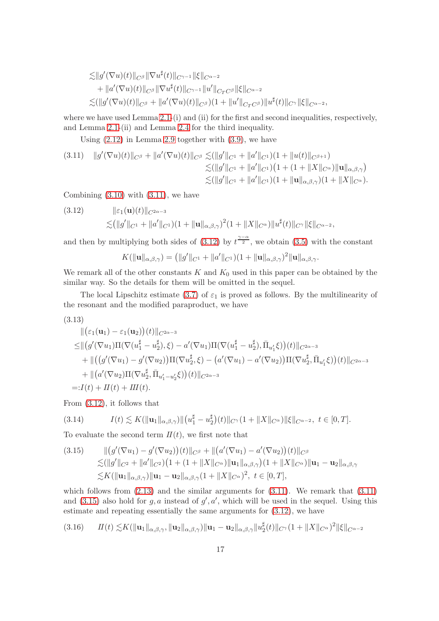$$
\leq ||g'(\nabla u)(t)||_{C^{\beta}} ||\nabla u^{\sharp}(t)||_{C^{\gamma-1}} ||\xi||_{C^{\alpha-2}}+ ||a'(\nabla u)(t)||_{C^{\beta}} ||\nabla u^{\sharp}(t)||_{C^{\gamma-1}} ||u'||_{C_T C^{\beta}} ||\xi||_{C^{\alpha-2}}\leq (||g'(\nabla u)(t)||_{C^{\beta}} + ||a'(\nabla u)(t)||_{C^{\beta}})(1 + ||u'||_{C_T C^{\beta}}) ||u^{\sharp}(t)||_{C^{\gamma}} ||\xi||_{C^{\alpha-2}},
$$

where we have used Lemma [2.1-](#page-5-0)(i) and (ii) for the first and second inequalities, respectively, and Lemma [2.1-](#page-5-0)(ii) and Lemma [2.4](#page-7-1) for the third inequality.

Using  $(2.12)$  in Lemma [2.9](#page-9-4) together with  $(3.9)$ , we have

<span id="page-16-0"></span>
$$
(3.11) \quad ||g'(\nabla u)(t)||_{C^{\beta}} + ||a'(\nabla u)(t)||_{C^{\beta}} \lesssim (||g'||_{C^1} + ||a'||_{C^1})(1 + ||u(t)||_{C^{\beta+1}}) \leq (||g'||_{C^1} + ||a'||_{C^1})(1 + (1 + ||X||_{C^{\alpha}})||\mathbf{u}||_{\alpha,\beta,\gamma}) \leq (||g'||_{C^1} + ||a'||_{C^1})(1 + ||\mathbf{u}||_{\alpha,\beta,\gamma})(1 + ||X||_{C^{\alpha}}).
$$

Combining  $(3.10)$  with  $(3.11)$ , we have

<span id="page-16-1"></span>(3.12) 
$$
\|\varepsilon_1(\mathbf{u})(t)\|_{C^{2\alpha-3}}\leq (\|g'\|_{C^1} + \|a'\|_{C^1})(1 + \|\mathbf{u}\|_{\alpha,\beta,\gamma})^2(1 + \|X\|_{C^{\alpha}})\|u^{\sharp}(t)\|_{C^{\gamma}}\|\xi\|_{C^{\alpha-2}},
$$

and then by multiplying both sides of [\(3.12\)](#page-16-1) by  $t^{\frac{\gamma-\alpha}{2}}$ , we obtain [\(3.5\)](#page-15-3) with the constant

$$
K(\|\mathbf{u}\|_{\alpha,\beta,\gamma})=\big(\|g'\|_{C^1}+\|a'\|_{C^1}\big)(1+\|\mathbf{u}\|_{\alpha,\beta,\gamma})^2\|\mathbf{u}\|_{\alpha,\beta,\gamma}.
$$

We remark all of the other constants  $K$  and  $K_0$  used in this paper can be obtained by the similar way. So the details for them will be omitted in the sequel.

The local Lipschitz estimate [\(3.7\)](#page-15-5) of  $\varepsilon_1$  is proved as follows. By the multilinearity of the resonant and the modified paraproduct, we have

<span id="page-16-5"></span>
$$
(3.13)
$$

$$
\|(\varepsilon_1(\mathbf{u}_1) - \varepsilon_1(\mathbf{u}_2))(t)\|_{C^{2\alpha-3}}\leq \|(\mathcal{g}'(\nabla u_1)\Pi(\nabla(u_1^{\sharp} - u_2^{\sharp}), \xi) - a'(\nabla u_1)\Pi(\nabla(u_1^{\sharp} - u_2^{\sharp}), \bar{\Pi}_{u'_1}\xi))(t)\|_{C^{2\alpha-3}}+\|((\mathcal{g}'(\nabla u_1) - \mathcal{g}'(\nabla u_2))\Pi(\nabla u_2^{\sharp}, \xi) - (a'(\nabla u_1) - a'(\nabla u_2))\Pi(\nabla u_2^{\sharp}, \bar{\Pi}_{u'_1}\xi))(t)\|_{C^{2\alpha-3}}+\|(\mathcal{a}'(\nabla u_2)\Pi(\nabla u_2^{\sharp}, \bar{\Pi}_{u'_1 - u'_2}\xi))(t)\|_{C^{2\alpha-3}}=: I(t) + II(t) + III(t).
$$

From [\(3.12\)](#page-16-1), it follows that

<span id="page-16-3"></span>
$$
(3.14) \tI(t) \lesssim K(||\mathbf{u}_1||_{\alpha,\beta,\gamma})||\left(u_1^{\sharp} - u_2^{\sharp}\right)(t)||_{C^{\gamma}}\left(1 + ||X||_{C^{\alpha}}\right)||\xi||_{C^{\alpha-2}}, \ t \in [0,T].
$$

To evaluate the second term  $II(t)$ , we first note that

<span id="page-16-2"></span>
$$
(3.15) \qquad ||(g'(\nabla u_1) - g'(\nabla u_2))(t)||_{C^\beta} + ||(a'(\nabla u_1) - a'(\nabla u_2))(t)||_{C^\beta}
$$
  
\n
$$
\lesssim (||g'||_{C^2} + ||a'||_{C^2})(1 + (1 + ||X||_{C^\alpha})||\mathbf{u}_1||_{\alpha,\beta,\gamma})(1 + ||X||_{C^\alpha})||\mathbf{u}_1 - \mathbf{u}_2||_{\alpha,\beta,\gamma}
$$
  
\n
$$
\lesssim K(||\mathbf{u}_1||_{\alpha,\beta,\gamma})||\mathbf{u}_1 - \mathbf{u}_2||_{\alpha,\beta,\gamma}(1 + ||X||_{C^\alpha})^2, \ t \in [0,T],
$$

which follows from  $(2.13)$  and the similar arguments for  $(3.11)$ . We remark that  $(3.11)$ and [\(3.15\)](#page-16-2) also hold for  $g, a$  instead of  $g', a'$ , which will be used in the sequel. Using this estimate and repeating essentially the same arguments for [\(3.12\)](#page-16-1), we have

<span id="page-16-4"></span>
$$
(3.16) \qquad H(t) \lesssim K(||\mathbf{u}_1||_{\alpha,\beta,\gamma}, \|\mathbf{u}_2\|_{\alpha,\beta,\gamma})||\mathbf{u}_1 - \mathbf{u}_2||_{\alpha,\beta,\gamma}||u_2^{\sharp}(t)||_{C^{\gamma}}(1 + \|X\|_{C^{\alpha}})^2||\xi||_{C^{\alpha-2}}
$$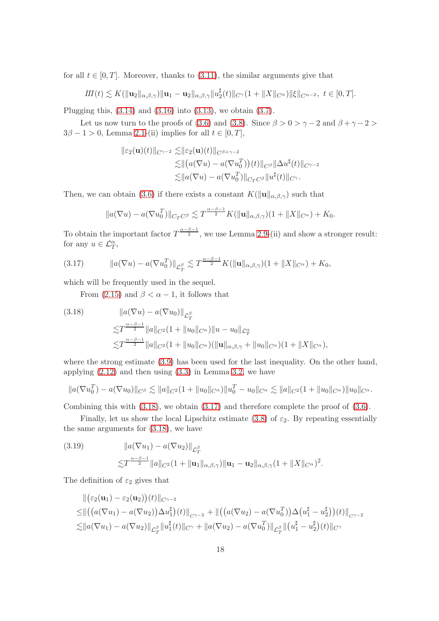for all  $t \in [0, T]$ . Moreover, thanks to  $(3.11)$ , the similar arguments give that

$$
III(t) \lesssim K(||\mathbf{u}_2||_{\alpha,\beta,\gamma})||\mathbf{u}_1 - \mathbf{u}_2||_{\alpha,\beta,\gamma}||u_2^{\sharp}(t)||_{C^{\gamma}}(1 + ||X||_{C^{\alpha}})||\xi||_{C^{\alpha-2}}, \ t \in [0,T].
$$

Plugging this,  $(3.14)$  and  $(3.16)$  into  $(3.13)$ , we obtain  $(3.7)$ .

Let us now turn to the proofs of [\(3.6\)](#page-15-6) and [\(3.8\)](#page-15-7). Since  $\beta > 0 > \gamma - 2$  and  $\beta + \gamma - 2 >$  $3\beta - 1 > 0$ , Lemma [2.1-](#page-5-0)(ii) implies for all  $t \in [0, T]$ ,

$$
\| \varepsilon_2(\mathbf{u})(t) \|_{C^{\gamma-2}} \lesssim \| \varepsilon_2(\mathbf{u})(t) \|_{C^{\beta+\gamma-2}} \n\lesssim \| (a(\nabla u) - a(\nabla u_0^T))(t) \|_{C^{\beta}} \| \Delta u^{\sharp}(t) \|_{C^{\gamma-2}} \n\lesssim \| a(\nabla u) - a(\nabla u_0^T) \|_{C_T C^{\beta}} \| u^{\sharp}(t) \|_{C^{\gamma}}.
$$

Then, we can obtain [\(3.6\)](#page-15-6) if there exists a constant  $K(\|\mathbf{u}\|_{\alpha,\beta,\gamma})$  such that

$$
||a(\nabla u) - a(\nabla u_0^T)||_{C_T C^{\beta}} \lesssim T^{\frac{\alpha-\beta-1}{2}} K(||\mathbf{u}||_{\alpha,\beta,\gamma})(1+||X||_{C^{\alpha}}) + K_0.
$$

To obtain the important factor  $T^{\frac{\alpha-\beta-1}{2}}$ , we use Lemma [2.9-](#page-9-4)(ii) and show a stronger result: for any  $u \in \mathcal{L}_T^{\alpha}$ ,

<span id="page-17-1"></span>
$$
(3.17) \t\t ||a(\nabla u) - a(\nabla u_0^T)||_{\mathcal{L}_T^{\beta}} \lesssim T^{\frac{\alpha-\beta-1}{2}} K(||\mathbf{u}||_{\alpha,\beta,\gamma})(1+||X||_{C^{\alpha}}) + K_0,
$$

which will be frequently used in the sequel.

From [\(2.15\)](#page-9-6) and  $\beta < \alpha - 1$ , it follows that

<span id="page-17-0"></span>(3.18) 
$$
||a(\nabla u) - a(\nabla u_0)||_{\mathcal{L}_T^{\beta}}\n\lesssim T^{\frac{\alpha-\beta-1}{2}}||a||_{C^2}(1+||u_0||_{C^{\alpha}})||u - u_0||_{\mathcal{L}_T^{\alpha}}\n\lesssim T^{\frac{\alpha-\beta-1}{2}}||a||_{C^2}(1+||u_0||_{C^{\alpha}})(||\mathbf{u}||_{\alpha,\beta,\gamma} + ||u_0||_{C^{\alpha}})(1+||X||_{C^{\alpha}}),
$$

where the strong estimate [\(3.9\)](#page-15-2) has been used for the last inequality. On the other hand, applying [\(2.12\)](#page-9-1) and then using [\(3.3\)](#page-14-2) in Lemma [3.2,](#page-14-1) we have

$$
||a(\nabla u_0^T) - a(\nabla u_0)||_{C^\beta} \lesssim ||a||_{C^2} (1 + ||u_0||_{C^\alpha}) ||u_0^T - u_0||_{C^\alpha} \lesssim ||a||_{C^2} (1 + ||u_0||_{C^\alpha}) ||u_0||_{C^\alpha}.
$$

Combining this with [\(3.18\)](#page-17-0), we obtain [\(3.17\)](#page-17-1) and therefore complete the proof of [\(3.6\)](#page-15-6).

Finally, let us show the local Lipschitz estimate [\(3.8\)](#page-15-7) of  $\varepsilon_2$ . By repeating essentially the same arguments for [\(3.18\)](#page-17-0), we have

<span id="page-17-2"></span>(3.19) 
$$
||a(\nabla u_1) - a(\nabla u_2)||_{\mathcal{L}_T^{\beta}} \leq T^{\frac{\alpha-\beta-1}{2}} ||a||_{C^2} (1+||\mathbf{u}_1||_{\alpha,\beta,\gamma}) ||\mathbf{u}_1 - \mathbf{u}_2||_{\alpha,\beta,\gamma} (1+||X||_{C^{\alpha}})^2.
$$

The definition of  $\varepsilon_2$  gives that

$$
\|(\varepsilon_2(\mathbf{u}_1) - \varepsilon_2(\mathbf{u}_2))(t)\|_{C^{\gamma-2}}\n\n\leq \|((a(\nabla u_1) - a(\nabla u_2))\Delta u_1^{\sharp})(t)\|_{C^{\gamma-2}} + \|((a(\nabla u_2) - a(\nabla u_0^T))\Delta (u_1^{\sharp} - u_2^{\sharp}))(t)\|_{C^{\gamma-2}}\n\n\lesssim \|a(\nabla u_1) - a(\nabla u_2)\|_{\mathcal{L}_T^{\beta}}\|u_1^{\sharp}(t)\|_{C^{\gamma}} + \|a(\nabla u_2) - a(\nabla u_0^T)\|_{\mathcal{L}_T^{\beta}}\|(u_1^{\sharp} - u_2^{\sharp})(t)\|_{C^{\gamma}}
$$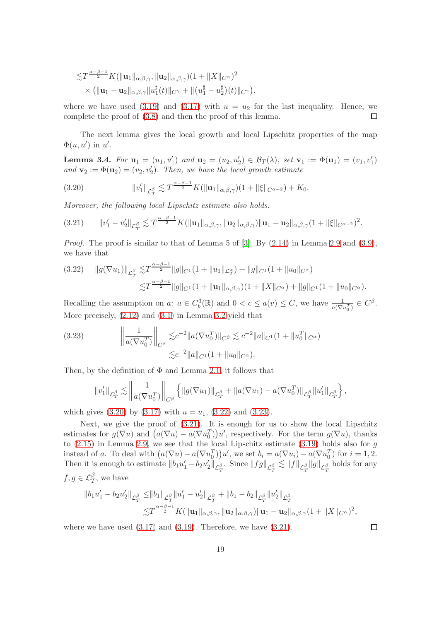$$
\begin{split} \lesssim & T^{\frac{\alpha-\beta-1}{2}} K(||\mathbf{u}_1||_{\alpha,\beta,\gamma}, \|\mathbf{u}_2\|_{\alpha,\beta,\gamma})(1 + \|X\|_{C^{\alpha}})^2 \\ & \times ( \|\mathbf{u}_1 - \mathbf{u}_2\|_{\alpha,\beta,\gamma} \|u_1^{\sharp}(t)\|_{C^{\gamma}} + \| (u_1^{\sharp} - u_2^{\sharp})(t)\|_{C^{\gamma}}), \end{split}
$$

where we have used [\(3.19\)](#page-17-2) and [\(3.17\)](#page-17-1) with  $u = u_2$  for the last inequality. Hence, we complete the proof of [\(3.8\)](#page-15-7) and then the proof of this lemma.  $\Box$ 

The next lemma gives the local growth and local Lipschitz properties of the map  $\Phi(u, u')$  in u'.

<span id="page-18-0"></span>**Lemma 3.4.** For  $\mathbf{u}_1 = (u_1, u'_1)$  and  $\mathbf{u}_2 = (u_2, u'_2) \in \mathcal{B}_T(\lambda)$ , set  $\mathbf{v}_1 := \Phi(\mathbf{u}_1) = (v_1, v'_1)$ and  $\mathbf{v}_2 := \Phi(\mathbf{u}_2) = (v_2, v_2')$ . Then, we have the local growth estimate

<span id="page-18-1"></span>(3.20) 
$$
\|v_1'\|_{\mathcal{L}_T^{\beta}} \lesssim T^{\frac{\alpha-\beta-1}{2}} K(\|\mathbf{u}_1\|_{\alpha,\beta,\gamma})(1 + \|\xi\|_{C^{\alpha-2}}) + K_0.
$$

Moreover, the following local Lipschitz estimate also holds.

<span id="page-18-4"></span>
$$
(3.21) \t\t ||v'_1 - v'_2||_{\mathcal{L}_T^{\beta}} \lesssim T^{\frac{\alpha-\beta-1}{2}} K(||\mathbf{u}_1||_{\alpha,\beta,\gamma}, \|\mathbf{u}_2\|_{\alpha,\beta,\gamma}) \|\mathbf{u}_1 - \mathbf{u}_2\|_{\alpha,\beta,\gamma} (1 + \|\xi\|_{C^{\alpha-2}})^2.
$$

*Proof.* The proof is similar to that of Lemma 5 of [\[3\]](#page-37-0). By  $(2.14)$  in Lemma [2.9](#page-9-4) and  $(3.9)$ , we have that

<span id="page-18-2"></span>
$$
(3.22) \quad ||g(\nabla u_1)||_{\mathcal{L}_T^{\beta}} \lesssim T^{\frac{\alpha-\beta-1}{2}} ||g||_{C^1} (1+||u_1||_{\mathcal{L}_T^{\alpha}}) + ||g||_{C^1} (1+||u_0||_{C^{\alpha}})
$$
  

$$
\lesssim T^{\frac{\alpha-\beta-1}{2}} ||g||_{C^1} (1+||u_1||_{\alpha,\beta,\gamma})(1+||X||_{C^{\alpha}}) + ||g||_{C^1} (1+||u_0||_{C^{\alpha}}).
$$

Recalling the assumption on a:  $a \in C_b^3(\mathbb{R})$  and  $0 < c \le a(v) \le C$ , we have  $\frac{1}{a(\nabla u_0^T)} \in C^{\beta}$ . More precisely, [\(2.12\)](#page-9-1) and [\(3.1\)](#page-14-0) in Lemma [3.2](#page-14-1) yield that

<span id="page-18-3"></span>(3.23) 
$$
\left\| \frac{1}{a(\nabla u_0^T)} \right\|_{C^\beta} \lesssim c^{-2} \|a(\nabla u_0^T)\|_{C^\beta} \lesssim c^{-2} \|a\|_{C^1} (1 + \|u_0^T\|_{C^\alpha})
$$

$$
\lesssim c^{-2} \|a\|_{C^1} (1 + \|u_0\|_{C^\alpha}).
$$

Then, by the definition of  $\Phi$  and Lemma [2.1,](#page-5-0) it follows that

$$
\|v_1'\|_{\mathcal{L}^{\beta}_T} \lesssim \left\|\frac{1}{a(\nabla u_0^T)}\right\|_{C^\beta} \left\{\left\|g(\nabla u_1)\right\|_{\mathcal{L}^{\beta}_T} + \|a(\nabla u_1) - a(\nabla u_0^T)\|_{\mathcal{L}^{\beta}_T} \|u_1'\|_{\mathcal{L}^{\beta}_T}\right\},\right.
$$

which gives  $(3.20)$  by  $(3.17)$  with  $u = u_1$ ,  $(3.22)$  and  $(3.23)$ .

Next, we give the proof of [\(3.21\)](#page-18-4). It is enough for us to show the local Lipschitz estimates for  $g(\nabla u)$  and  $(a(\nabla u) - a(\nabla u_0^T))u'$ , respectively. For the term  $g(\nabla u)$ , thanks to  $(2.15)$  in Lemma [2.9,](#page-9-4) we see that the local Lipschitz estimate  $(3.19)$  holds also for g instead of a. To deal with  $(a(\nabla u) - a(\nabla u_0^T))u'$ , we set  $b_i = a(\nabla u_i) - a(\nabla u_0^T)$  for  $i = 1, 2$ . Then it is enough to estimate  $||b_1u'_1-b_2u'_2||_{\mathcal{L}_T^{\beta}}$ . Since  $||fg||_{\mathcal{L}_T^{\beta}} \lesssim ||f||_{\mathcal{L}_T^{\beta}}||g||_{\mathcal{L}_T^{\beta}}$  holds for any  $f, g \in \mathcal{L}_T^{\beta}$ , we have

$$
||b_1u'_1 - b_2u'_2||_{\mathcal{L}_T^{\beta}} \le ||b_1||_{\mathcal{L}_T^{\beta}}||u'_1 - u'_2||_{\mathcal{L}_T^{\beta}} + ||b_1 - b_2||_{\mathcal{L}_T^{\beta}}||u'_2||_{\mathcal{L}_T^{\beta}}
$$
  

$$
\lesssim T^{\frac{\alpha-\beta-1}{2}}K(||\mathbf{u}_1||_{\alpha,\beta,\gamma}, ||\mathbf{u}_2||_{\alpha,\beta,\gamma})||\mathbf{u}_1 - \mathbf{u}_2||_{\alpha,\beta,\gamma}(1 + ||X||_{C^{\alpha}})^2,
$$

where we have used  $(3.17)$  and  $(3.19)$ . Therefore, we have  $(3.21)$ .

 $\Box$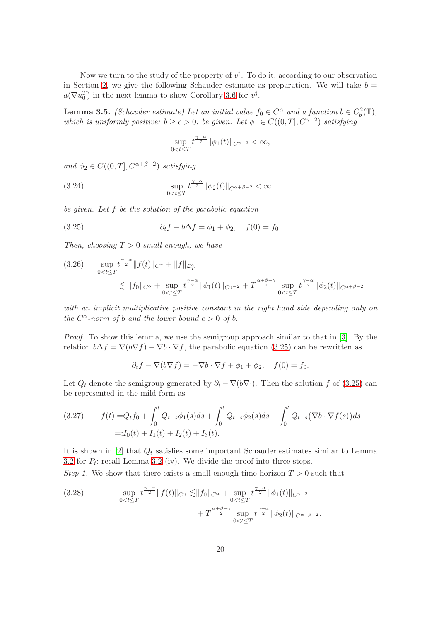Now we turn to the study of the property of  $v^{\sharp}$ . To do it, according to our observation in Section [2,](#page-3-3) we give the following Schauder estimate as preparation. We will take  $b =$  $a(\nabla u_0^T)$  in the next lemma to show Corollary [3.6](#page-22-0) for  $v^{\sharp}$ .

<span id="page-19-0"></span>**Lemma 3.5.** (Schauder estimate) Let an initial value  $f_0 \in C^{\alpha}$  and a function  $b \in C_b^2(\mathbb{T})$ , which is uniformly positive:  $b \ge c > 0$ , be given. Let  $\phi_1 \in C((0,T], C^{\gamma-2})$  satisfying

$$
\sup_{0
$$

and  $\phi_2 \in C((0,T], C^{\alpha+\beta-2})$  satisfying

<span id="page-19-5"></span>(3.24) 
$$
\sup_{0
$$

be given. Let f be the solution of the parabolic equation

<span id="page-19-1"></span>(3.25) 
$$
\partial_t f - b \Delta f = \phi_1 + \phi_2, \quad f(0) = f_0.
$$

Then, choosing  $T > 0$  small enough, we have

<span id="page-19-4"></span>
$$
(3.26) \quad \sup_{0 < t \le T} t^{\frac{\gamma - \alpha}{2}} \|f(t)\|_{C^{\gamma}} + \|f\|_{\mathcal{L}_T^{\alpha}}
$$
\n
$$
\lesssim \|f_0\|_{C^{\alpha}} + \sup_{0 < t \le T} t^{\frac{\gamma - \alpha}{2}} \|\phi_1(t)\|_{C^{\gamma - 2}} + T^{\frac{\alpha + \beta - \gamma}{2}} \sup_{0 < t \le T} t^{\frac{\gamma - \alpha}{2}} \|\phi_2(t)\|_{C^{\alpha + \beta - 2}}
$$

with an implicit multiplicative positive constant in the right hand side depending only on the  $C^{\alpha}$ -norm of b and the lower bound  $c > 0$  of b.

*Proof.* To show this lemma, we use the semigroup approach similar to that in [\[3\]](#page-37-0). By the relation  $b\Delta f = \nabla(b\nabla f) - \nabla b \cdot \nabla f$ , the parabolic equation [\(3.25\)](#page-19-1) can be rewritten as

$$
\partial_t f - \nabla (b \nabla f) = -\nabla b \cdot \nabla f + \phi_1 + \phi_2, \quad f(0) = f_0.
$$

Let  $Q_t$  denote the semigroup generated by  $\partial_t - \nabla(b\nabla \cdot)$ . Then the solution f of [\(3.25\)](#page-19-1) can be represented in the mild form as

<span id="page-19-3"></span>
$$
(3.27) \t f(t) = Q_t f_0 + \int_0^t Q_{t-s} \phi_1(s) ds + \int_0^t Q_{t-s} \phi_2(s) ds - \int_0^t Q_{t-s} (\nabla b \cdot \nabla f(s)) ds
$$
  
=:  $I_0(t) + I_1(t) + I_2(t) + I_3(t)$ .

It is shown in [\[2\]](#page-37-3) that  $Q_t$  satisfies some important Schauder estimates similar to Lemma [3.2](#page-14-1) for  $P_t$ ; recall Lemma [3.2-](#page-14-1)(iv). We divide the proof into three steps.

Step 1. We show that there exists a small enough time horizon  $T > 0$  such that

<span id="page-19-2"></span>(3.28) 
$$
\sup_{0 < t \leq T} t^{\frac{\gamma - \alpha}{2}} \|f(t)\|_{C^{\gamma}} \lesssim \|f_0\|_{C^{\alpha}} + \sup_{0 < t \leq T} t^{\frac{\gamma - \alpha}{2}} \|\phi_1(t)\|_{C^{\gamma - 2}} + T^{\frac{\alpha + \beta - \gamma}{2}} \sup_{0 < t \leq T} t^{\frac{\gamma - \alpha}{2}} \|\phi_2(t)\|_{C^{\alpha + \beta - 2}}.
$$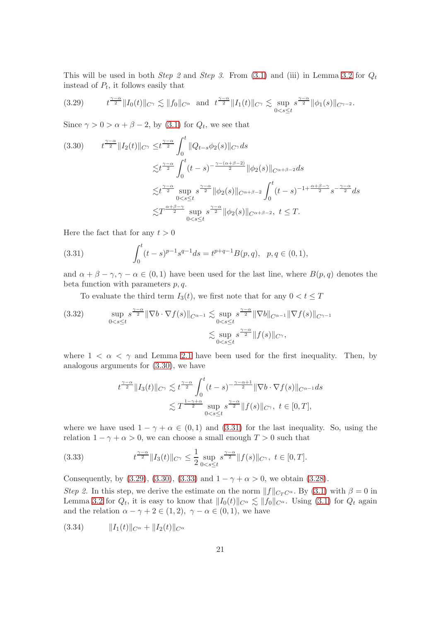This will be used in both *Step 2* and *Step 3*. From  $(3.1)$  and  $(iii)$  in Lemma [3.2](#page-14-1) for  $Q_t$ instead of  $P_t$ , it follows easily that

<span id="page-20-2"></span>
$$
(3.29) \t t^{\frac{\gamma-\alpha}{2}} \|I_0(t)\|_{C^{\gamma}} \lesssim \|f_0\|_{C^{\alpha}} \text{ and } t^{\frac{\gamma-\alpha}{2}} \|I_1(t)\|_{C^{\gamma}} \lesssim \sup_{0 < s \le t} s^{\frac{\gamma-\alpha}{2}} \|\phi_1(s)\|_{C^{\gamma-2}}.
$$

Since  $\gamma > 0 > \alpha + \beta - 2$ , by [\(3.1\)](#page-14-0) for  $Q_t$ , we see that

<span id="page-20-0"></span>
$$
(3.30) \t t^{\frac{\gamma-\alpha}{2}} \|I_2(t)\|_{C^{\gamma}} \leq t^{\frac{\gamma-\alpha}{2}} \int_0^t \|Q_{t-s}\phi_2(s)\|_{C^{\gamma}} ds
$$
  

$$
\lesssim t^{\frac{\gamma-\alpha}{2}} \int_0^t (t-s)^{-\frac{\gamma-(\alpha+\beta-2)}{2}} \|\phi_2(s)\|_{C^{\alpha+\beta-2}} ds
$$
  

$$
\lesssim t^{\frac{\gamma-\alpha}{2}} \sup_{0  

$$
\lesssim T^{\frac{\alpha+\beta-\gamma}{2}} \sup_{0
$$
$$

Here the fact that for any  $t > 0$ 

<span id="page-20-1"></span>(3.31) 
$$
\int_0^t (t-s)^{p-1} s^{q-1} ds = t^{p+q-1} B(p,q), \quad p,q \in (0,1),
$$

and  $\alpha + \beta - \gamma$ ,  $\gamma - \alpha \in (0, 1)$  have been used for the last line, where  $B(p, q)$  denotes the beta function with parameters  $p, q$ .

To evaluate the third term  $I_3(t)$ , we first note that for any  $0 < t \leq T$ 

<span id="page-20-4"></span>
$$
(3.32) \quad \sup_{0 < s \le t} s^{\frac{\gamma - \alpha}{2}} \|\nabla b \cdot \nabla f(s)\|_{C^{\alpha - 1}} \lesssim \sup_{0 < s \le t} s^{\frac{\gamma - \alpha}{2}} \|\nabla b\|_{C^{\alpha - 1}} \|\nabla f(s)\|_{C^{\gamma - 1}}
$$
\n
$$
\lesssim \sup_{0 < s \le t} s^{\frac{\gamma - \alpha}{2}} \|f(s)\|_{C^{\gamma}},
$$

where  $1 < \alpha < \gamma$  and Lemma [2.1](#page-5-0) have been used for the first inequality. Then, by analogous arguments for [\(3.30\)](#page-20-0), we have

$$
t^{\frac{\gamma-\alpha}{2}} \|I_3(t)\|_{C^{\gamma}} \lesssim t^{\frac{\gamma-\alpha}{2}} \int_0^t (t-s)^{-\frac{\gamma-\alpha+1}{2}} \|\nabla b \cdot \nabla f(s)\|_{C^{\alpha-1}} ds
$$
  

$$
\lesssim T^{\frac{1-\gamma+\alpha}{2}} \sup_{0 < s \le t} s^{\frac{\gamma-\alpha}{2}} \|f(s)\|_{C^{\gamma}}, \ t \in [0, T],
$$

where we have used  $1 - \gamma + \alpha \in (0, 1)$  and  $(3.31)$  for the last inequality. So, using the relation  $1 - \gamma + \alpha > 0$ , we can choose a small enough  $T > 0$  such that

<span id="page-20-3"></span>(3.33) 
$$
t^{\frac{\gamma-\alpha}{2}} \|I_3(t)\|_{C^{\gamma}} \leq \frac{1}{2} \sup_{0 < s \leq t} s^{\frac{\gamma-\alpha}{2}} \|f(s)\|_{C^{\gamma}}, \ t \in [0, T].
$$

Consequently, by [\(3.29\)](#page-20-2), [\(3.30\)](#page-20-0), [\(3.33\)](#page-20-3) and  $1 - \gamma + \alpha > 0$ , we obtain [\(3.28\)](#page-19-2).

Step 2. In this step, we derive the estimate on the norm  $||f||_{C_T C^{\alpha}}$ . By [\(3.1\)](#page-14-0) with  $\beta = 0$  in Lemma [3.2](#page-14-1) for  $Q_t$ , it is easy to know that  $||I_0(t)||_{C^{\alpha}} \lesssim ||f_0||_{C^{\alpha}}$ . Using [\(3.1\)](#page-14-0) for  $Q_t$  again and the relation  $\alpha - \gamma + 2 \in (1, 2), \gamma - \alpha \in (0, 1)$ , we have

<span id="page-20-5"></span>(3.34) kI1(t)kC<sup>α</sup> + kI2(t)kC<sup>α</sup>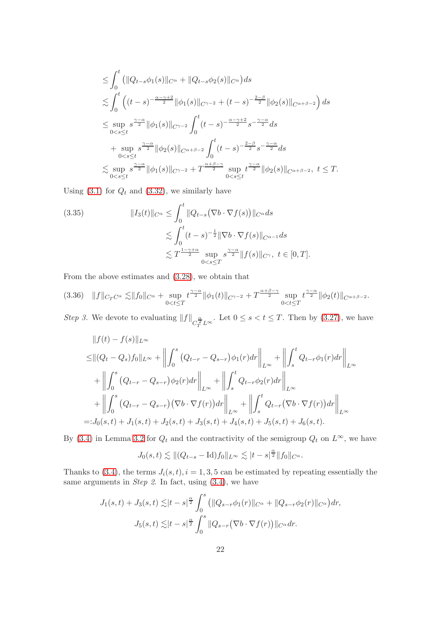$$
\leq \int_0^t (||Q_{t-s}\phi_1(s)||_{C^{\alpha}} + ||Q_{t-s}\phi_2(s)||_{C^{\alpha}})ds
$$
  
\n
$$
\lesssim \int_0^t ((t-s)^{-\frac{\alpha-\gamma+2}{2}} ||\phi_1(s)||_{C^{\gamma-2}} + (t-s)^{-\frac{2-\beta}{2}} ||\phi_2(s)||_{C^{\alpha+\beta-2}}) ds
$$
  
\n
$$
\leq \sup_{0 < s \leq t} s^{\frac{\gamma-\alpha}{2}} ||\phi_1(s)||_{C^{\gamma-2}} \int_0^t (t-s)^{-\frac{\alpha-\gamma+2}{2}} s^{-\frac{\gamma-\alpha}{2}} ds
$$
  
\n
$$
+ \sup_{0 < s \leq t} s^{\frac{\gamma-\alpha}{2}} ||\phi_2(s)||_{C^{\alpha+\beta-2}} \int_0^t (t-s)^{-\frac{2-\beta}{2}} s^{-\frac{\gamma-\alpha}{2}} ds
$$
  
\n
$$
\lesssim \sup_{0 < s \leq t} s^{\frac{\gamma-\alpha}{2}} ||\phi_1(s)||_{C^{\gamma-2}} + T^{\frac{\alpha+\beta-\gamma}{2}} \sup_{0 < s \leq t} t^{\frac{\gamma-\alpha}{2}} ||\phi_2(s)||_{C^{\alpha+\beta-2}}, t \leq T.
$$

Using  $(3.1)$  for  $Q_t$  and  $(3.32)$ , we similarly have

<span id="page-21-0"></span>(3.35) 
$$
||I_3(t)||_{C^{\alpha}} \le \int_0^t ||Q_{t-s}(\nabla b \cdot \nabla f(s))||_{C^{\alpha}} ds
$$

$$
\lesssim \int_0^t (t-s)^{-\frac{1}{2}} ||\nabla b \cdot \nabla f(s)||_{C^{\alpha-1}} ds
$$

$$
\lesssim T^{\frac{1-\gamma+\alpha}{2}} \sup_{0
$$

From the above estimates and [\(3.28\)](#page-19-2), we obtain that

<span id="page-21-1"></span>
$$
(3.36) \quad ||f||_{C_TC^{\alpha}} \lesssim ||f_0||_{C^{\alpha}} + \sup_{0 < t \leq T} t^{\frac{\gamma - \alpha}{2}} ||\phi_1(t)||_{C^{\gamma - 2}} + T^{\frac{\alpha + \beta - \gamma}{2}} \sup_{0 < t \leq T} t^{\frac{\gamma - \alpha}{2}} ||\phi_2(t)||_{C^{\alpha + \beta - 2}}.
$$

Step 3. We devote to evaluating  $||f||_{C_T^{\frac{\alpha}{2}}L^{\infty}}$ . Let  $0 \leq s < t \leq T$ . Then by [\(3.27\)](#page-19-3), we have

$$
||f(t) - f(s)||_{L^{\infty}}\n\leq ||(Q_t - Q_s)f_0||_{L^{\infty}} + ||\int_0^s (Q_{t-r} - Q_{s-r})\phi_1(r)dr||_{L^{\infty}} + ||\int_s^t Q_{t-r}\phi_1(r)dr||_{L^{\infty}}\n+ ||\int_0^s (Q_{t-r} - Q_{s-r})\phi_2(r)dr||_{L^{\infty}} + ||\int_s^t Q_{t-r}\phi_2(r)dr||_{L^{\infty}}\n+ ||\int_0^s (Q_{t-r} - Q_{s-r})(\nabla b \cdot \nabla f(r))dr||_{L^{\infty}} + ||\int_s^t Q_{t-r}(\nabla b \cdot \nabla f(r))dr||_{L^{\infty}}\n=:J_0(s,t) + J_1(s,t) + J_2(s,t) + J_3(s,t) + J_4(s,t) + J_5(s,t) + J_6(s,t).
$$

By [\(3.4\)](#page-14-3) in Lemma [3.2](#page-14-1) for  $Q_t$  and the contractivity of the semigroup  $Q_t$  on  $L^{\infty}$ , we have

$$
J_0(s,t)\lesssim \|(Q_{t-s}-\text{Id})f_0\|_{L^\infty}\lesssim |t-s|^{\frac{\alpha}{2}}\|f_0\|_{C^\alpha}.
$$

Thanks to [\(3.4\)](#page-14-3), the terms  $J_i(s, t)$ ,  $i = 1, 3, 5$  can be estimated by repeating essentially the same arguments in *Step 2*. In fact, using  $(3.4)$ , we have

$$
J_1(s,t) + J_3(s,t) \lesssim |t-s|^{\frac{\alpha}{2}} \int_0^s (||Q_{s-r}\phi_1(r)||_{C^{\alpha}} + ||Q_{s-r}\phi_2(r)||_{C^{\alpha}}) dr,
$$
  

$$
J_5(s,t) \lesssim |t-s|^{\frac{\alpha}{2}} \int_0^s ||Q_{s-r}(\nabla b \cdot \nabla f(r))||_{C^{\alpha}} dr.
$$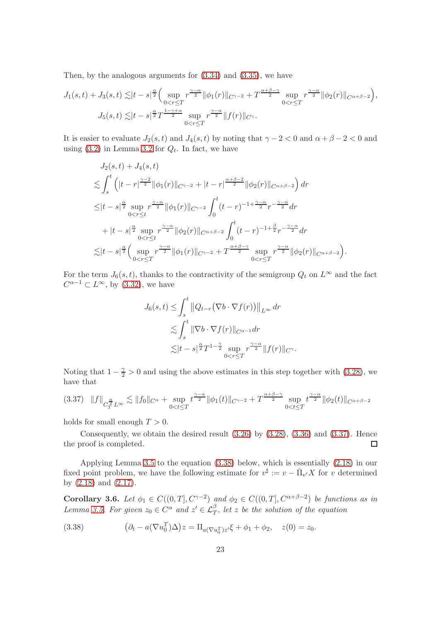Then, by the analogous arguments for  $(3.34)$  and  $(3.35)$ , we have

$$
J_1(s,t) + J_3(s,t) \lesssim |t-s|^{\frac{\alpha}{2}} \Big( \sup_{0 < r \leq T} r^{\frac{\gamma - \alpha}{2}} \|\phi_1(r)\|_{C^{\gamma-2}} + T^{\frac{\alpha + \beta - \gamma}{2}} \sup_{0 < r \leq T} r^{\frac{\gamma - \alpha}{2}} \|\phi_2(r)\|_{C^{\alpha+\beta-2}} \Big),
$$
  

$$
J_5(s,t) \lesssim |t-s|^{\frac{\alpha}{2}} T^{\frac{1-\gamma+\alpha}{2}} \sup_{0 < r \leq T} r^{\frac{\gamma - \alpha}{2}} \|f(r)\|_{C^{\gamma}}.
$$

It is easier to evaluate  $J_2(s,t)$  and  $J_4(s,t)$  by noting that  $\gamma - 2 < 0$  and  $\alpha + \beta - 2 < 0$  and using  $(3.2)$  in Lemma [3.2](#page-14-1) for  $Q_t$ . In fact, we have

$$
J_2(s,t) + J_4(s,t)
$$
  
\n
$$
\lesssim \int_s^t \left( |t-r|^{\frac{\gamma-2}{2}} \|\phi_1(r)\|_{C^{\gamma-2}} + |t-r|^{\frac{\alpha+\beta-2}{2}} \|\phi_2(r)\|_{C^{\alpha+\beta-2}} \right) dr
$$
  
\n
$$
\leq |t-s|^{\frac{\alpha}{2}} \sup_{0 < r \leq t} r^{\frac{\gamma-\alpha}{2}} \|\phi_1(r)\|_{C^{\gamma-2}} \int_0^t (t-r)^{-1+\frac{\gamma-\alpha}{2}} r^{-\frac{\gamma-\alpha}{2}} dr
$$
  
\n
$$
+ |t-s|^{\frac{\alpha}{2}} \sup_{0 < r \leq t} r^{\frac{\gamma-\alpha}{2}} \|\phi_2(r)\|_{C^{\alpha+\beta-2}} \int_0^t (t-r)^{-1+\frac{\beta}{2}} r^{-\frac{\gamma-\alpha}{2}} dr
$$
  
\n
$$
\lesssim |t-s|^{\frac{\alpha}{2}} \Big( \sup_{0 < r \leq T} r^{\frac{\gamma-\alpha}{2}} \|\phi_1(r)\|_{C^{\gamma-2}} + T^{\frac{\alpha+\beta-\gamma}{2}} \sup_{0 < r \leq T} r^{\frac{\gamma-\alpha}{2}} \|\phi_2(r)\|_{C^{\alpha+\beta-2}} \Big).
$$

For the term  $J_6(s, t)$ , thanks to the contractivity of the semigroup  $Q_t$  on  $L^{\infty}$  and the fact  $C^{\alpha-1} \subset L^{\infty}$ , by [\(3.32\)](#page-20-4), we have

$$
J_6(s,t) \leq \int_s^t \left\|Q_{t-r}(\nabla b \cdot \nabla f(r))\right\|_{L^\infty} dr
$$
  

$$
\lesssim \int_s^t \|\nabla b \cdot \nabla f(r)\|_{C^{\alpha-1}} dr
$$
  

$$
\lesssim |t-s|^{\frac{\alpha}{2}} T^{1-\frac{\gamma}{2}} \sup_{0 < r \leq T} r^{\frac{\gamma-\alpha}{2}} \|f(r)\|_{C^\gamma}.
$$

Noting that  $1 - \frac{\gamma}{2} > 0$  and using the above estimates in this step together with [\(3.28\)](#page-19-2), we have that

<span id="page-22-1"></span>
$$
(3.37) \quad ||f||_{C_T^{\frac{\alpha}{2}}L^{\infty}} \lesssim ||f_0||_{C^{\alpha}} + \sup_{0 < t \leq T} t^{\frac{\gamma - \alpha}{2}} ||\phi_1(t)||_{C^{\gamma - 2}} + T^{\frac{\alpha + \beta - \gamma}{2}} \sup_{0 < t \leq T} t^{\frac{\gamma - \alpha}{2}} ||\phi_2(t)||_{C^{\alpha + \beta - 2}}
$$

holds for small enough  $T > 0$ .

Consequently, we obtain the desired result  $(3.26)$  by  $(3.28)$ ,  $(3.36)$  and  $(3.37)$ . Hence the proof is completed.  $\Box$ 

Applying Lemma [3.5](#page-19-0) to the equation [\(3.38\)](#page-22-2) below, which is essentially [\(2.18\)](#page-9-3) in our fixed point problem, we have the following estimate for  $v^{\sharp} := v - \bar{\Pi}_{v'} X$  for v determined by [\(2.18\)](#page-9-3) and [\(2.17\)](#page-9-5).

<span id="page-22-0"></span>Corollary 3.6. Let  $\phi_1 \in C((0,T], C^{\gamma-2})$  and  $\phi_2 \in C((0,T], C^{\alpha+\beta-2})$  be functions as in Lemma [3.5.](#page-19-0) For given  $z_0 \in C^{\alpha}$  and  $z' \in \mathcal{L}_T^{\beta}$ , let z be the solution of the equation

<span id="page-22-2"></span>(3.38) 
$$
(\partial_t - a(\nabla u_0^T)\Delta)z = \Pi_{a(\nabla u_0^T)z'}\xi + \phi_1 + \phi_2, \quad z(0) = z_0.
$$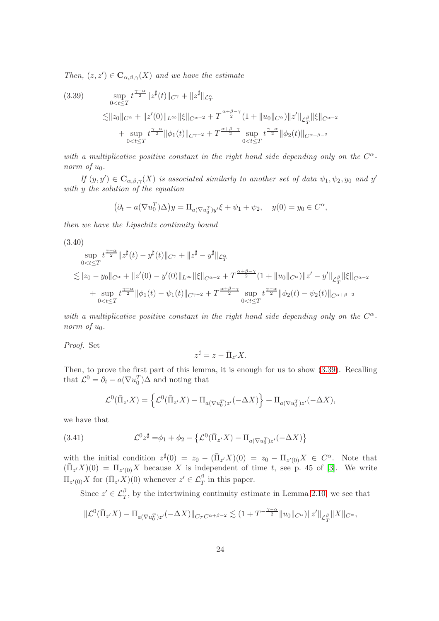Then,  $(z, z') \in \mathbf{C}_{\alpha, \beta, \gamma}(X)$  and we have the estimate

<span id="page-23-0"></span>(3.39) 
$$
\sup_{0 < t \leq T} t^{\frac{\gamma - \alpha}{2}} \|z^{\sharp}(t)\|_{C^{\gamma}} + \|z^{\sharp}\|_{\mathcal{L}^{\alpha}_{T}} \n\lesssim \|z_{0}\|_{C^{\alpha}} + \|z'(0)\|_{L^{\infty}} \|\xi\|_{C^{\alpha - 2}} + T^{\frac{\alpha + \beta - \gamma}{2}} (1 + \|u_{0}\|_{C^{\alpha}}) \|z'\|_{\mathcal{L}^{\beta}_{T}} \|\xi\|_{C^{\alpha - 2}} \n+ \sup_{0 < t \leq T} t^{\frac{\gamma - \alpha}{2}} \|\phi_{1}(t)\|_{C^{\gamma - 2}} + T^{\frac{\alpha + \beta - \gamma}{2}} \sup_{0 < t \leq T} t^{\frac{\gamma - \alpha}{2}} \|\phi_{2}(t)\|_{C^{\alpha + \beta - 2}}
$$

with a multiplicative positive constant in the right hand side depending only on the  $C^{\alpha}$ norm of  $u_0$ .

If  $(y, y') \in \mathbf{C}_{\alpha, \beta, \gamma}(X)$  is associated similarly to another set of data  $\psi_1, \psi_2, y_0$  and  $y'$ with y the solution of the equation

$$
(\partial_t - a(\nabla u_0^T)\Delta)y = \Pi_{a(\nabla u_0^T)y'}\xi + \psi_1 + \psi_2, \quad y(0) = y_0 \in C^{\alpha},
$$

then we have the Lipschitz continuity bound

<span id="page-23-1"></span>
$$
(3.40)
$$
\n
$$
\sup_{0 < t \leq T} t^{\frac{\gamma - \alpha}{2}} \|z^{\sharp}(t) - y^{\sharp}(t)\|_{C^{\gamma}} + \|z^{\sharp} - y^{\sharp}\|_{\mathcal{L}_{T}^{\alpha}}
$$
\n
$$
\lesssim \|z_{0} - y_{0}\|_{C^{\alpha}} + \|z'(0) - y'(0)\|_{L^{\infty}} \|\xi\|_{C^{\alpha - 2}} + T^{\frac{\alpha + \beta - \gamma}{2}} (1 + \|u_{0}\|_{C^{\alpha}}) \|z' - y'\|_{\mathcal{L}_{T}^{\beta}} \|\xi\|_{C^{\alpha - 2}}
$$
\n
$$
+ \sup_{0 < t \leq T} t^{\frac{\gamma - \alpha}{2}} \|\phi_{1}(t) - \psi_{1}(t)\|_{C^{\gamma - 2}} + T^{\frac{\alpha + \beta - \gamma}{2}} \sup_{0 < t \leq T} t^{\frac{\gamma - \alpha}{2}} \|\phi_{2}(t) - \psi_{2}(t)\|_{C^{\alpha + \beta - 2}}
$$

with a multiplicative positive constant in the right hand side depending only on the  $C^{\alpha}$ norm of  $u_0$ .

Proof. Set

$$
z^{\sharp} = z - \bar{\Pi}_{z'} X.
$$

Then, to prove the first part of this lemma, it is enough for us to show [\(3.39\)](#page-23-0). Recalling that  $\mathcal{L}^0 = \partial_t - a(\nabla u_0^T) \Delta$  and noting that

$$
\mathcal{L}^0(\bar{\Pi}_{z'}X) = \left\{ \mathcal{L}^0(\bar{\Pi}_{z'}X) - \Pi_{a(\nabla u_0^T)z'}(-\Delta X) \right\} + \Pi_{a(\nabla u_0^T)z'}(-\Delta X),
$$

we have that

<span id="page-23-2"></span>(3.41) 
$$
\mathcal{L}^0 z^{\sharp} = \phi_1 + \phi_2 - \{ \mathcal{L}^0(\bar{\Pi}_{z'} X) - \Pi_{a(\nabla u_0^T) z'} (-\Delta X) \}
$$

with the initial condition  $z^{\sharp}(0) = z_0 - (\bar{\Pi}_{z'}X)(0) = z_0 - \Pi_{z'(0)}X \in C^{\alpha}$ . Note that  $(\bar{\Pi}_{z'}X)(0) = \Pi_{z'(0)}X$  because X is independent of time t, see p. 45 of [\[3\]](#page-37-0). We write  $\Pi_{z'(0)}X$  for  $(\bar{\Pi}_{z'}X)(0)$  whenever  $z' \in \mathcal{L}_T^{\beta}$  in this paper.

Since  $z' \in \mathcal{L}_T^{\beta}$ , by the intertwining continuity estimate in Lemma [2.10,](#page-10-0) we see that

$$
\|\mathcal{L}^{0}(\bar{\Pi}_{z'}X) - \Pi_{a(\nabla u_{0}^{T})z'}(-\Delta X)\|_{C_{T}C^{\alpha+\beta-2}} \lesssim (1+T^{-\frac{\gamma-\alpha}{2}}\|u_{0}\|_{C^{\alpha}})\|z'\|_{\mathcal{L}_{T}^{\beta}}\|X\|_{C^{\alpha}},
$$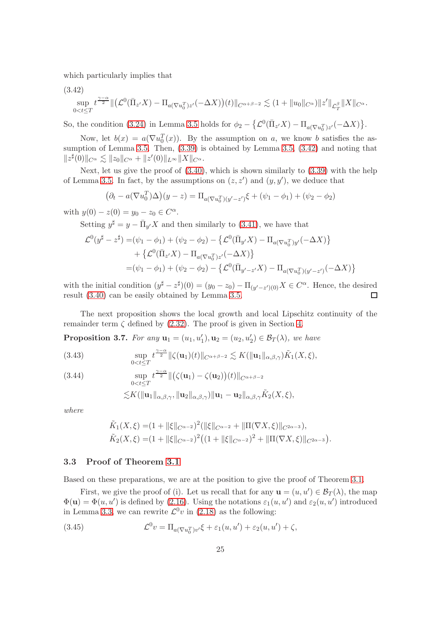which particularly implies that

<span id="page-24-1"></span>
$$
(3.42) \sup_{0 < t \le T} t^{\frac{\gamma - \alpha}{2}} \|\big(\mathcal{L}^0(\bar{\Pi}_{z'}X) - \Pi_{a(\nabla u_0^T)z'}(-\Delta X)\big)(t)\|_{C^{\alpha+\beta-2}} \lesssim (1 + \|u_0\|_{C^{\alpha}}) \|z'\|_{\mathcal{L}_T^{\beta}} \|X\|_{C^{\alpha}}.
$$

So, the condition [\(3.24\)](#page-19-5) in Lemma [3.5](#page-19-0) holds for  $\phi_2 - \left\{ \mathcal{L}^0(\bar{\Pi}_{z'}X) - \Pi_{a(\nabla u_0^T)z'}(-\Delta X) \right\}$ .

Now, let  $b(x) = a(\nabla u_0^T(x))$ . By the assumption on a, we know b satisfies the assumption of Lemma [3.5.](#page-19-0) Then, [\(3.39\)](#page-23-0) is obtained by Lemma [3.5,](#page-19-0) [\(3.42\)](#page-24-1) and noting that  $||z^{\sharp}(0)||_{C^{\alpha}} \lesssim ||z_0||_{C^{\alpha}} + ||z'(0)||_{L^{\infty}}||X||_{C^{\alpha}}.$ 

Next, let us give the proof of [\(3.40\)](#page-23-1), which is shown similarly to [\(3.39\)](#page-23-0) with the help of Lemma [3.5.](#page-19-0) In fact, by the assumptions on  $(z, z')$  and  $(y, y')$ , we deduce that

$$
(\partial_t - a(\nabla u_0^T)\Delta)(y - z) = \Pi_{a(\nabla u_0^T)(y' - z')} \xi + (\psi_1 - \phi_1) + (\psi_2 - \phi_2)
$$

with  $y(0) - z(0) = y_0 - z_0 \in C^{\alpha}$ .

Setting  $y^{\sharp} = y - \overline{\Pi}_{y'} X$  and then similarly to [\(3.41\)](#page-23-2), we have that

$$
\mathcal{L}^{0}(y^{\sharp} - z^{\sharp}) = (\psi_{1} - \phi_{1}) + (\psi_{2} - \phi_{2}) - \{ \mathcal{L}^{0}(\bar{\Pi}_{y'}X) - \Pi_{a(\nabla u_{0}^{T})y'}(-\Delta X) \} \n+ \{ \mathcal{L}^{0}(\bar{\Pi}_{z'}X) - \Pi_{a(\nabla u_{0}^{T})z'}(-\Delta X) \} \n= (\psi_{1} - \phi_{1}) + (\psi_{2} - \phi_{2}) - \{ \mathcal{L}^{0}(\bar{\Pi}_{y'-z'}X) - \Pi_{a(\nabla u_{0}^{T}) (y'-z')}(-\Delta X) \}
$$

with the initial condition  $(y^{\sharp} - z^{\sharp})(0) = (y_0 - z_0) - \Pi_{(y' - z')(0)}X \in C^{\alpha}$ . Hence, the desired result [\(3.40\)](#page-23-1) can be easily obtained by Lemma [3.5.](#page-19-0)  $\Box$ 

The next proposition shows the local growth and local Lipschitz continuity of the remainder term  $\zeta$  defined by [\(2.32\)](#page-12-0). The proof is given in Section [4.](#page-27-0)

<span id="page-24-0"></span>**Proposition 3.7.** For any  $\mathbf{u}_1 = (u_1, u'_1), \mathbf{u}_2 = (u_2, u'_2) \in \mathcal{B}_T(\lambda)$ , we have

<span id="page-24-2"></span>(3.43) 
$$
\sup_{0
$$

<span id="page-24-4"></span>(3.44) 
$$
\sup_{0 < t \leq T} t^{\frac{\gamma - \alpha}{2}} \|(\zeta(\mathbf{u}_1) - \zeta(\mathbf{u}_2))(t)\|_{C^{\alpha + \beta - 2}} \n\lesssim K(\|\mathbf{u}_1\|_{\alpha, \beta, \gamma}, \|\mathbf{u}_2\|_{\alpha, \beta, \gamma}) \|\mathbf{u}_1 - \mathbf{u}_2\|_{\alpha, \beta, \gamma} \tilde{K}_2(X, \xi),
$$

where

$$
\tilde{K}_1(X,\xi) = (1 + \|\xi\|_{C^{\alpha-2}})^2 (\|\xi\|_{C^{\alpha-2}} + \|\Pi(\nabla X,\xi)\|_{C^{2\alpha-3}}),
$$
\n
$$
\tilde{K}_2(X,\xi) = (1 + \|\xi\|_{C^{\alpha-2}})^2 ((1 + \|\xi\|_{C^{\alpha-2}})^2 + \|\Pi(\nabla X,\xi)\|_{C^{2\alpha-3}})
$$

.

### 3.3 Proof of Theorem [3.1](#page-13-1)

Based on these preparations, we are at the position to give the proof of Theorem [3.1.](#page-13-1)

First, we give the proof of (i). Let us recall that for any  $\mathbf{u} = (u, u') \in \mathcal{B}_T(\lambda)$ , the map  $\Phi(\mathbf{u}) = \Phi(u, u')$  is defined by [\(2.16\)](#page-9-0). Using the notations  $\varepsilon_1(u, u')$  and  $\varepsilon_2(u, u')$  introduced in Lemma [3.3,](#page-15-0) we can rewrite  $\mathcal{L}^0 v$  in [\(2.18\)](#page-9-3) as the following:

<span id="page-24-3"></span>(3.45) 
$$
\mathcal{L}^0 v = \Pi_{a(\nabla u_0^T)v'} \xi + \varepsilon_1(u, u') + \varepsilon_2(u, u') + \zeta,
$$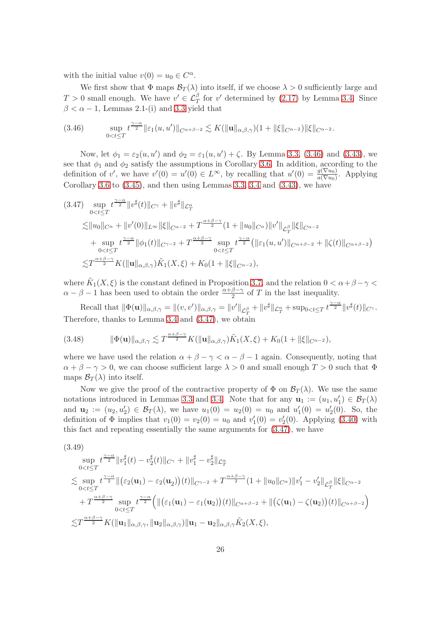with the initial value  $v(0) = u_0 \in C^{\alpha}$ .

We first show that  $\Phi$  maps  $\mathcal{B}_T(\lambda)$  into itself, if we choose  $\lambda > 0$  sufficiently large and  $T > 0$  small enough. We have  $v' \in \mathcal{L}^{\beta}_{T}$  for  $v'$  determined by [\(2.17\)](#page-9-5) by Lemma [3.4.](#page-18-0) Since  $\beta < \alpha - 1$ , Lemmas 2.1-(i) and [3.3](#page-15-0) yield that

<span id="page-25-0"></span>
$$
(3.46) \quad \sup_{0 < t \leq T} t^{\frac{\gamma - \alpha}{2}} \| \varepsilon_1(u, u') \|_{C^{\alpha + \beta - 2}} \lesssim K(\| \mathbf{u} \|_{\alpha, \beta, \gamma})(1 + \| \xi \|_{C^{\alpha - 2}}) \| \xi \|_{C^{\alpha - 2}}.
$$

Now, let  $\phi_1 = \varepsilon_2(u, u')$  and  $\phi_2 = \varepsilon_1(u, u') + \zeta$ . By Lemma [3.3,](#page-15-0) [\(3.46\)](#page-25-0) and [\(3.43\)](#page-24-2), we see that  $\phi_1$  and  $\phi_2$  satisfy the assumptions in Corollary [3.6.](#page-22-0) In addition, according to the definition of v', we have  $v'(0) = u'(0) \in L^{\infty}$ , by recalling that  $u'(0) = \frac{g(\nabla u_0)}{a(\nabla u_0)}$ . Applying Corollary [3.6](#page-22-0) to  $(3.45)$ , and then using Lemmas [3.3,](#page-15-0) [3.4](#page-18-0) and  $(3.43)$ , we have

<span id="page-25-1"></span>
$$
(3.47) \sup_{0 < t \leq T} t^{\frac{\gamma - \alpha}{2}} \|v^{\sharp}(t)\|_{C^{\gamma}} + \|v^{\sharp}\|_{\mathcal{L}^{\alpha}_{T}}
$$
  
\n
$$
\lesssim \|u_{0}\|_{C^{\alpha}} + \|v'(0)\|_{L^{\infty}} \|\xi\|_{C^{\alpha-2}} + T^{\frac{\alpha + \beta - \gamma}{2}} (1 + \|u_{0}\|_{C^{\alpha}}) \|v'\|_{\mathcal{L}^{\beta}_{T}} \|\xi\|_{C^{\alpha-2}}
$$
  
\n
$$
+ \sup_{0 < t \leq T} t^{\frac{\gamma - \alpha}{2}} \|\phi_{1}(t)\|_{C^{\gamma-2}} + T^{\frac{\alpha + \beta - \gamma}{2}} \sup_{0 < t \leq T} t^{\frac{\gamma - \alpha}{2}} (\|\varepsilon_{1}(u, u')\|_{C^{\alpha + \beta - 2}} + \|\zeta(t)\|_{C^{\alpha + \beta - 2}})
$$
  
\n
$$
\lesssim T^{\frac{\alpha + \beta - \gamma}{2}} K(\|u\|_{\alpha, \beta, \gamma}) \tilde{K}_{1}(X, \xi) + K_{0}(1 + \|\xi\|_{C^{\alpha - 2}}),
$$

where  $\tilde{K}_1(X,\xi)$  is the constant defined in Proposition [3.7,](#page-24-0) and the relation  $0 < \alpha + \beta - \gamma <$  $\alpha - \beta - 1$  has been used to obtain the order  $\frac{\alpha + \beta - \gamma}{2}$  of T in the last inequality.

Recall that  $\|\Phi(\mathbf{u})\|_{\alpha,\beta,\gamma} = \|(v,v')\|_{\alpha,\beta,\gamma} = \|v'\|_{\mathcal{L}_T^\beta} + \|v^{\sharp}\|_{\mathcal{L}_T^\alpha} + \sup_{0 < t \leq T} t^{\frac{\gamma-\alpha}{2}} \|v^{\sharp}(t)\|_{C^{\gamma}}.$ Therefore, thanks to Lemma [3.4](#page-18-0) and [\(3.47\)](#page-25-1), we obtain

<span id="page-25-3"></span>(3.48) 
$$
\|\Phi(\mathbf{u})\|_{\alpha,\beta,\gamma} \lesssim T^{\frac{\alpha+\beta-\gamma}{2}} K(\|\mathbf{u}\|_{\alpha,\beta,\gamma}) \tilde{K}_1(X,\xi) + K_0(1+\|\xi\|_{C^{\alpha-2}}),
$$

where we have used the relation  $\alpha + \beta - \gamma < \alpha - \beta - 1$  again. Consequently, noting that  $\alpha + \beta - \gamma > 0$ , we can choose sufficient large  $\lambda > 0$  and small enough  $T > 0$  such that  $\Phi$ maps  $\mathcal{B}_{T}(\lambda)$  into itself.

Now we give the proof of the contractive property of  $\Phi$  on  $\mathcal{B}_T(\lambda)$ . We use the same notations introduced in Lemmas [3.3](#page-15-0) and [3.4.](#page-18-0) Note that for any  $\mathbf{u}_1 := (u_1, u'_1) \in \mathcal{B}_T(\lambda)$ and  $\mathbf{u}_2 := (u_2, u'_2) \in \mathcal{B}_T(\lambda)$ , we have  $u_1(0) = u_2(0) = u_0$  and  $u'_1(0) = u'_2(0)$ . So, the definition of  $\Phi$  implies that  $v_1(0) = v_2(0) = u_0$  and  $v'_1(0) = v'_2(0)$ . Applying [\(3.40\)](#page-23-1) with this fact and repeating essentially the same arguments for [\(3.47\)](#page-25-1), we have

<span id="page-25-2"></span>
$$
(3.49)
$$
\n
$$
\sup_{0 < t \leq T} t^{\frac{\gamma - \alpha}{2}} \|v_1^{\sharp}(t) - v_2^{\sharp}(t)\|_{C^{\gamma}} + \|v_1^{\sharp} - v_2^{\sharp}\|_{\mathcal{L}_T^{\alpha}}
$$
\n
$$
\lesssim \sup_{0 < t \leq T} t^{\frac{\gamma - \alpha}{2}} \|(\varepsilon_2(\mathbf{u}_1) - \varepsilon_2(\mathbf{u}_2))(t)\|_{C^{\gamma - 2}} + T^{\frac{\alpha + \beta - \gamma}{2}} (1 + \|u_0\|_{C^{\alpha}}) \|v_1' - v_2'\|_{\mathcal{L}_T^{\beta}} \| \xi \|_{C^{\alpha - 2}}
$$
\n
$$
+ T^{\frac{\alpha + \beta - \gamma}{2}} \sup_{0 < t \leq T} t^{\frac{\gamma - \alpha}{2}} \Big( \|(\varepsilon_1(\mathbf{u}_1) - \varepsilon_1(\mathbf{u}_2))(t)\|_{C^{\alpha + \beta - 2}} + \|(\zeta(\mathbf{u}_1) - \zeta(\mathbf{u}_2))(t)\|_{C^{\alpha + \beta - 2}} \Big)
$$
\n
$$
\lesssim T^{\frac{\alpha + \beta - \gamma}{2}} K(\|\mathbf{u}_1\|_{\alpha, \beta, \gamma}, \|\mathbf{u}_2\|_{\alpha, \beta, \gamma}) \|\mathbf{u}_1 - \mathbf{u}_2\|_{\alpha, \beta, \gamma} \tilde{K}_2(X, \xi),
$$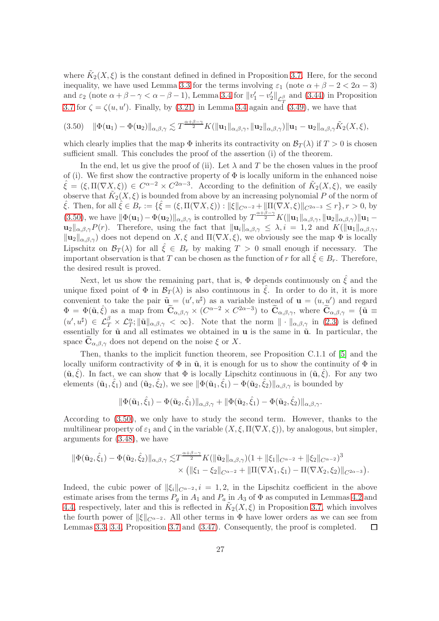where  $\tilde{K}_2(X, \xi)$  is the constant defined in defined in Proposition [3.7.](#page-24-0) Here, for the second inequality, we have used Lemma [3.3](#page-15-0) for the terms involving  $\varepsilon_1$  (note  $\alpha + \beta - 2 < 2\alpha - 3$ ) and  $\varepsilon_2$  (note  $\alpha + \beta - \gamma < \alpha - \beta - 1$ ), Lemma [3.4](#page-18-0) for  $||v_1' - v_2'||_{\mathcal{L}_T^{\beta}}$  and [\(3.44\)](#page-24-4) in Proposition [3.7](#page-24-0) for  $\zeta = \zeta(u, u')$ . Finally, by [\(3.21\)](#page-18-4) in Lemma [3.4](#page-18-0) again and [\(3.49\)](#page-25-2), we have that

<span id="page-26-0"></span>
$$
(3.50) \quad \|\Phi(\mathbf{u}_1)-\Phi(\mathbf{u}_2)\|_{\alpha,\beta,\gamma} \lesssim T^{\frac{\alpha+\beta-\gamma}{2}}K(\|\mathbf{u}_1\|_{\alpha,\beta,\gamma},\|\mathbf{u}_2\|_{\alpha,\beta,\gamma})\|\mathbf{u}_1-\mathbf{u}_2\|_{\alpha,\beta,\gamma}\tilde{K}_2(X,\xi),
$$

which clearly implies that the map  $\Phi$  inherits its contractivity on  $\mathcal{B}_T(\lambda)$  if  $T > 0$  is chosen sufficient small. This concludes the proof of the assertion (i) of the theorem.

In the end, let us give the proof of (ii). Let  $\lambda$  and T be the chosen values in the proof of (i). We first show the contractive property of  $\Phi$  is locally uniform in the enhanced noise  $\hat{\xi} = (\xi, \Pi(\nabla X, \xi)) \in C^{\alpha-2} \times C^{2\alpha-3}$ . According to the definition of  $\tilde{K}_2(X, \xi)$ , we easily observe that  $\tilde{K}_2(X, \xi)$  is bounded from above by an increasing polynomial P of the norm of  $\hat{\xi}$ . Then, for all  $\hat{\xi} \in B_r := \{ \hat{\xi} = (\xi, \Pi(\nabla X, \xi)) : ||\xi||_{C^{\alpha-2}} + ||\Pi(\nabla X, \xi)||_{C^{2\alpha-3}} \leq r \}, r > 0$ , by [\(3.50\)](#page-26-0), we have  $\|\Phi(\mathbf{u}_1)-\Phi(\mathbf{u}_2)\|_{\alpha,\beta,\gamma}$  is controlled by  $T^{\frac{\alpha+\beta-\gamma}{2}}K(\|\mathbf{u}_1\|_{\alpha,\beta,\gamma},\|\mathbf{u}_2\|_{\alpha,\beta,\gamma})\|\mathbf{u}_1-\$  $\mathbf{u}_{2}\|_{\alpha,\beta,\gamma}P(r)$ . Therefore, using the fact that  $\|\mathbf{u}_{i}\|_{\alpha,\beta,\gamma} \leq \lambda, i = 1, 2$  and  $K(\|\mathbf{u}_{1}\|_{\alpha,\beta,\gamma},)$  $\|\mathbf{u}_2\|_{\alpha,\beta,\gamma}$  does not depend on  $X,\xi$  and  $\Pi(\nabla X,\xi)$ , we obviously see the map  $\Phi$  is locally Lipschitz on  $\mathcal{B}_T(\lambda)$  for all  $\zeta \in B_r$  by making  $T > 0$  small enough if necessary. The important observation is that T can be chosen as the function of r for all  $\hat{\xi} \in B_r$ . Therefore, the desired result is proved.

Next, let us show the remaining part, that is,  $\Phi$  depends continuously on  $\hat{\xi}$  and the unique fixed point of  $\Phi$  in  $\mathcal{B}_T(\lambda)$  is also continuous in  $\xi$ . In order to do it, it is more convenient to take the pair  $\tilde{\mathbf{u}} = (u', u^{\sharp})$  as a variable instead of  $\mathbf{u} = (u, u')$  and regard  $\Phi = \Phi(\tilde{\mathbf{u}}, \hat{\xi})$  as a map from  $\tilde{\mathbf{C}}_{\alpha,\beta,\gamma} \times (C^{\alpha-2} \times C^{2\alpha-3})$  to  $\tilde{\mathbf{C}}_{\alpha,\beta,\gamma}$ , where  $\tilde{\mathbf{C}}_{\alpha,\beta,\gamma} = {\tilde{\mathbf{u}}} \equiv$  $(u',u^{\sharp}) \in \mathcal{L}_{\mathcal{T}}^{\beta} \times \mathcal{L}_{\mathcal{T}}^{\alpha}; \|\tilde{\mathbf{u}}\|_{\alpha,\beta,\gamma} < \infty$ . Note that the norm  $\|\cdot\|_{\alpha,\beta,\gamma}$  in [\(2.3\)](#page-4-2) is defined essentially for  $\tilde{u}$  and all estimates we obtained in  $u$  is the same in  $\tilde{u}$ . In particular, the space  $\mathbf{C}_{\alpha,\beta,\gamma}$  does not depend on the noise  $\xi$  or X.

Then, thanks to the implicit function theorem, see Proposition C.1.1 of [\[5\]](#page-37-4) and the locally uniform contractivity of  $\Phi$  in  $\tilde{u}$ , it is enough for us to show the continuity of  $\Phi$  in  $(\tilde{\mathbf{u}}, \hat{\xi})$ . In fact, we can show that  $\Phi$  is locally Lipschitz continuous in  $(\tilde{\mathbf{u}}, \hat{\xi})$ . For any two elements  $(\tilde{\mathbf{u}}_1, \hat{\xi}_1)$  and  $(\tilde{\mathbf{u}}_2, \hat{\xi}_2)$ , we see  $\|\Phi(\tilde{\mathbf{u}}_1, \hat{\xi}_1) - \Phi(\tilde{\mathbf{u}}_2, \hat{\xi}_2)\|_{\alpha,\beta,\gamma}$  is bounded by

$$
\|\Phi(\tilde{\mathbf{u}}_1,\hat{\xi}_1)-\Phi(\tilde{\mathbf{u}}_2,\hat{\xi}_1)\|_{\alpha,\beta,\gamma}+\|\Phi(\tilde{\mathbf{u}}_2,\hat{\xi}_1)-\Phi(\tilde{\mathbf{u}}_2,\hat{\xi}_2)\|_{\alpha,\beta,\gamma}.
$$

According to [\(3.50\)](#page-26-0), we only have to study the second term. However, thanks to the multilinear property of  $\varepsilon_1$  and  $\zeta$  in the variable  $(X, \xi, \Pi(\nabla X, \xi))$ , by analogous, but simpler, arguments for [\(3.48\)](#page-25-3), we have

$$
\begin{split} \|\Phi(\tilde{\mathbf{u}}_2,\hat{\xi}_1)-\Phi(\tilde{\mathbf{u}}_2,\hat{\xi}_2)\|_{\alpha,\beta,\gamma} \lesssim & T^{\frac{\alpha+\beta-\gamma}{2}}K(\|\tilde{\mathbf{u}}_2\|_{\alpha,\beta,\gamma})(1+\|\xi_1\|_{C^{\alpha-2}}+\|\xi_2\|_{C^{\alpha-2}})^3\\ &\times \left(\|\xi_1-\xi_2\|_{C^{\alpha-2}}+\|\Pi(\nabla X_1,\xi_1)-\Pi(\nabla X_2,\xi_2)\|_{C^{2\alpha-3}}\right). \end{split}
$$

Indeed, the cubic power of  $\|\xi_i\|_{C^{\alpha-2}}$ ,  $i = 1, 2$ , in the Lipschitz coefficient in the above estimate arises from the terms  $P_q$  in  $A_1$  and  $P_a$  in  $A_3$  of  $\Phi$  as computed in Lemmas [4.2](#page-28-0) and [4.4,](#page-30-0) respectively, later and this is reflected in  $\tilde{K}_2(X, \xi)$  in Proposition [3.7,](#page-24-0) which involves the fourth power of  $\|\xi\|_{C^{\alpha-2}}$ . All other terms in  $\Phi$  have lower orders as we can see from Lemmas 3.3, 3.4. Proposition 3.7 and (3.47). Consequently, the proof is completed.  $\square$ Lemmas [3.3,](#page-15-0) [3.4,](#page-18-0) Proposition [3.7](#page-24-0) and [\(3.47\)](#page-25-1). Consequently, the proof is completed.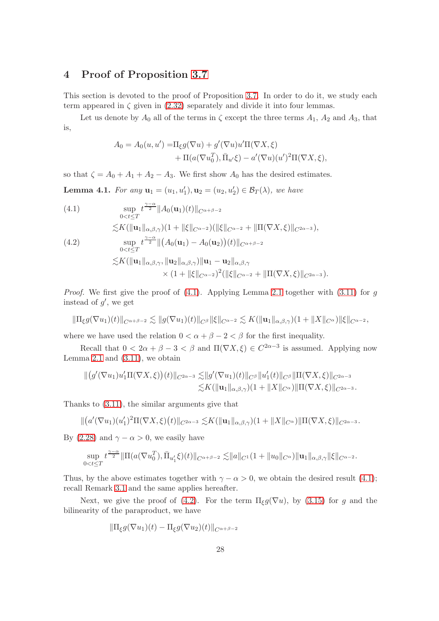### <span id="page-27-0"></span>4 Proof of Proposition [3.7](#page-24-0)

This section is devoted to the proof of Proposition [3.7.](#page-24-0) In order to do it, we study each term appeared in  $\zeta$  given in [\(2.32\)](#page-12-0) separately and divide it into four lemmas.

Let us denote by  $A_0$  all of the terms in  $\zeta$  except the three terms  $A_1$ ,  $A_2$  and  $A_3$ , that is,

$$
A_0 = A_0(u, u') = \Pi_{\xi} g(\nabla u) + g'(\nabla u) u' \Pi(\nabla X, \xi)
$$
  
+ 
$$
\Pi(a(\nabla u_0^T), \overline{\Pi}_{u'} \xi) - a'(\nabla u)(u')^2 \Pi(\nabla X, \xi),
$$

so that  $\zeta = A_0 + A_1 + A_2 - A_3$ . We first show  $A_0$  has the desired estimates.

<span id="page-27-1"></span>**Lemma 4.1.** For any  $\mathbf{u}_1 = (u_1, u'_1), \mathbf{u}_2 = (u_2, u'_2) \in \mathcal{B}_T(\lambda)$ , we have

<span id="page-27-3"></span><span id="page-27-2"></span>(4.1)  
\n
$$
\sup_{0\n(4.2)  
\n
$$
\sup_{0
$$
$$

*Proof.* We first give the proof of  $(4.1)$ . Applying Lemma [2.1](#page-5-0) together with  $(3.11)$  for g instead of  $g'$ , we get

$$
\|\Pi_{\xi}g(\nabla u_1)(t)\|_{C^{\alpha+\beta-2}} \lesssim \|g(\nabla u_1)(t)\|_{C^{\beta}} \|\xi\|_{C^{\alpha-2}} \lesssim K(\|u_1\|_{\alpha,\beta,\gamma})(1+\|X\|_{C^{\alpha}}) \|\xi\|_{C^{\alpha-2}},
$$

where we have used the relation  $0 < \alpha + \beta - 2 < \beta$  for the first inequality.

Recall that  $0 < 2\alpha + \beta - 3 < \beta$  and  $\Pi(\nabla X, \xi) \in C^{2\alpha - 3}$  is assumed. Applying now Lemma [2.1](#page-5-0) and  $(3.11)$ , we obtain

$$
\begin{aligned} \| \big( g'(\nabla u_1) u_1' \Pi(\nabla X, \xi) \big)(t) \|_{C^{2\alpha - 3}} &\lesssim & \| g'(\nabla u_1)(t) \|_{C^\beta} \| u_1'(t) \|_{C^\beta} \| \Pi(\nabla X, \xi) \|_{C^{2\alpha - 3}} \\ &\lesssim & K( \| \mathbf{u}_1 \|_{\alpha, \beta, \gamma})(1 + \| X \|_{C^\alpha}) \| \Pi(\nabla X, \xi) \|_{C^{2\alpha - 3}}. \end{aligned}
$$

Thanks to [\(3.11\)](#page-16-0), the similar arguments give that

$$
\| (a'(\nabla u_1)(u_1')^2 \Pi(\nabla X,\xi)(t) \|_{C^{2\alpha-3}} \lesssim K (\| \mathbf{u}_1 \|_{\alpha,\beta,\gamma})(1 + \| X \|_{C^\alpha}) \| \Pi(\nabla X,\xi) \|_{C^{2\alpha-3}}.
$$

By [\(2.28\)](#page-12-3) and  $\gamma - \alpha > 0$ , we easily have

$$
\sup_{0
$$

Thus, by the above estimates together with  $\gamma - \alpha > 0$ , we obtain the desired result [\(4.1\)](#page-27-2); recall Remark [3.1](#page-15-1) and the same applies hereafter.

Next, we give the proof of [\(4.2\)](#page-27-3). For the term  $\Pi_{\xi}g(\nabla u)$ , by [\(3.15\)](#page-16-2) for g and the bilinearity of the paraproduct, we have

$$
\|\Pi_{\xi}g(\nabla u_1)(t)-\Pi_{\xi}g(\nabla u_2)(t)\|_{C^{\alpha+\beta-2}}
$$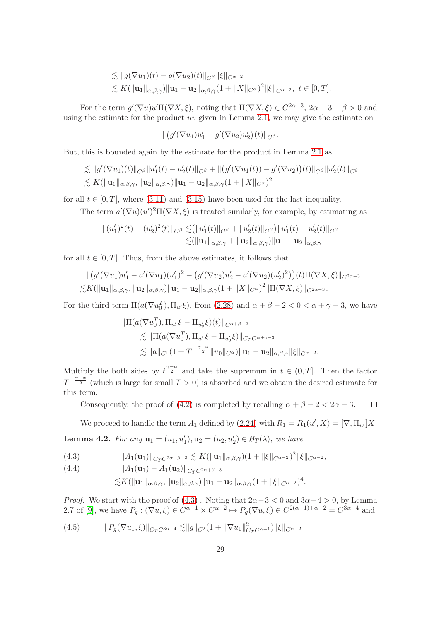$$
\lesssim ||g(\nabla u_1)(t) - g(\nabla u_2)(t)||_{C^{\beta}} ||\xi||_{C^{\alpha-2}}\lesssim K(||\mathbf{u}_1||_{\alpha,\beta,\gamma}) ||\mathbf{u}_1 - \mathbf{u}_2||_{\alpha,\beta,\gamma} (1 + ||X||_{C^{\alpha}})^2 ||\xi||_{C^{\alpha-2}}, \ t \in [0,T].
$$

For the term  $g'(\nabla u)u'\Pi(\nabla X,\xi)$ , noting that  $\Pi(\nabla X,\xi)\in C^{2\alpha-3}$ ,  $2\alpha-3+\beta>0$  and using the estimate for the product  $uv$  given in Lemma [2.1,](#page-5-0) we may give the estimate on

$$
\| (g'(\nabla u_1)u'_1 - g'(\nabla u_2)u'_2)(t) \|_{C^\beta}.
$$

But, this is bounded again by the estimate for the product in Lemma [2.1](#page-5-0) as

$$
\lesssim ||g'(\nabla u_1)(t)||_{C^{\beta}}||u'_1(t) - u'_2(t)||_{C^{\beta}} + ||(g'(\nabla u_1(t)) - g'(\nabla u_2))(t)||_{C^{\beta}}||u'_2(t)||_{C^{\beta}}\lesssim K(||\mathbf{u}_1||_{\alpha,\beta,\gamma}, ||\mathbf{u}_2||_{\alpha,\beta,\gamma})||\mathbf{u}_1 - \mathbf{u}_2||_{\alpha,\beta,\gamma}(1 + ||X||_{C^{\alpha}})^2
$$

for all  $t \in [0, T]$ , where [\(3.11\)](#page-16-0) and [\(3.15\)](#page-16-2) have been used for the last inequality.

The term  $a'(\nabla u)(u')^2\Pi(\nabla X,\xi)$  is treated similarly, for example, by estimating as

$$
\| (u'_1)^2(t) - (u'_2)^2(t) \|_{C^\beta} \lesssim ( \|u'_1(t)\|_{C^\beta} + \|u'_2(t)\|_{C^\beta}) \|u'_1(t) - u'_2(t)\|_{C^\beta}
$$
  

$$
\lesssim (\| \mathbf{u}_1 \|_{\alpha,\beta,\gamma} + \| \mathbf{u}_2 \|_{\alpha,\beta,\gamma}) \| \mathbf{u}_1 - \mathbf{u}_2 \|_{\alpha,\beta,\gamma}
$$

for all  $t \in [0, T]$ . Thus, from the above estimates, it follows that

$$
\| (g'(\nabla u_1)u'_1 - a'(\nabla u_1)(u'_1)^2 - (g'(\nabla u_2)u'_2 - a'(\nabla u_2)(u'_2)^2)) (t)\Pi(\nabla X,\xi) \|_{C^{2\alpha-3}} \leq K(\| \mathbf{u}_1 \|_{\alpha,\beta,\gamma}, \| \mathbf{u}_2 \|_{\alpha,\beta,\gamma}) \| \mathbf{u}_1 - \mathbf{u}_2 \|_{\alpha,\beta,\gamma} (1 + \|X\|_{C^\alpha})^2 \| \Pi(\nabla X,\xi) \|_{C^{2\alpha-3}}.
$$

For the third term  $\Pi(a(\nabla u_0^T), \overline{\Pi}_{u'}\xi)$ , from [\(2.28\)](#page-12-3) and  $\alpha + \beta - 2 < 0 < \alpha + \gamma - 3$ , we have

$$
\|\Pi(a(\nabla u_0^T), \bar{\Pi}_{u'_1}\xi - \bar{\Pi}_{u'_2}\xi)(t)\|_{C^{\alpha+\beta-2}}\n\lesssim \|\Pi(a(\nabla u_0^T), \bar{\Pi}_{u'_1}\xi - \bar{\Pi}_{u'_2}\xi)\|_{C_T C^{\alpha+\gamma-3}}\n\lesssim \|a\|_{C^1}(1+T^{-\frac{\gamma-\alpha}{2}}\|u_0\|_{C^{\alpha}})\|u_1 - u_2\|_{\alpha,\beta,\gamma}\|\xi\|_{C^{\alpha-2}}.
$$

Multiply the both sides by  $t^{\frac{\gamma-\alpha}{2}}$  and take the supremum in  $t \in (0,T]$ . Then the factor  $T^{-\frac{\gamma-\alpha}{2}}$  (which is large for small  $T>0$ ) is absorbed and we obtain the desired estimate for this term.

Consequently, the proof of [\(4.2\)](#page-27-3) is completed by recalling  $\alpha + \beta - 2 < 2\alpha - 3$ .  $\Box$ 

We proceed to handle the term  $A_1$  defined by [\(2.24\)](#page-11-2) with  $R_1 = R_1(u', X) = [\nabla, \overline{\Pi}_{u'}]X$ .

<span id="page-28-0"></span>**Lemma 4.2.** For any  $\mathbf{u}_1 = (u_1, u'_1), \mathbf{u}_2 = (u_2, u'_2) \in \mathcal{B}_T(\lambda)$ , we have

<span id="page-28-1"></span>(4.3) 
$$
||A_1(\mathbf{u}_1)||_{C_T C^{2\alpha+\beta-3}} \lesssim K(||\mathbf{u}_1||_{\alpha,\beta,\gamma})(1+||\xi||_{C^{\alpha-2}})^2 ||\xi||_{C^{\alpha-2}},
$$

<span id="page-28-2"></span>(4.4) 
$$
||A_1(\mathbf{u}_1) - A_1(\mathbf{u}_2)||_{C_T C^{2\alpha + \beta - 3}}
$$

$$
\lesssim K(||\mathbf{u}_1||_{\alpha,\beta,\gamma}, \|\mathbf{u}_2\|_{\alpha,\beta,\gamma})||\mathbf{u}_1-\mathbf{u}_2||_{\alpha,\beta,\gamma}(1+\|\xi\|_{C^{\alpha-2}})^4.
$$

*Proof.* We start with the proof of  $(4.3)$ . Noting that  $2\alpha - 3 < 0$  and  $3\alpha - 4 > 0$ , by Lemma 2.7 of [\[9\]](#page-38-2), we have  $P_g: (\nabla u, \xi) \in C^{\alpha-1} \times C^{\alpha-2} \mapsto P_g(\nabla u, \xi) \in C^{2(\alpha-1)+\alpha-2} = C^{3\alpha-4}$  and

(4.5) 
$$
||P_g(\nabla u_1, \xi)||_{C_T C^{3\alpha-4}} \lesssim ||g||_{C^2} (1 + ||\nabla u_1||^2_{C_T C^{\alpha-1}}) ||\xi||_{C^{\alpha-2}}
$$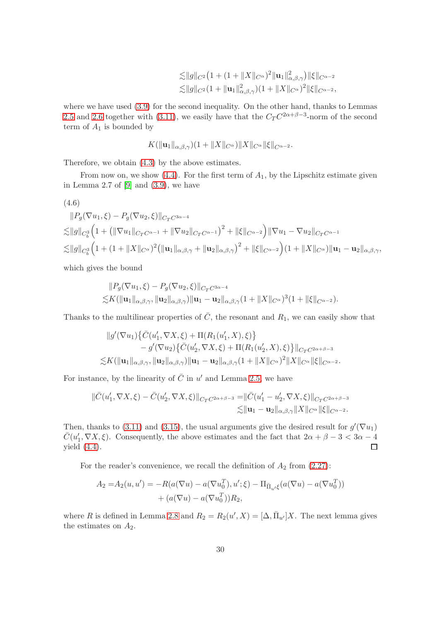$$
\begin{aligned}\n&\lesssim \|g\|_{C^2} \big(1 + (1 + \|X\|_{C^\alpha})^2 \|\mathbf{u}_1\|_{\alpha,\beta,\gamma}^2\big) \|\xi\|_{C^{\alpha-2}} \\
&\lesssim \|g\|_{C^2} \big(1 + \|\mathbf{u}_1\|_{\alpha,\beta,\gamma}^2\big) \big(1 + \|X\|_{C^\alpha}\big)^2 \|\xi\|_{C^{\alpha-2}},\n\end{aligned}
$$

where we have used [\(3.9\)](#page-15-2) for the second inequality. On the other hand, thanks to Lemmas [2.5](#page-7-6) and [2.6](#page-7-5) together with [\(3.11\)](#page-16-0), we easily have that the  $C_T C^{2\alpha+\beta-3}$ -norm of the second term of  $A_1$  is bounded by

$$
K(\|\mathbf{u}_1\|_{\alpha,\beta,\gamma})(1+\|X\|_{C^{\alpha}})\|X\|_{C^{\alpha}}\|\xi\|_{C^{\alpha-2}}.
$$

Therefore, we obtain [\(4.3\)](#page-28-1) by the above estimates.

From now on, we show  $(4.4)$ . For the first term of  $A<sub>1</sub>$ , by the Lipschitz estimate given in Lemma 2.7 of  $[9]$  and  $(3.9)$ , we have

<span id="page-29-0"></span>
$$
(4.6)
$$

$$
||P_g(\nabla u_1,\xi) - P_g(\nabla u_2,\xi)||_{C_T C^{3\alpha-4}}
$$
  
\n
$$
\lesssim ||g||_{C_b^3} \Big(1 + (||\nabla u_1||_{C_T C^{\alpha-1}} + ||\nabla u_2||_{C_T C^{\alpha-1}})\Big)^2 + ||\xi||_{C^{\alpha-2}}\Big)||\nabla u_1 - \nabla u_2||_{C_T C^{\alpha-1}}
$$
  
\n
$$
\lesssim ||g||_{C_b^3} \Big(1 + (1 + ||X||_{C^{\alpha}})^2 \big(||\mathbf{u}_1||_{\alpha,\beta,\gamma} + ||\mathbf{u}_2||_{\alpha,\beta,\gamma}\big)^2 + ||\xi||_{C^{\alpha-2}}\Big)(1 + ||X||_{C^{\alpha}})||\mathbf{u}_1 - \mathbf{u}_2||_{\alpha,\beta,\gamma},
$$

which gives the bound

$$
||P_g(\nabla u_1,\xi)-P_g(\nabla u_2,\xi)||_{C_T C^{3\alpha-4}}\le K(||\mathbf{u}_1||_{\alpha,\beta,\gamma},||\mathbf{u}_2||_{\alpha,\beta,\gamma})||\mathbf{u}_1-\mathbf{u}_2||_{\alpha,\beta,\gamma}(1+||X||_{C^{\alpha}})^3(1+||\xi||_{C^{\alpha-2}}).
$$

Thanks to the multilinear properties of  $\overline{C}$ , the resonant and  $R_1$ , we can easily show that

$$
\|g'(\nabla u_1)\{\bar{C}(u'_1, \nabla X, \xi) + \Pi(R_1(u'_1, X), \xi)\}- g'(\nabla u_2)\{\bar{C}(u'_2, \nabla X, \xi) + \Pi(R_1(u'_2, X), \xi)\}\|_{C_T C^{2\alpha+\beta-3}}\lesssim K(\|\mathbf{u}_1\|_{\alpha,\beta,\gamma}, \|\mathbf{u}_2\|_{\alpha,\beta,\gamma})\|\mathbf{u}_1 - \mathbf{u}_2\|_{\alpha,\beta,\gamma}(1 + \|X\|_{C^{\alpha}})^2\|X\|_{C^{\alpha}}\|\xi\|_{C^{\alpha-2}}.
$$

For instance, by the linearity of  $\overline{C}$  in u' and Lemma [2.5,](#page-7-6) we have

$$
\|\bar{C}(u'_1, \nabla X, \xi) - \bar{C}(u'_2, \nabla X, \xi)\|_{C_T C^{2\alpha+\beta-3}} = \|\bar{C}(u'_1 - u'_2, \nabla X, \xi)\|_{C_T C^{2\alpha+\beta-3}} \lesssim \|\mathbf{u}_1 - \mathbf{u}_2\|_{\alpha,\beta,\gamma} \|X\|_{C^{\alpha}} \|\xi\|_{C^{\alpha-2}}.
$$

Then, thanks to [\(3.11\)](#page-16-0) and [\(3.15\)](#page-16-2), the usual arguments give the desired result for  $g'(\nabla u_1)$  $\bar{C}(u'_1, \nabla X, \xi)$ . Consequently, the above estimates and the fact that  $2\alpha + \beta - 3 < 3\alpha - 4$ yield [\(4.4\)](#page-28-2).

For the reader's convenience, we recall the definition of  $A_2$  from [\(2.27\)](#page-11-3):

$$
A_2 = A_2(u, u') = -R(a(\nabla u) - a(\nabla u_0^T), u'; \xi) - \Pi_{\bar{\Pi}_{u'}\xi}(a(\nabla u) - a(\nabla u_0^T)) + (a(\nabla u) - a(\nabla u_0^T))R_2,
$$

where R is defined in Lemma [2.8](#page-8-1) and  $R_2 = R_2(u', X) = [\Delta, \overline{\Pi}_{u'}]X$ . The next lemma gives the estimates on  $A_2$ .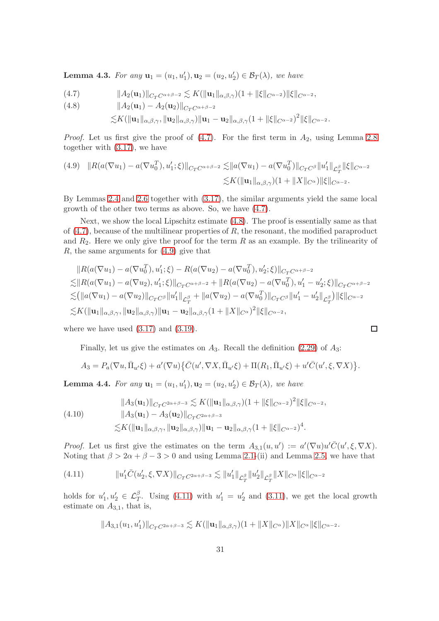**Lemma 4.3.** For any  $\mathbf{u}_1 = (u_1, u'_1), \mathbf{u}_2 = (u_2, u'_2) \in \mathcal{B}_T(\lambda)$ , we have

<span id="page-30-1"></span>(4.7) 
$$
||A_2(\mathbf{u}_1)||_{C_T C^{\alpha+\beta-2}} \lesssim K(||\mathbf{u}_1||_{\alpha,\beta,\gamma})(1+||\xi||_{C^{\alpha-2}})||\xi||_{C^{\alpha-2}},
$$

<span id="page-30-2"></span>(4.8) 
$$
||A_2(\mathbf{u}_1) - A_2(\mathbf{u}_2)||_{C_T C^{\alpha+\beta-2}}
$$

$$
\lesssim K(\|\mathbf{u}_1\|_{\alpha,\beta,\gamma}, \|\mathbf{u}_2\|_{\alpha,\beta,\gamma})\|\mathbf{u}_1-\mathbf{u}_2\|_{\alpha,\beta,\gamma}(1+\|\xi\|_{C^{\alpha-2}})^2\|\xi\|_{C^{\alpha-2}}.
$$

*Proof.* Let us first give the proof of  $(4.7)$ . For the first term in  $A_2$ , using Lemma [2.8](#page-8-1) together with [\(3.17\)](#page-17-1), we have

<span id="page-30-3"></span>
$$
(4.9) \quad ||R(a(\nabla u_1) - a(\nabla u_0^T), u_1'; \xi)||_{C_T C^{\alpha+\beta-2}} \lesssim ||a(\nabla u_1) - a(\nabla u_0^T)||_{C_T C^{\beta}} ||u_1'||_{\mathcal{L}_T^{\beta}} ||\xi||_{C^{\alpha-2}} \lesssim K(||\mathbf{u}_1||_{\alpha,\beta,\gamma})(1 + ||X||_{C^{\alpha}}) ||\xi||_{C^{\alpha-2}}.
$$

By Lemmas [2.4](#page-7-1) and [2.6](#page-7-5) together with [\(3.17\)](#page-17-1), the similar arguments yield the same local growth of the other two terms as above. So, we have [\(4.7\)](#page-30-1).

Next, we show the local Lipschitz estimate [\(4.8\)](#page-30-2). The proof is essentially same as that of  $(4.7)$ , because of the multilinear properties of R, the resonant, the modified paraproduct and  $R_2$ . Here we only give the proof for the term  $R$  as an example. By the trilinearity of R, the same arguments for [\(4.9\)](#page-30-3) give that

$$
||R(a(\nabla u_1) - a(\nabla u_0^T), u_1'; \xi) - R(a(\nabla u_2) - a(\nabla u_0^T), u_2'; \xi)||_{C_T C^{\alpha+\beta-2}}
$$
  
\n
$$
\leq ||R(a(\nabla u_1) - a(\nabla u_2), u_1'; \xi)||_{C_T C^{\alpha+\beta-2}} + ||R(a(\nabla u_2) - a(\nabla u_0^T), u_1' - u_2'; \xi)||_{C_T C^{\alpha+\beta-2}}
$$
  
\n
$$
\leq (||a(\nabla u_1) - a(\nabla u_2)||_{C_T C^{\beta}} ||u_1'||_{\mathcal{L}_T^{\beta}} + ||a(\nabla u_2) - a(\nabla u_0^T)||_{C_T C^{\beta}} ||u_1' - u_2'||_{\mathcal{L}_T^{\beta}}) ||\xi||_{C^{\alpha-2}}
$$
  
\n
$$
\leq K(||u_1||_{\alpha,\beta,\gamma}, ||u_2||_{\alpha,\beta,\gamma}) ||u_1 - u_2||_{\alpha,\beta,\gamma} (1 + ||X||_{C^{\alpha}})^2 ||\xi||_{C^{\alpha-2}},
$$

 $\Box$ 

where we have used  $(3.17)$  and  $(3.19)$ .

Finally, let us give the estimates on  $A_3$ . Recall the definition [\(2.29\)](#page-12-4) of  $A_3$ :

$$
A_3 = P_a(\nabla u, \overline{\Pi}_{u'}\xi) + a'(\nabla u)\{\overline{C}(u', \nabla X, \overline{\Pi}_{u'}\xi) + \Pi(R_1, \overline{\Pi}_{u'}\xi) + u'\overline{C}(u', \xi, \nabla X)\}.
$$

<span id="page-30-0"></span>**Lemma 4.4.** For any  $\mathbf{u}_1 = (u_1, u'_1), \mathbf{u}_2 = (u_2, u'_2) \in \mathcal{B}_T(\lambda)$ , we have

<span id="page-30-5"></span>
$$
\|A_3(\mathbf{u}_1)\|_{C_T C^{2\alpha+\beta-3}} \lesssim K(\|\mathbf{u}_1\|_{\alpha,\beta,\gamma})(1 + \|\xi\|_{C^{\alpha-2}})^2 \|\xi\|_{C^{\alpha-2}},
$$
  
(4.10) 
$$
\|A_3(\mathbf{u}_1) - A_3(\mathbf{u}_2)\|_{C_T C^{2\alpha+\beta-3}}\lesssim K(\|\mathbf{u}_1\|_{\alpha,\beta,\gamma}, \|\mathbf{u}_2\|_{\alpha,\beta,\gamma}) \|\mathbf{u}_1 - \mathbf{u}_2\|_{\alpha,\beta,\gamma}(1 + \|\xi\|_{C^{\alpha-2}})^4.
$$

*Proof.* Let us first give the estimates on the term  $A_{3,1}(u, u') := a'(\nabla u)u' \overline{C}(u', \xi, \nabla X)$ . Noting that  $\beta > 2\alpha + \beta - 3 > 0$  and using Lemma [2.1-](#page-5-0)(ii) and Lemma [2.5,](#page-7-6) we have that

<span id="page-30-4"></span>(4.11) 
$$
||u_1' \bar{C}(u_2', \xi, \nabla X)||_{C_T C^{2\alpha+\beta-3}} \lesssim ||u_1'||_{\mathcal{L}_T^{\beta}} ||u_2'||_{\mathcal{L}_T^{\beta}} ||X||_{C^{\alpha}} ||\xi||_{C^{\alpha-2}}
$$

holds for  $u'_1, u'_2 \in \mathcal{L}_T^{\beta}$ . Using [\(4.11\)](#page-30-4) with  $u'_1 = u'_2$  and [\(3.11\)](#page-16-0), we get the local growth estimate on  $A_{3,1}$ , that is,

$$
||A_{3,1}(u_1,u_1')||_{C_T C^{2\alpha+\beta-3}} \lesssim K(||\mathbf{u}_1||_{\alpha,\beta,\gamma})(1+||X||_{C^{\alpha}})||X||_{C^{\alpha}}||\xi||_{C^{\alpha-2}}.
$$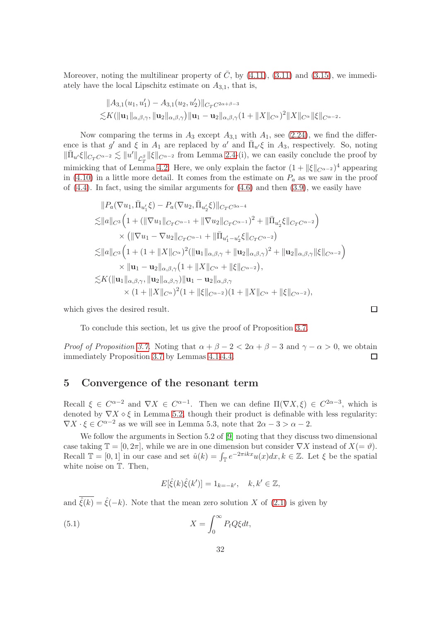Moreover, noting the multilinear property of  $\overline{C}$ , by [\(4.11\)](#page-30-4), [\(3.11\)](#page-16-0) and [\(3.15\)](#page-16-2), we immediately have the local Lipschitz estimate on  $A_{3,1}$ , that is,

$$
||A_{3,1}(u_1, u'_1) - A_{3,1}(u_2, u'_2)||_{C_T C^{2\alpha + \beta - 3}}
$$
  
\$\leq K(||\mathbf{u}\_1||\_{\alpha, \beta, \gamma}, ||\mathbf{u}\_2||\_{\alpha, \beta, \gamma}) ||\mathbf{u}\_1 - \mathbf{u}\_2||\_{\alpha, \beta, \gamma} (1 + ||X||\_{C^{\alpha}})^2 ||X||\_{C^{\alpha}} ||\xi||\_{C^{\alpha - 2}}.\$

Now comparing the terms in  $A_3$  except  $A_{3,1}$  with  $A_1$ , see [\(2.24\)](#page-11-2), we find the difference is that g' and  $\xi$  in  $A_1$  are replaced by a' and  $\overline{\Pi}_{u'}\xi$  in  $A_3$ , respectively. So, noting  $\|\bar{\Pi}_{u'}\xi\|_{C_T C^{\alpha-2}} \lesssim \|u'\|_{\mathcal{L}_T^{\beta}} \|\xi\|_{C^{\alpha-2}}$  from Lemma [2.4-](#page-7-1)(i), we can easily conclude the proof by mimicking that of Lemma [4.2.](#page-28-0) Here, we only explain the factor  $(1 + ||\xi||_{C^{\alpha-2}})^4$  appearing in [\(4.10\)](#page-30-5) in a little more detail. It comes from the estimate on  $P_a$  as we saw in the proof of  $(4.4)$ . In fact, using the similar arguments for  $(4.6)$  and then  $(3.9)$ , we easily have

$$
||P_a(\nabla u_1, \bar{\Pi}_{u'_1} \xi) - P_a(\nabla u_2, \bar{\Pi}_{u'_2} \xi)||_{C_T C^{3\alpha-4}}
$$
  
\n
$$
\lesssim ||a||_{C^3} \Big( 1 + (||\nabla u_1||_{C_T C^{\alpha-1}} + ||\nabla u_2||_{C_T C^{\alpha-1}})^2 + ||\bar{\Pi}_{u'_2} \xi||_{C_T C^{\alpha-2}} \Big)
$$
  
\n
$$
\times (||\nabla u_1 - \nabla u_2||_{C_T C^{\alpha-1}} + ||\bar{\Pi}_{u'_1 - u'_2} \xi||_{C_T C^{\alpha-2}})
$$
  
\n
$$
\lesssim ||a||_{C^3} \Big( 1 + (1 + ||X||_{C^{\alpha}})^2 (||u_1||_{\alpha, \beta, \gamma} + ||u_2||_{\alpha, \beta, \gamma})^2 + ||u_2||_{\alpha, \beta, \gamma} ||\xi||_{C^{\alpha-2}} \Big)
$$
  
\n
$$
\times ||u_1 - u_2||_{\alpha, \beta, \gamma} (1 + ||X||_{C^{\alpha}} + ||\xi||_{C^{\alpha-2}}),
$$
  
\n
$$
\lesssim K(||u_1||_{\alpha, \beta, \gamma}, ||u_2||_{\alpha, \beta, \gamma}) ||u_1 - u_2||_{\alpha, \beta, \gamma}
$$
  
\n
$$
\times (1 + ||X||_{C^{\alpha}})^2 (1 + ||\xi||_{C^{\alpha-2}}) (1 + ||X||_{C^{\alpha}} + ||\xi||_{C^{\alpha-2}}),
$$

which gives the desired result.

To conclude this section, let us give the proof of Proposition [3.7.](#page-24-0)

*Proof of Proposition [3.7.](#page-24-0)* Noting that  $\alpha + \beta - 2 < 2\alpha + \beta - 3$  and  $\gamma - \alpha > 0$ , we obtain immediately Proposition 3.7 by Lemmas 4.1-4.4. immediately Proposition [3.7](#page-24-0) by Lemmas [4.1](#page-27-1)[-4.4.](#page-30-0)

### <span id="page-31-0"></span>5 Convergence of the resonant term

Recall  $\xi \in C^{\alpha-2}$  and  $\nabla X \in C^{\alpha-1}$ . Then we can define  $\Pi(\nabla X,\xi) \in C^{2\alpha-3}$ , which is denoted by  $\nabla X \diamond \xi$  in Lemma [5.2,](#page-32-0) though their product is definable with less regularity:  $\nabla X \cdot \xi \in C^{\alpha-2}$  as we will see in Lemma 5.3, note that  $2\alpha - 3 > \alpha - 2$ .

We follow the arguments in Section 5.2 of [\[9\]](#page-38-2) noting that they discuss two dimensional case taking  $\mathbb{T} = [0, 2\pi]$ , while we are in one dimension but consider  $\nabla X$  instead of  $X(=\vartheta)$ . Recall  $\mathbb{T} = [0, 1]$  in our case and set  $\hat{u}(k) = \int_{\mathbb{T}} e^{-2\pi i kx} u(x) dx, k \in \mathbb{Z}$ . Let  $\xi$  be the spatial white noise on T. Then,

<span id="page-31-1"></span>
$$
E[\hat{\xi}(k)\hat{\xi}(k')] = 1_{k=-k'}, \quad k, k' \in \mathbb{Z},
$$

and  $\overline{\hat{\xi}(k)} = \hat{\xi}(-k)$ . Note that the mean zero solution X of [\(2.1\)](#page-4-3) is given by

(5.1) 
$$
X = \int_0^\infty P_t Q \xi dt,
$$

 $\Box$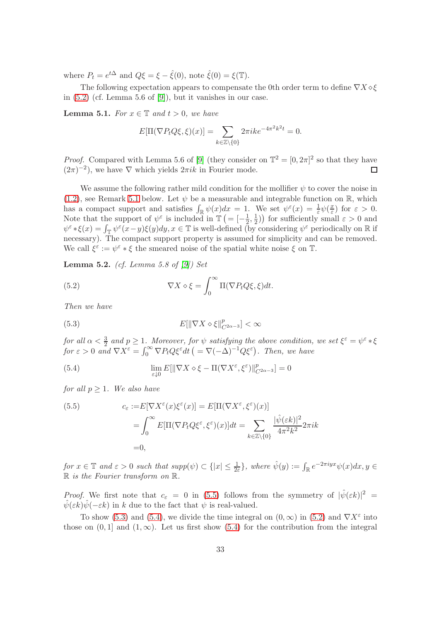where  $P_t = e^{t\Delta}$  and  $Q\xi = \xi - \hat{\xi}(0)$ , note  $\hat{\xi}(0) = \xi(\mathbb{T})$ .

The following expectation appears to compensate the 0th order term to define  $\nabla X \diamond \xi$ in [\(5.2\)](#page-32-1) (cf. Lemma 5.6 of [\[9\]](#page-38-2)), but it vanishes in our case.

**Lemma 5.1.** For  $x \in \mathbb{T}$  and  $t > 0$ , we have

$$
E[\Pi(\nabla P_t Q \xi, \xi)(x)] = \sum_{k \in \mathbb{Z} \setminus \{0\}} 2\pi i k e^{-4\pi^2 k^2 t} = 0.
$$

*Proof.* Compared with Lemma 5.6 of [\[9\]](#page-38-2) (they consider on  $\mathbb{T}^2 = [0, 2\pi]^2$  so that they have  $(2\pi)^{-2}$ , we have  $\nabla$  which yields  $2\pi i k$  in Fourier mode.  $\Box$ 

We assume the following rather mild condition for the mollifier  $\psi$  to cover the noise in [\(1.2\)](#page-1-4), see Remark [5.1](#page-35-0) below. Let  $\psi$  be a measurable and integrable function on R, which has a compact support and satisfies  $\int_{\mathbb{R}} \psi(x)dx = 1$ . We set  $\psi^{\varepsilon}(x) = \frac{1}{\varepsilon} \psi(\frac{x}{\varepsilon})$  $(\frac{x}{\varepsilon})$  for  $\varepsilon > 0$ . Note that the support of  $\psi^{\varepsilon}$  is included in  $\mathbb{T} \left( = \left[ -\frac{1}{2} \right]$  $\frac{1}{2}, \frac{1}{2}$  $(\frac{1}{2})$  for sufficiently small  $\varepsilon > 0$  and  $\psi^{\varepsilon} * \xi(x) = \int_{\mathbb{T}} \psi^{\varepsilon}(x-y)\xi(y)dy, x \in \mathbb{T}$  is well-defined (by considering  $\psi^{\varepsilon}$  periodically on R if necessary). The compact support property is assumed for simplicity and can be removed. We call  $\xi^{\varepsilon} := \psi^{\varepsilon} * \xi$  the smeared noise of the spatial white noise  $\xi$  on  $\mathbb{T}$ .

<span id="page-32-0"></span>**Lemma 5.2.** (cf. Lemma 5.8 of  $[9]$ ) Set

<span id="page-32-1"></span>(5.2) 
$$
\nabla X \diamond \xi = \int_0^\infty \Pi(\nabla P_t Q \xi, \xi) dt.
$$

Then we have

<span id="page-32-3"></span>(5.3) 
$$
E[\|\nabla X \diamond \xi\|_{C^{2\alpha-3}}^p] < \infty
$$

for all  $\alpha < \frac{3}{2}$  and  $p \ge 1$ . Moreover, for  $\psi$  satisfying the above condition, we set  $\xi^{\varepsilon} = \psi^{\varepsilon} * \xi$ for  $\varepsilon > 0$  and  $\nabla \dot{X}^{\varepsilon} = \int_0^{\infty} \nabla P_t Q \xi^{\varepsilon} dt$   $\big( = \nabla (-\Delta)^{-1} Q \xi^{\varepsilon} \big)$ . Then, we have

<span id="page-32-4"></span>(5.4) 
$$
\lim_{\varepsilon \downarrow 0} E[ \| \nabla X \diamond \xi - \Pi(\nabla X^{\varepsilon}, \xi^{\varepsilon}) \|_{C^{2\alpha - 3}}^p ] = 0
$$

for all  $p \geq 1$ . We also have

<span id="page-32-2"></span>(5.5) 
$$
c_{\varepsilon} := E[\nabla X^{\varepsilon}(x)\xi^{\varepsilon}(x)] = E[\Pi(\nabla X^{\varepsilon}, \xi^{\varepsilon})(x)]
$$

$$
= \int_{0}^{\infty} E[\Pi(\nabla P_{t}Q\xi^{\varepsilon}, \xi^{\varepsilon})(x)]dt = \sum_{k \in \mathbb{Z} \setminus \{0\}} \frac{|\hat{\psi}(\varepsilon k)|^{2}}{4\pi^{2}k^{2}} 2\pi i k
$$

$$
= 0,
$$

for  $x \in \mathbb{T}$  and  $\varepsilon > 0$  such that  $supp(\psi) \subset \{|x| \leq \frac{1}{2\varepsilon}\}\$ , where  $\hat{\psi}(y) := \int_{\mathbb{R}} e^{-2\pi i y x} \psi(x) dx, y \in$  $\mathbb R$  is the Fourier transform on  $\mathbb R$ .

*Proof.* We first note that  $c_{\varepsilon} = 0$  in [\(5.5\)](#page-32-2) follows from the symmetry of  $|\hat{\psi}(\varepsilon k)|^2 =$  $\hat{\psi}(\varepsilon k)\hat{\psi}(-\varepsilon k)$  in k due to the fact that  $\psi$  is real-valued.

To show [\(5.3\)](#page-32-3) and [\(5.4\)](#page-32-4), we divide the time integral on  $(0, \infty)$  in [\(5.2\)](#page-32-1) and  $\nabla X^{\varepsilon}$  into those on  $(0, 1]$  and  $(1, \infty)$ . Let us first show  $(5.4)$  for the contribution from the integral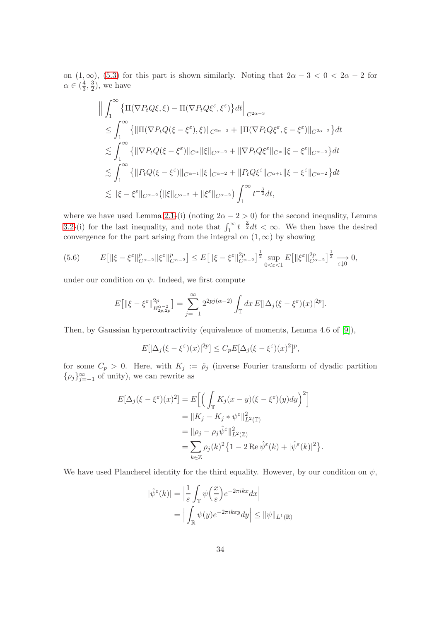on  $(1, \infty)$ ,  $(5.3)$  for this part is shown similarly. Noting that  $2\alpha - 3 < 0 < 2\alpha - 2$  for  $\alpha \in \left(\frac{4}{3}\right]$  $\frac{4}{3}, \frac{3}{2}$  $(\frac{3}{2})$ , we have

$$
\|\int_{1}^{\infty} \{\Pi(\nabla P_t Q \xi, \xi) - \Pi(\nabla P_t Q \xi^{\varepsilon}, \xi^{\varepsilon})\} dt\|_{C^{2\alpha-3}} \n\leq \int_{1}^{\infty} \{\|\Pi(\nabla P_t Q(\xi - \xi^{\varepsilon}), \xi)\|_{C^{2\alpha-2}} + \|\Pi(\nabla P_t Q \xi^{\varepsilon}, \xi - \xi^{\varepsilon})\|_{C^{2\alpha-2}}\} dt \n\lesssim \int_{1}^{\infty} \{\|\nabla P_t Q(\xi - \xi^{\varepsilon})\|_{C^{\alpha}} \|\xi\|_{C^{\alpha-2}} + \|\nabla P_t Q \xi^{\varepsilon}\|_{C^{\alpha}} \|\xi - \xi^{\varepsilon}\|_{C^{\alpha-2}}\} dt \n\lesssim \int_{1}^{\infty} \{\|P_t Q(\xi - \xi^{\varepsilon})\|_{C^{\alpha+1}} \|\xi\|_{C^{\alpha-2}} + \|P_t Q \xi^{\varepsilon}\|_{C^{\alpha+1}} \|\xi - \xi^{\varepsilon}\|_{C^{\alpha-2}}\} dt \n\lesssim \|\xi - \xi^{\varepsilon}\|_{C^{\alpha-2}} \left(\|\xi\|_{C^{\alpha-2}} + \|\xi^{\varepsilon}\|_{C^{\alpha-2}}\right) \int_{1}^{\infty} t^{-\frac{3}{2}} dt,
$$

where we have used Lemma [2.1-](#page-5-0)(i) (noting  $2\alpha - 2 > 0$ ) for the second inequality, Lemma [3.2-](#page-14-1)(i) for the last inequality, and note that  $\int_1^\infty t^{-\frac{3}{2}} dt < \infty$ . We then have the desired convergence for the part arising from the integral on  $(1, \infty)$  by showing

<span id="page-33-0"></span>
$$
(5.6) \qquad E\big[\|\xi-\xi^{\varepsilon}\|_{C^{\alpha-2}}^p\|\xi^{\varepsilon}\|_{C^{\alpha-2}}^p\big] \le E\big[\|\xi-\xi^{\varepsilon}\|_{C^{\alpha-2}}^{2p}\big]^{\frac{1}{2}}\sup_{0<\varepsilon<1}E\big[\|\xi^{\varepsilon}\|_{C^{\alpha-2}}^{2p}\big]^{\frac{1}{2}}\xrightarrow[\varepsilon\downarrow0]{}0,
$$

under our condition on  $\psi$ . Indeed, we first compute

$$
E\big[\|\xi-\xi^{\varepsilon}\|_{B_{2p,2p}^{\alpha-2}}^{2p}\big] = \sum_{j=-1}^{\infty} 2^{2pj(\alpha-2)} \int_{\mathbb{T}} dx \, E[|\Delta_j(\xi-\xi^{\varepsilon})(x)|^{2p}].
$$

Then, by Gaussian hypercontractivity (equivalence of moments, Lemma 4.6 of [\[9\]](#page-38-2)),

$$
E[|\Delta_j(\xi-\xi^{\varepsilon})(x)|^{2p}] \le C_p E[\Delta_j(\xi-\xi^{\varepsilon})(x)^2]^p,
$$

for some  $C_p > 0$ . Here, with  $K_j := \rho_j$  (inverse Fourier transform of dyadic partition  $\{\rho_j\}_{j=-1}^{\infty}$  of unity), we can rewrite as

$$
E[\Delta_j(\xi - \xi^{\varepsilon})(x)^2] = E\Big[\Big(\int_{\mathbb{T}} K_j(x - y)(\xi - \xi^{\varepsilon})(y)dy\Big)^2\Big]
$$
  
\n
$$
= \|K_j - K_j * \psi^{\varepsilon}\|^2_{L^2(\mathbb{T})}
$$
  
\n
$$
= \|\rho_j - \rho_j \hat{\psi}^{\varepsilon}\|^2_{L^2(\mathbb{Z})}
$$
  
\n
$$
= \sum_{k \in \mathbb{Z}} \rho_j(k)^2 \{1 - 2 \operatorname{Re} \hat{\psi}^{\varepsilon}(k) + |\hat{\psi}^{\varepsilon}(k)|^2\}.
$$

We have used Plancherel identity for the third equality. However, by our condition on  $\psi$ ,

$$
|\hat{\psi}^{\varepsilon}(k)| = \left| \frac{1}{\varepsilon} \int_{\mathbb{T}} \psi\left(\frac{x}{\varepsilon}\right) e^{-2\pi i k x} dx \right|
$$
  
= 
$$
\left| \int_{\mathbb{R}} \psi(y) e^{-2\pi i k \varepsilon y} dy \right| \leq ||\psi||_{L^{1}(\mathbb{R})}
$$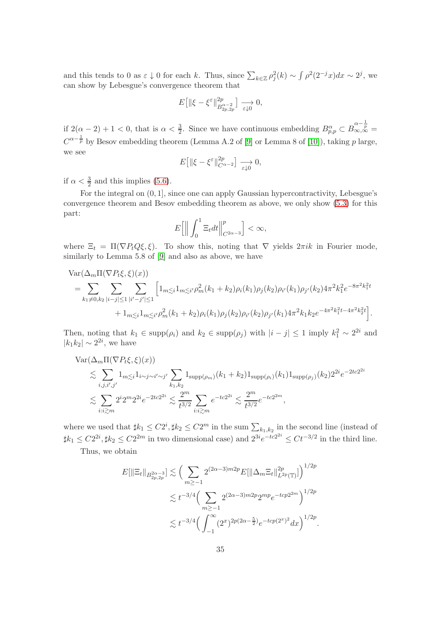and this tends to 0 as  $\varepsilon \downarrow 0$  for each k. Thus, since  $\sum_{k \in \mathbb{Z}} \rho_j^2(k) \sim \int \rho^2(2^{-j}x)dx \sim 2^j$ , we can show by Lebesgue's convergence theorem that

$$
E\left[\left\|\xi-\xi^{\varepsilon}\right\|_{B_{2p,2p}^{\alpha-2}}^{2p}\right] \xrightarrow[\varepsilon\downarrow 0]{} 0,
$$

if  $2(\alpha-2)+1<0$ , that is  $\alpha<\frac{3}{2}$ . Since we have continuous embedding  $B^{\alpha}_{p,p}\subset B^{\alpha-\frac{1}{p}}_{\infty,\infty}$  $C^{\alpha-\frac{1}{p}}$  by Besov embedding theorem (Lemma A.2 of [\[9\]](#page-38-2) or Lemma 8 of [\[10\]](#page-38-11)), taking p large, we see

$$
E\big[\|\xi-\xi^{\varepsilon}\|_{C^{\alpha-2}}^{2p}\big] \xrightarrow[\varepsilon\downarrow 0]{} 0,
$$

if  $\alpha < \frac{3}{2}$  and this implies [\(5.6\)](#page-33-0).

For the integral on (0, 1], since one can apply Gaussian hypercontractivity, Lebesgue's convergence theorem and Besov embedding theorem as above, we only show [\(5.3\)](#page-32-3) for this part:

$$
E\left[\Big\|\int_0^1 \Xi_t dt\Big\|_{C^{2\alpha-3}}^p\right] < \infty,
$$

where  $\Xi_t = \Pi(\nabla P_t Q \xi, \xi)$ . To show this, noting that  $\nabla$  yields  $2\pi i k$  in Fourier mode, similarly to Lemma 5.8 of [\[9\]](#page-38-2) and also as above, we have

$$
\begin{split} \text{Var}(\Delta_m \Pi(\nabla P_t \xi, \xi)(x)) \\ &= \sum_{k_1 \neq 0, k_2} \sum_{|i-j| \leq 1} \sum_{|i'-j'| \leq 1} \left[ 1_{m \leq i} 1_{m \leq i'} \rho_m^2(k_1 + k_2) \rho_i(k_1) \rho_j(k_2) \rho_{i'}(k_1) \rho_{j'}(k_2) 4 \pi^2 k_1^2 e^{-8\pi^2 k_1^2 t} \\ &+ 1_{m \leq i} 1_{m \leq i'} \rho_m^2(k_1 + k_2) \rho_i(k_1) \rho_j(k_2) \rho_{i'}(k_2) \rho_{j'}(k_1) 4 \pi^2 k_1 k_2 e^{-4\pi^2 k_1^2 t - 4\pi^2 k_2^2 t} \right]. \end{split}
$$

Then, noting that  $k_1 \in \text{supp}(\rho_i)$  and  $k_2 \in \text{supp}(\rho_j)$  with  $|i - j| \leq 1$  imply  $k_1^2 \sim 2^{2i}$  and  $|k_1k_2| \sim 2^{2i}$ , we have

$$
\operatorname{Var}(\Delta_m \Pi(\nabla P_t \xi, \xi)(x))
$$
  
\$\lesssim \sum\_{i,j,i',j'} 1\_{m \lesssim i} 1\_{i \sim j \sim i' \sim j'} \sum\_{k\_1, k\_2} 1\_{\operatorname{supp}(\rho\_m)} (k\_1 + k\_2) 1\_{\operatorname{supp}(\rho\_i)} (k\_1) 1\_{\operatorname{supp}(\rho\_j)} (k\_2) 2^{2i} e^{-2tc2^{2i}}   
\$\lesssim \sum\_{i:i \gtrsim m} 2^i 2^m 2^{2i} e^{-2tc2^{2i}} \lesssim \frac{2^m}{t^{3/2}} \sum\_{i:i \gtrsim m} e^{-tc2^{2i}} \lesssim \frac{2^m}{t^{3/2}} e^{-tc2^{2m}},\$

where we used that  $\sharp k_1 \leq C2^i, \sharp k_2 \leq C2^m$  in the sum  $\sum_{k_1,k_2}$  in the second line (instead of  $\sharp k_1 \leq C2^{2i}, \sharp k_2 \leq C2^{2m}$  in two dimensional case) and  $2^{3i}e^{-tc2^{2i}} \leq Ct^{-3/2}$  in the third line.

Thus, we obtain

$$
E[\|\Xi_t\|_{B_{2p,2p}^{2\alpha-3}}] \lesssim \Big(\sum_{m\geq -1} 2^{(2\alpha-3)m2p} E[\|\Delta_m \Xi_t\|_{L^{2p}(\mathbb{T})}^{2p}]\Big)^{1/2p}
$$
  

$$
\lesssim t^{-3/4} \Big(\sum_{m\geq -1} 2^{(2\alpha-3)m2p} 2^{mp} e^{-tcp2^{2m}}\Big)^{1/2p}
$$
  

$$
\lesssim t^{-3/4} \Big(\int_{-1}^{\infty} (2^x)^{2p(2\alpha-\frac{5}{2})} e^{-tcp(2^x)^2} dx\Big)^{1/2p}.
$$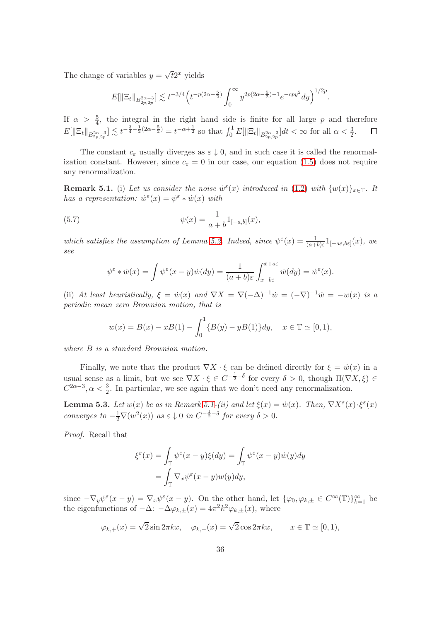The change of variables  $y = \sqrt{t}2^x$  yields

$$
E[\|\Xi_t\|_{B^{2\alpha-3}_{2p,2p}}] \lesssim t^{-3/4} \Big(t^{-p(2\alpha-\frac{5}{2})}\int_0^\infty y^{2p(2\alpha-\frac{5}{2})-1} e^{-cpy^2} dy\Big)^{1/2p}.
$$

If  $\alpha > \frac{5}{4}$ , the integral in the right hand side is finite for all large p and therefore  $E[\|\Xi_t\|_{B^{2\alpha-3}_{2p,2p}}] \lesssim t^{-\frac{3}{4}-\frac{1}{2}(2\alpha-\frac{5}{2})} = t^{-\alpha+\frac{1}{2}}$  so that  $\int_0^1 E[\|\Xi_t\|_{B^{2\alpha-3}_{2p,2p}}]dt < \infty$  for all  $\alpha < \frac{3}{2}$ .

The constant  $c_{\varepsilon}$  usually diverges as  $\varepsilon \downarrow 0$ , and in such case it is called the renormalization constant. However, since  $c_{\varepsilon} = 0$  in our case, our equation [\(1.5\)](#page-1-3) does not require any renormalization.

<span id="page-35-0"></span>**Remark 5.1.** (i) Let us consider the noise  $\dot{w}^{\varepsilon}(x)$  introduced in [\(1.2\)](#page-1-4) with  $\{w(x)\}_{x\in\mathbb{T}}$ . It has a representation:  $\dot{w}^{\varepsilon}(x) = \psi^{\varepsilon} * \dot{w}(x)$  with

(5.7) 
$$
\psi(x) = \frac{1}{a+b} 1_{[-a,b]}(x),
$$

which satisfies the assumption of Lemma [5.2.](#page-32-0) Indeed, since  $\psi^{\varepsilon}(x) = \frac{1}{(a+b)\varepsilon}1_{[-a\varepsilon,b\varepsilon]}(x)$ , we see

$$
\psi^{\varepsilon} * \dot{w}(x) = \int \psi^{\varepsilon}(x - y)\dot{w}(dy) = \frac{1}{(a + b)\varepsilon} \int_{x - b\varepsilon}^{x + a\varepsilon} \dot{w}(dy) = \dot{w}^{\varepsilon}(x).
$$

(ii) At least heuristically,  $\xi = \dot{w}(x)$  and  $\nabla X = \nabla(-\Delta)^{-1}\dot{w} = (-\nabla)^{-1}\dot{w} = -w(x)$  is a periodic mean zero Brownian motion, that is

$$
w(x) = B(x) - xB(1) - \int_0^1 \{B(y) - yB(1)\} dy, \quad x \in \mathbb{T} \simeq [0, 1),
$$

where B is a standard Brownian motion.

Finally, we note that the product  $\nabla X \cdot \xi$  can be defined directly for  $\xi = \dot{w}(x)$  in a usual sense as a limit, but we see  $\nabla X \cdot \xi \in C^{-\frac{1}{2}-\delta}$  for every  $\delta > 0$ , though  $\Pi(\nabla X, \xi) \in$  $C^{2\alpha-3}, \alpha < \frac{3}{2}$ . In particular, we see again that we don't need any renormalization.

**Lemma 5.3.** Let  $w(x)$  be as in Remark [5.1-](#page-35-0)(ii) and let  $\xi(x) = \dot{w}(x)$ . Then,  $\nabla X^{\varepsilon}(x) \cdot \xi^{\varepsilon}(x)$ converges to  $-\frac{1}{2}\nabla(w^2(x))$  as  $\varepsilon \downarrow 0$  in  $C^{-\frac{1}{2}-\delta}$  for every  $\delta > 0$ .

Proof. Recall that

$$
\xi^{\varepsilon}(x) = \int_{\mathbb{T}} \psi^{\varepsilon}(x - y)\xi(dy) = \int_{\mathbb{T}} \psi^{\varepsilon}(x - y)\dot{w}(y)dy
$$

$$
= \int_{\mathbb{T}} \nabla_{x}\psi^{\varepsilon}(x - y)\dot{w}(y)dy,
$$

since  $-\nabla_y \psi^\varepsilon(x-y) = \nabla_x \psi^\varepsilon(x-y)$ . On the other hand, let  $\{\varphi_0, \varphi_{k,\pm} \in C^\infty(\mathbb{T})\}_{k=1}^\infty$  be the eigenfunctions of  $-\Delta$ :  $-\Delta \varphi_{k,\pm}(x) = 4\pi^2 k^2 \varphi_{k,\pm}(x)$ , where

$$
\varphi_{k,+}(x) = \sqrt{2}\sin 2\pi kx, \quad \varphi_{k,-}(x) = \sqrt{2}\cos 2\pi kx, \qquad x \in \mathbb{T} \simeq [0,1),
$$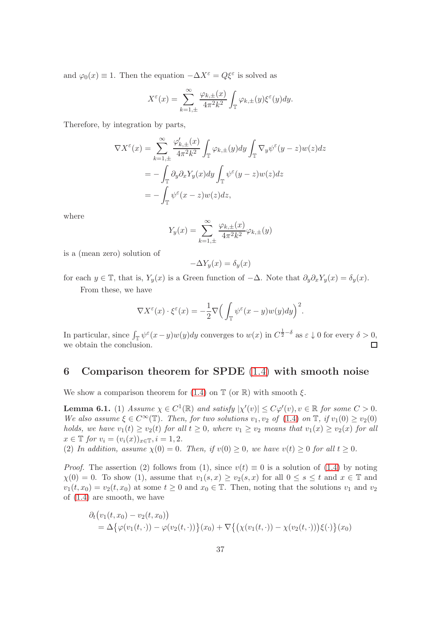and  $\varphi_0(x) \equiv 1$ . Then the equation  $-\Delta X^{\varepsilon} = Q \xi^{\varepsilon}$  is solved as

$$
X^{\varepsilon}(x) = \sum_{k=1,\pm}^{\infty} \frac{\varphi_{k,\pm}(x)}{4\pi^2 k^2} \int_{\mathbb{T}} \varphi_{k,\pm}(y) \xi^{\varepsilon}(y) dy.
$$

Therefore, by integration by parts,

$$
\nabla X^{\varepsilon}(x) = \sum_{k=1,\pm}^{\infty} \frac{\varphi'_{k,\pm}(x)}{4\pi^2 k^2} \int_{\mathbb{T}} \varphi_{k,\pm}(y) dy \int_{\mathbb{T}} \nabla_y \psi^{\varepsilon}(y-z) w(z) dz
$$
  
= 
$$
- \int_{\mathbb{T}} \partial_y \partial_x Y_y(x) dy \int_{\mathbb{T}} \psi^{\varepsilon}(y-z) w(z) dz
$$
  
= 
$$
- \int_{\mathbb{T}} \psi^{\varepsilon}(x-z) w(z) dz,
$$

where

$$
Y_y(x) = \sum_{k=1,\pm}^{\infty} \frac{\varphi_{k,\pm}(x)}{4\pi^2 k^2} \varphi_{k,\pm}(y)
$$

is a (mean zero) solution of

$$
-\Delta Y_y(x) = \delta_y(x)
$$

for each  $y \in \mathbb{T}$ , that is,  $Y_y(x)$  is a Green function of  $-\Delta$ . Note that  $\partial_y \partial_x Y_y(x) = \delta_y(x)$ .

From these, we have

$$
\nabla X^{\varepsilon}(x) \cdot \xi^{\varepsilon}(x) = -\frac{1}{2} \nabla \Big( \int_{\mathbb{T}} \psi^{\varepsilon}(x - y) w(y) dy \Big)^{2}.
$$

In particular, since  $\int_{\mathbb{T}} \psi^{\varepsilon}(x-y)w(y)dy$  converges to  $w(x)$  in  $C^{\frac{1}{2}-\delta}$  as  $\varepsilon \downarrow 0$  for every  $\delta > 0$ , we obtain the conclusion.

## <span id="page-36-1"></span>6 Comparison theorem for SPDE [\(1.4\)](#page-1-2) with smooth noise

We show a comparison theorem for [\(1.4\)](#page-1-2) on  $\mathbb T$  (or  $\mathbb R$ ) with smooth  $\xi$ .

<span id="page-36-0"></span>**Lemma 6.1.** (1) Assume  $\chi \in C^1(\mathbb{R})$  and satisfy  $|\chi'(v)| \leq C\varphi'(v)$ ,  $v \in \mathbb{R}$  for some  $C > 0$ . We also assume  $\xi \in C^{\infty}(\mathbb{T})$ . Then, for two solutions  $v_1, v_2$  of [\(1.4\)](#page-1-2) on  $\mathbb{T}$ , if  $v_1(0) \ge v_2(0)$ holds, we have  $v_1(t) \ge v_2(t)$  for all  $t \ge 0$ , where  $v_1 \ge v_2$  means that  $v_1(x) \ge v_2(x)$  for all  $x \in \mathbb{T}$  for  $v_i = (v_i(x))_{x \in \mathbb{T}}$ ,  $i = 1, 2$ .

(2) In addition, assume  $\chi(0) = 0$ . Then, if  $v(0) \ge 0$ , we have  $v(t) \ge 0$  for all  $t \ge 0$ .

*Proof.* The assertion (2) follows from (1), since  $v(t) \equiv 0$  is a solution of [\(1.4\)](#page-1-2) by noting  $\chi(0) = 0$ . To show (1), assume that  $v_1(s, x) \ge v_2(s, x)$  for all  $0 \le s \le t$  and  $x \in \mathbb{T}$  and  $v_1(t, x_0) = v_2(t, x_0)$  at some  $t \geq 0$  and  $x_0 \in \mathbb{T}$ . Then, noting that the solutions  $v_1$  and  $v_2$ of [\(1.4\)](#page-1-2) are smooth, we have

$$
\partial_t (v_1(t, x_0) - v_2(t, x_0))
$$
  
=  $\Delta \{\varphi(v_1(t, \cdot)) - \varphi(v_2(t, \cdot))\}(x_0) + \nabla \{(\chi(v_1(t, \cdot)) - \chi(v_2(t, \cdot)))\xi(\cdot)\}(x_0)$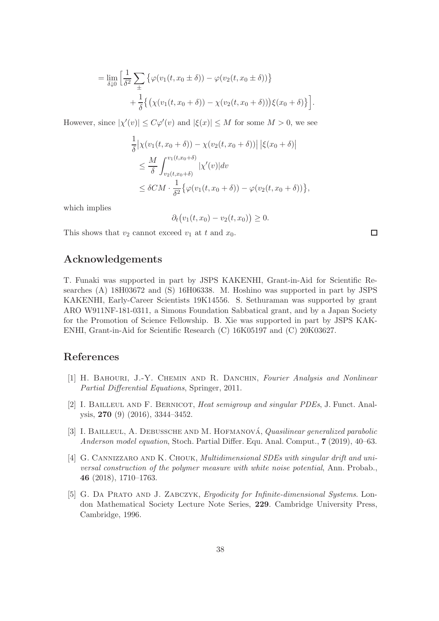$$
= \lim_{\delta \downarrow 0} \left[ \frac{1}{\delta^2} \sum_{\pm} \left\{ \varphi(v_1(t, x_0 \pm \delta)) - \varphi(v_2(t, x_0 \pm \delta)) \right\} + \frac{1}{\delta} \left\{ \left( \chi(v_1(t, x_0 + \delta)) - \chi(v_2(t, x_0 + \delta)) \right) \xi(x_0 + \delta) \right\} \right].
$$

However, since  $|\chi'(v)| \le C\varphi'(v)$  and  $|\xi(x)| \le M$  for some  $M > 0$ , we see

$$
\frac{1}{\delta} \left| \chi(v_1(t, x_0 + \delta)) - \chi(v_2(t, x_0 + \delta)) \right| \left| \xi(x_0 + \delta) \right|
$$
\n
$$
\leq \frac{M}{\delta} \int_{v_2(t, x_0 + \delta)}^{v_1(t, x_0 + \delta)} |\chi'(v)| dv
$$
\n
$$
\leq \delta CM \cdot \frac{1}{\delta^2} \{ \varphi(v_1(t, x_0 + \delta)) - \varphi(v_2(t, x_0 + \delta)) \},
$$

which implies

$$
\partial_t \big( v_1(t,x_0) - v_2(t,x_0) \big) \geq 0.
$$

This shows that  $v_2$  cannot exceed  $v_1$  at t and  $x_0$ .

# Acknowledgements

T. Funaki was supported in part by JSPS KAKENHI, Grant-in-Aid for Scientific Researches (A) 18H03672 and (S) 16H06338. M. Hoshino was supported in part by JSPS KAKENHI, Early-Career Scientists 19K14556. S. Sethuraman was supported by grant ARO W911NF-181-0311, a Simons Foundation Sabbatical grant, and by a Japan Society for the Promotion of Science Fellowship. B. Xie was supported in part by JSPS KAK-ENHI, Grant-in-Aid for Scientific Research (C) 16K05197 and (C) 20K03627.

# <span id="page-37-2"></span>References

- [1] H. BAHOURI, J.-Y. CHEMIN AND R. DANCHIN, Fourier Analysis and Nonlinear Partial Differential Equations, Springer, 2011.
- <span id="page-37-3"></span>[2] I. Bailleul and F. Bernicot, Heat semigroup and singular PDEs, J. Funct. Analysis, 270 (9) (2016), 3344–3452.
- <span id="page-37-0"></span>[3] I. BAILLEUL, A. DEBUSSCHE AND M. HOFMANOVÁ, Quasilinear generalized parabolic Anderson model equation, Stoch. Partial Differ. Equ. Anal. Comput., 7 (2019), 40–63.
- <span id="page-37-1"></span>[4] G. Cannizzaro and K. Chouk, Multidimensional SDEs with singular drift and universal construction of the polymer measure with white noise potential, Ann. Probab., 46 (2018), 1710–1763.
- <span id="page-37-4"></span>[5] G. DA PRATO AND J. ZABCZYK, Ergodicity for Infinite-dimensional Systems. London Mathematical Society Lecture Note Series, 229. Cambridge University Press, Cambridge, 1996.

 $\Box$